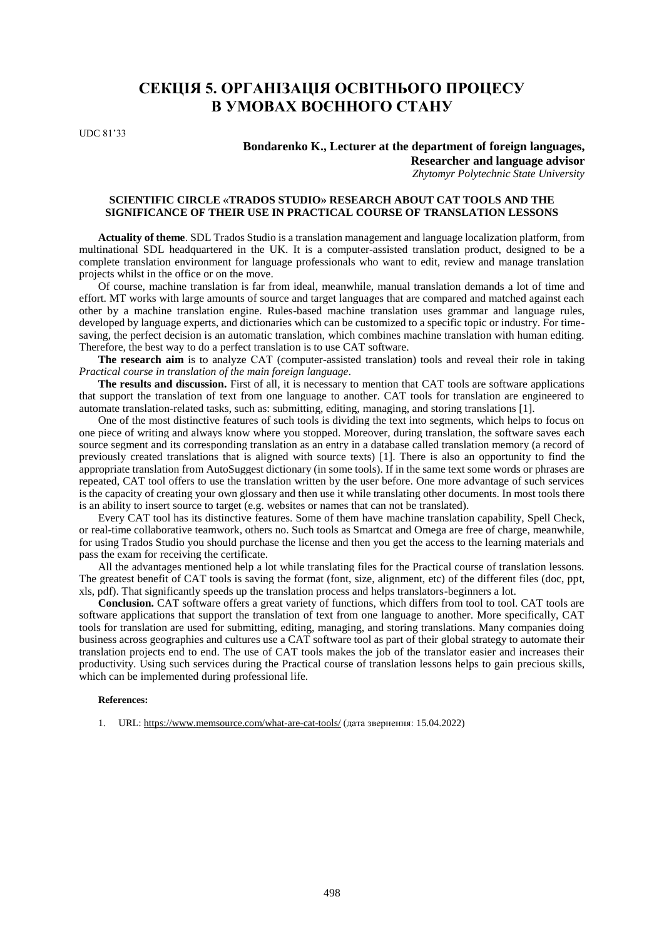# **СЕКЦІЯ 5. ОРГАНІЗАЦІЯ ОСВІТНЬОГО ПРОЦЕСУ В УМОВАХ ВОЄННОГО СТАНУ**

UDC 81'33

# **Bondarenko K., Lecturer at the department of foreign languages, Researcher and language advisor**

*Zhytomyr Polytechnic State University*

### **SCIENTIFIC CIRCLE «TRADOS STUDIO» RESEARCH ABOUT CAT TOOLS AND THE SIGNIFICANCE OF THEIR USE IN PRACTICAL COURSE OF TRANSLATION LESSONS**

**Actuality of theme**. SDL Trados Studio is a translation management and language localization platform, from multinational SDL headquartered in the UK. It is a computer-assisted translation product, designed to be a complete translation environment for language professionals who want to edit, review and manage translation projects whilst in the office or on the move.

Of course, machine translation is far from ideal, meanwhile, manual translation demands a lot of time and effort. MT works with large amounts of source and target languages that are compared and matched against each other by a machine translation engine. Rules-based machine translation uses grammar and language rules, developed by language experts, and dictionaries which can be customized to a specific topic or industry. For timesaving, the perfect decision is an automatic translation, which combines machine translation with human editing. Therefore, the best way to do a perfect translation is to use CAT software.

**The research aim** is to analyze САТ (computer-assisted translation) tools and reveal their role in taking *Practical course in translation of the main foreign language.*

**The results and discussion.** First of all, it is necessary to mention that CAT tools are software applications that support the translation of text from one language to another. CAT tools for translation are engineered to automate translation-related tasks, such as: submitting, editing, managing, and storing translations [1].

One of the most distinctive features of such tools is dividing the text into segments, which helps to focus on one piece of writing and always know where you stopped. Moreover, during translation, the software saves each source segment and its corresponding translation as an entry in a database called translation memory (a record of previously created translations that is aligned with source texts) [1]. There is also an opportunity to find the appropriate translation from AutoSuggest dictionary (in some tools). If in the same text some words or phrases are repeated, CAT tool offers to use the translation written by the user before. One more advantage of such services is the capacity of creating your own glossary and then use it while translating other documents. In most tools there is an ability to insert source to target (e.g. websites or names that can not be translated).

Every CAT tool has its distinctive features. Some of them have machine translation capability, Spell Check, or real-time collaborative teamwork, others no. Such tools as Smartcat and Omega are free of charge, meanwhile, for using Trados Studio you should purchase the license and then you get the access to the learning materials and pass the exam for receiving the certificate.

All the advantages mentioned help a lot while translating files for the Practical course of translation lessons. The greatest benefit of CAT tools is saving the format (font, size, alignment, etc) of the different files (doc, ppt, xls, pdf). That significantly speeds up the translation process and helps translators-beginners a lot.

**Conclusion.** CAT software offers a great variety of functions, which differs from tool to tool. CAT tools are software applications that support the translation of text from one language to another. More specifically, CAT tools for translation are used for submitting, editing, managing, and storing translations. Many companies doing business across geographies and cultures use a CAT software tool as part of their global strategy to automate their translation projects end to end. The use of CAT tools makes the job of the translator easier and increases their productivity. Using such services during the Practical course of translation lessons helps to gain precious skills, which can be implemented during professional life.

### **References:**

1. URL:<https://www.memsource.com/what-are-cat-tools/> (дата звернення: 15.04.2022)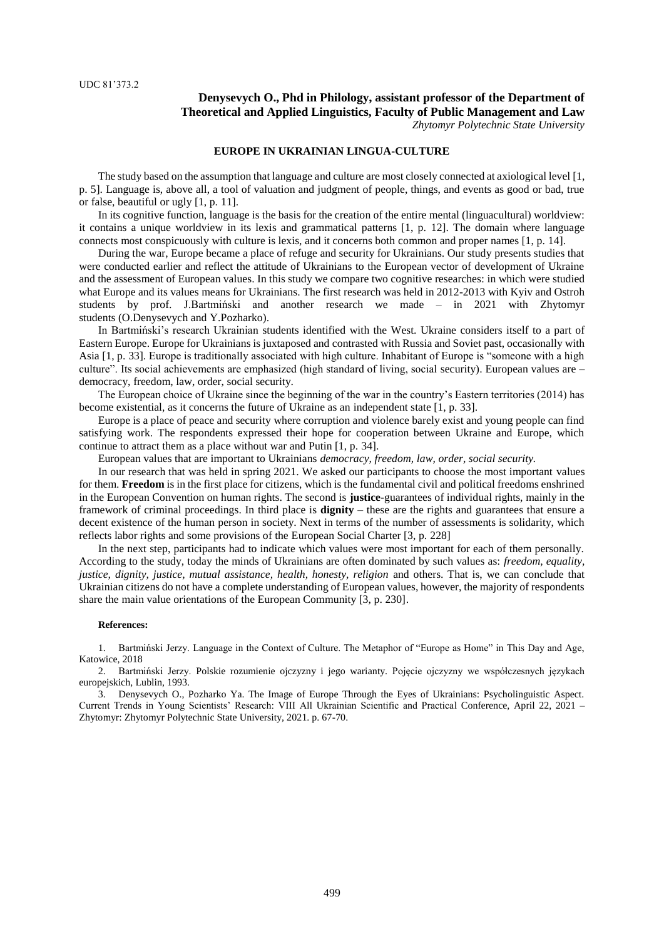**Denysevych O., Phd in Philology, assistant professor of the Department of Theoretical and Applied Linguistics, Faculty of Public Management and Law**

*Zhytomyr Polytechnic State University*

### **EUROPE IN UKRAINIAN LINGUA-CULTURE**

The study based on the assumption that language and culture are most closely connected at axiological level [1, p. 5]. Language is, above all, a tool of valuation and judgment of people, things, and events as good or bad, true or false, beautiful or ugly [1, p. 11].

In its cognitive function, language is the basis for the creation of the entire mental (linguacultural) worldview: it contains a unique worldview in its lexis and grammatical patterns [1, p. 12]. The domain where language connects most conspicuously with culture is lexis, and it concerns both common and proper names [1, p. 14].

During the war, Europe became a place of refuge and security for Ukrainians. Our study presents studies that were conducted earlier and reflect the attitude of Ukrainians to the European vector of development of Ukraine and the assessment of European values. In this study we compare two cognitive researches: in which were studied what Europe and its values means for Ukrainians. The first research was held in 2012-2013 with Kyiv and Ostroh students by prof. J.Bartmiński and another research we made – in 2021 with Zhytomyr students (O.Denysevych and Y.Pozharko).

In Bartmiński's research Ukrainian students identified with the West. Ukraine considers itself to a part of Eastern Europe. Europe for Ukrainians is juxtaposed and contrasted with Russia and Soviet past, occasionally with Asia [1, p. 33]. Europe is traditionally associated with high culture. Inhabitant of Europe is "someone with a high culture". Its social achievements are emphasized (high standard of living, social security). European values are – democracy, freedom, law, order, social security.

The European choice of Ukraine since the beginning of the war in the country's Eastern territories (2014) has become existential, as it concerns the future of Ukraine as an independent state [1, p. 33].

Europe is a place of peace and security where corruption and violence barely exist and young people can find satisfying work. The respondents expressed their hope for cooperation between Ukraine and Europe, which continue to attract them as a place without war and Putin [1, p. 34].

European values that are important to Ukrainians *democracy, freedom, law, order, social security.*

In our research that was held in spring 2021. We asked our participants to choose the most important values for them. **Freedom** is in the first place for citizens, which is the fundamental civil and political freedoms enshrined in the European Convention on human rights. The second is **justice**-guarantees of individual rights, mainly in the framework of criminal proceedings. In third place is **dignity** – these are the rights and guarantees that ensure a decent existence of the human person in society. Next in terms of the number of assessments is solidarity, which reflects labor rights and some provisions of the European Social Charter [3, p. 228]

In the next step, participants had to indicate which values were most important for each of them personally. According to the study, today the minds of Ukrainians are often dominated by such values as: *freedom, equality, justice, dignity, justice, mutual assistance, health, honesty, religion* and others. That is, we can conclude that Ukrainian citizens do not have a complete understanding of European values, however, the majority of respondents share the main value orientations of the European Community [3, p. 230].

#### **References:**

1. Bartmiński Jerzy. Language in the Context of Culture. The Metaphor of "Europe as Home" in This Day and Age, Katowice, 2018

2. Bartmiński Jerzy. Polskie rozumienie ojczyzny i jego warianty. Pojęcie ojczyzny we współczesnych językach europejskich, Lublin, 1993.

3. Denysevych O., Pozharko Ya. The Image of Europe Through the Eyes of Ukrainians: Psycholinguistic Aspect. Current Trends in Young Scientists' Research: VIII All Ukrainian Scientific and Practical Conference, April 22, 2021 – Zhytomyr: Zhytomyr Polytechnic State University, 2021. p. 67-70.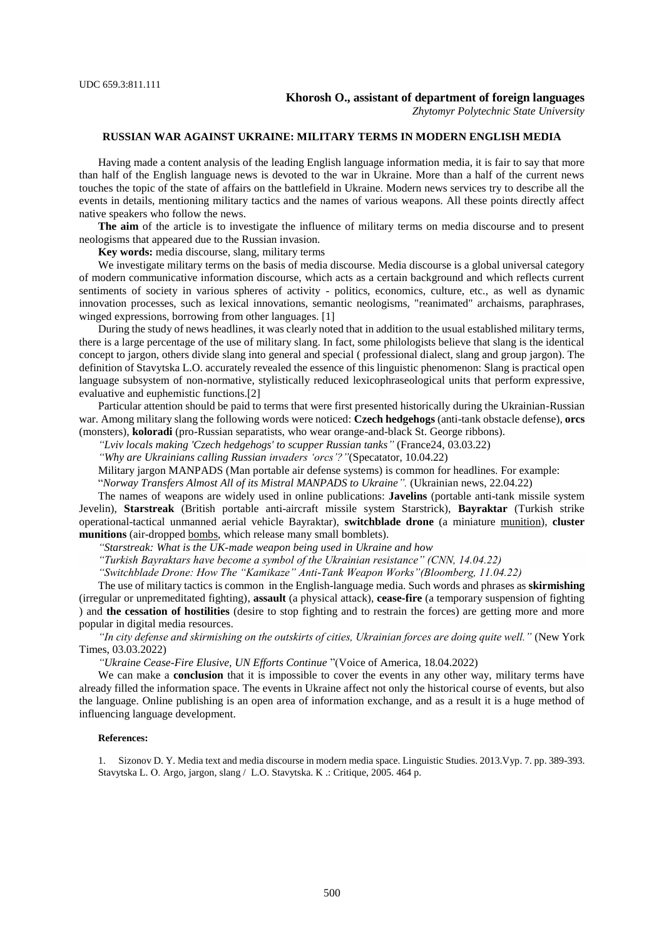*Zhytomyr Polytechnic State University*

### **RUSSIAN WAR AGAINST UKRAINE: MILITARY TERMS IN MODERN ENGLISH MEDIA**

Having made a content analysis of the leading English language information media, it is fair to say that more than half of the English language news is devoted to the war in Ukraine. More than a half of the current news touches the topic of the state of affairs on the battlefield in Ukraine. Modern news services try to describe all the events in details, mentioning military tactics and the names of various weapons. All these points directly affect native speakers who follow the news.

**The aim** of the article is to investigate the influence of military terms on media discourse and to present neologisms that appeared due to the Russian invasion.

**Key words:** media discourse, slang, military terms

We investigate military terms on the basis of media discourse. Media discourse is a global universal category of modern communicative information discourse, which acts as a certain background and which reflects current sentiments of society in various spheres of activity - politics, economics, culture, etc., as well as dynamic innovation processes, such as lexical innovations, semantic neologisms, "reanimated" archaisms, paraphrases, winged expressions, borrowing from other languages. [1]

During the study of news headlines, it was clearly noted that in addition to the usual established military terms, there is a large percentage of the use of military slang. In fact, some philologists believe that slang is the identical concept to jargon, others divide slang into general and special ( professional dialect, slang and group jargon). The definition of Stavytska L.O. accurately revealed the essence of this linguistic phenomenon: Slang is practical open language subsystem of non-normative, stylistically reduced lexicophraseological units that perform expressive, evaluative and euphemistic functions.[2]

Particular attention should be paid to terms that were first presented historically during the Ukrainian-Russian war. Among military slang the following words were noticed: **Czech hedgehogs** (anti-tank obstacle defense), **orcs** (monsters), **koloradi** (pro-Russian separatists, who wear orange-and-black St. George ribbons).

*"Lviv locals making 'Czech hedgehogs' to scupper Russian tanks"* (France24, 03.03.22)

*"Why are Ukrainians calling Russian invaders 'orcs'?"*(Specatator, 10.04.22)

Military jargon MANPADS (Man portable air defense systems) is common for headlines. For example:

"*Norway Transfers Almost All of its Mistral MANPADS to Ukraine".* (Ukrainian news, 22.04.22)

The names of weapons are widely used in online publications: **Javelins** (portable anti-tank missile system Jevelin), **Starstreak** (British portable anti-aircraft missile system Starstrick), **Bayraktar** (Turkish strike operational-tactical unmanned aerial vehicle Bayraktar), **switchblade drone** (a miniature [munition\)](https://en.wikipedia.org/wiki/Loitering_munition), **cluster munitions** (air-droppe[d bombs,](https://en.wikipedia.org/wiki/Explosive_weapon) which release many small bomblets).

*"Starstreak: What is the UK-made weapon being used in Ukraine and how* 

*"Turkish Bayraktars have become a symbol of the Ukrainian resistance" (CNN, 14.04.22)*

*"Switchblade Drone: How The "Kamikaze" Anti-Tank Weapon Works"(Bloomberg, 11.04.22)*

The use of military tactics is common in the English-language media. Such words and phrases as **skirmishing** (irregular or unpremeditated fighting), **assault** (a physical attack), **cease-fire** (a temporary suspension of fighting ) and **the cessation of hostilities** (desire to stop fighting and to restrain the forces) are getting more and more popular in digital media resources.

*"In city defense and skirmishing on the outskirts of cities, Ukrainian forces are doing quite well."* (New York Times, 03.03.2022)

*"Ukraine Cease-Fire Elusive, UN Efforts Continue* "(Voice of America, 18.04.2022)

We can make a **conclusion** that it is impossible to cover the events in any other way, military terms have already filled the information space. The events in Ukraine affect not only the historical course of events, but also the language. Online publishing is an open area of information exchange, and as a result it is a huge method of influencing language development.

#### **References:**

1. Sizonov D. Y. Media text and media discourse in modern media space. Linguistic Studies. 2013.Vyp. 7. pp. 389-393. Stavytska L. О. Argo, jargon, slang / L.O. Stavytska. K .: Critique, 2005. 464 p.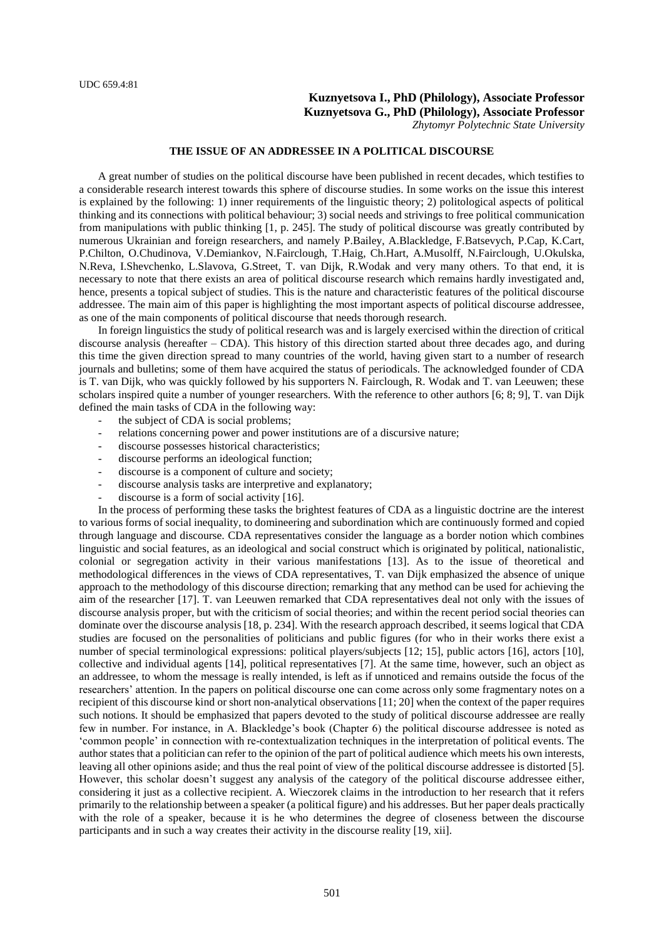*Zhytomyr Polytechnic State University*

### **THE ISSUE OF AN ADDRESSEE IN A POLITICAL DISCOURSE**

A great number of studies on the political discourse have been published in recent decades, which testifies to a considerable research interest towards this sphere of discourse studies. In some works on the issue this interest is explained by the following: 1) inner requirements of the linguistic theory; 2) politological aspects of political thinking and its connections with political behaviour; 3) social needs and strivings to free political communication from manipulations with public thinking [1, p. 245]. The study of political discourse was greatly contributed by numerous Ukrainian and foreign researchers, and namely P.Bailey, A.Blackledge, F.Batsevych, P.Cap, K.Cart, P.Chilton, O.Chudinova, V.Demiankov, N.Fairclough, T.Haig, Ch.Hart, A.Musolff, N.Fairclough, U.Okulska, N.Reva, I.Shevchenko, L.Slavova, G.Street, T. van Dijk, R.Wodak and very many others. To that end, it is necessary to note that there exists an area of political discourse research which remains hardly investigated and, hence, presents a topical subject of studies. This is the nature and characteristic features of the political discourse addressee. The main aim of this paper is highlighting the most important aspects of political discourse addressee, as one of the main components of political discourse that needs thorough research.

In foreign linguistics the study of political research was and is largely exercised within the direction of critical discourse analysis (hereafter – CDA). This history of this direction started about three decades ago, and during this time the given direction spread to many countries of the world, having given start to a number of research journals and bulletins; some of them have acquired the status of periodicals. The acknowledged founder of CDA is T. van Dijk, who was quickly followed by his supporters N. Fairclough, R. Wodak and T. van Leeuwen; these scholars inspired quite a number of younger researchers. With the reference to other authors [6; 8; 9], T. van Dijk defined the main tasks of CDA in the following way:

- the subject of CDA is social problems;
- relations concerning power and power institutions are of a discursive nature;
- discourse possesses historical characteristics;
- discourse performs an ideological function;
- discourse is a component of culture and society;
- discourse analysis tasks are interpretive and explanatory;
- discourse is a form of social activity [16].

In the process of performing these tasks the brightest features of CDA as a linguistic doctrine are the interest to various forms of social inequality, to domineering and subordination which are continuously formed and copied through language and discourse. CDA representatives consider the language as a border notion which combines linguistic and social features, as an ideological and social construct which is originated by political, nationalistic, colonial or segregation activity in their various manifestations [13]. As to the issue of theoretical and methodological differences in the views of CDA representatives, T. van Dijk emphasized the absence of unique approach to the methodology of this discourse direction; remarking that any method can be used for achieving the aim of the researcher [17]. T. van Leeuwen remarked that CDA representatives deal not only with the issues of discourse analysis proper, but with the criticism of social theories; and within the recent period social theories can dominate over the discourse analysis [18, p. 234]. With the research approach described, it seems logical that CDA studies are focused on the personalities of politicians and public figures (for who in their works there exist a number of special terminological expressions: political players/subjects [12; 15], public actors [16], actors [10], collective and individual agents [14], political representatives [7]. At the same time, however, such an object as an addressee, to whom the message is really intended, is left as if unnoticed and remains outside the focus of the researchers' attention. In the papers on political discourse one can come across only some fragmentary notes on a recipient of this discourse kind or short non-analytical observations [11; 20] when the context of the paper requires such notions. It should be emphasized that papers devoted to the study of political discourse addressee are really few in number. For instance, in A. Blackledge's book (Chapter 6) the political discourse addressee is noted as 'common people' in connection with re-contextualization techniques in the interpretation of political events. The author states that a politician can refer to the opinion of the part of political audience which meets his own interests, leaving all other opinions aside; and thus the real point of view of the political discourse addressee is distorted [5]. However, this scholar doesn't suggest any analysis of the category of the political discourse addressee either, considering it just as a collective recipient. A. Wieczorek claims in the introduction to her research that it refers primarily to the relationship between a speaker (a political figure) and his addresses. But her paper deals practically with the role of a speaker, because it is he who determines the degree of closeness between the discourse participants and in such a way creates their activity in the discourse reality [19, xii].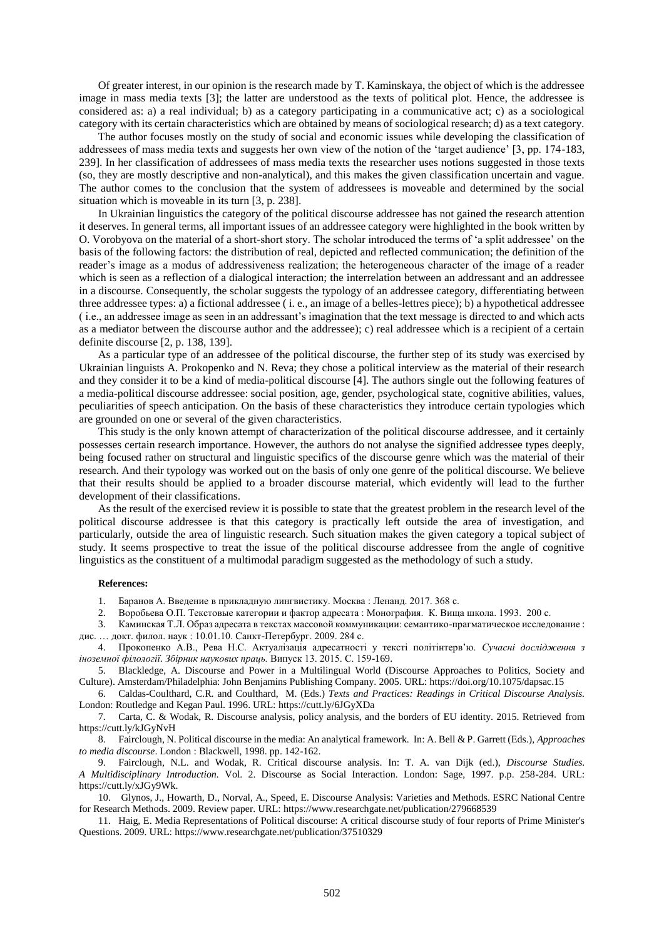Of greater interest, in our opinion is the research made by T. Kaminskaya, the object of which is the addressee image in mass media texts [3]; the latter are understood as the texts of political plot. Hence, the addressee is considered as: a) a real individual; b) as a category participating in a communicative act; c) as a sociological category with its certain characteristics which are obtained by means of sociological research; d) as a text category.

The author focuses mostly on the study of social and economic issues while developing the classification of addressees of mass media texts and suggests her own view of the notion of the 'target audience' [3, pp. 174-183, 239]. In her classification of addressees of mass media texts the researcher uses notions suggested in those texts (so, they are mostly descriptive and non-analytical), and this makes the given classification uncertain and vague. The author comes to the conclusion that the system of addressees is moveable and determined by the social situation which is moveable in its turn [3, p. 238].

In Ukrainian linguistics the category of the political discourse addressee has not gained the research attention it deserves. In general terms, all important issues of an addressee category were highlighted in the book written by O. Vorobyova on the material of a short-short story. The scholar introduced the terms of 'a split addressee' on the basis of the following factors: the distribution of real, depicted and reflected communication; the definition of the reader's image as a modus of addressiveness realization; the heterogeneous character of the image of a reader which is seen as a reflection of a dialogical interaction; the interrelation between an addressant and an addressee in a discourse. Consequently, the scholar suggests the typology of an addressee category, differentiating between three addressee types: a) a fictional addressee ( i. e., an image of a belles-lettres piece); b) a hypothetical addressee ( i.e., an addressee image as seen in an addressant's imagination that the text message is directed to and which acts as a mediator between the discourse author and the addressee); c) real addressee which is a recipient of a certain definite discourse [2, p. 138, 139].

As a particular type of an addressee of the political discourse, the further step of its study was exercised by Ukrainian linguists A. Prokopenko and N. Reva; they chose a political interview as the material of their research and they consider it to be a kind of media-political discourse [4]. The authors single out the following features of a media-political discourse addressee: social position, age, gender, psychological state, cognitive abilities, values, peculiarities of speech anticipation. On the basis of these characteristics they introduce certain typologies which are grounded on one or several of the given characteristics.

This study is the only known attempt of characterization of the political discourse addressee, and it certainly possesses certain research importance. However, the authors do not analyse the signified addressee types deeply, being focused rather on structural and linguistic specifics of the discourse genre which was the material of their research. And their typology was worked out on the basis of only one genre of the political discourse. We believe that their results should be applied to a broader discourse material, which evidently will lead to the further development of their classifications.

As the result of the exercised review it is possible to state that the greatest problem in the research level of the political discourse addressee is that this category is practically left outside the area of investigation, and particularly, outside the area of linguistic research. Such situation makes the given category a topical subject of study. It seems prospective to treat the issue of the political discourse addressee from the angle of cognitive linguistics as the constituent of a multimodal paradigm suggested as the methodology of such a study.

#### **References:**

- 1. Баранов А. Введение в прикладную лингвистику. Москва : Ленанд. 2017. 368 с.
- 2. Воробьева О.П. Текстовые категории и фактор адресата : Монография. К. Вища школа. 1993. 200 с.
- 3. Каминская Т.Л. Образ адресата в текстах массовой коммуникации: семантико-прагматическое исследование : дис. … докт. филол. наук : 10.01.10. Санкт-Петербург. 2009. 284 с.

4. Прокопенко А.В., Рева Н.С. Актуалізація адресатності у тексті політінтерв'ю. *Сучасні дослідження з іноземної філології*. *Збірник наукових праць.* Випуск 13. 2015. С. 159-169.

5. Blackledge, A. Discourse and Power in a Multilingual World (Discourse Approaches to Politics, Society and Culture). Amsterdam/Philadelphia: John Benjamins Publishing Company. 2005. URL: https://doi.org/10.1075/dapsac.15

6. Caldas-Coulthard, C.R. and Coulthard, M. (Eds.) *Texts and Practices: Readings in Critical Discourse Analysis.* London: Routledge and Kegan Paul. 1996. URL: https://cutt.ly/6JGyXDa

7. Carta, C. & Wodak, R. Discourse analysis, policy analysis, and the borders of EU identity. 2015. Retrieved from https://cutt.ly/kJGyNvH

8. Fairclough, N. Political discourse in the media: An analytical framework. In: A. Bell & P. Garrett (Eds.), *Approaches to media discourse*. London : Blackwell, 1998. pp. 142-162.

9. Fairclough, N.L. and Wodak, R. Critical discourse analysis. In: T. A. van Dijk (ed.), *Discourse Studies. A Multidisciplinary Introduction.* Vol. 2. Discourse as Social Interaction. London: Sage, 1997. p.p. 258-284. URL: https://cutt.ly/xJGy9Wk.

10. Glynos, J., Howarth, D., Norval, A., Speed, E. Discourse Analysis: Varieties and Methods. ESRC National Centre for Research Methods. 2009. Review paper. URL:<https://www.researchgate.net/publication/279668539>

11. Haig, E. Media Representations of Political discourse: A critical discourse study of four reports of Prime Minister's Questions. 2009. URL: <https://www.researchgate.net/publication/37510329>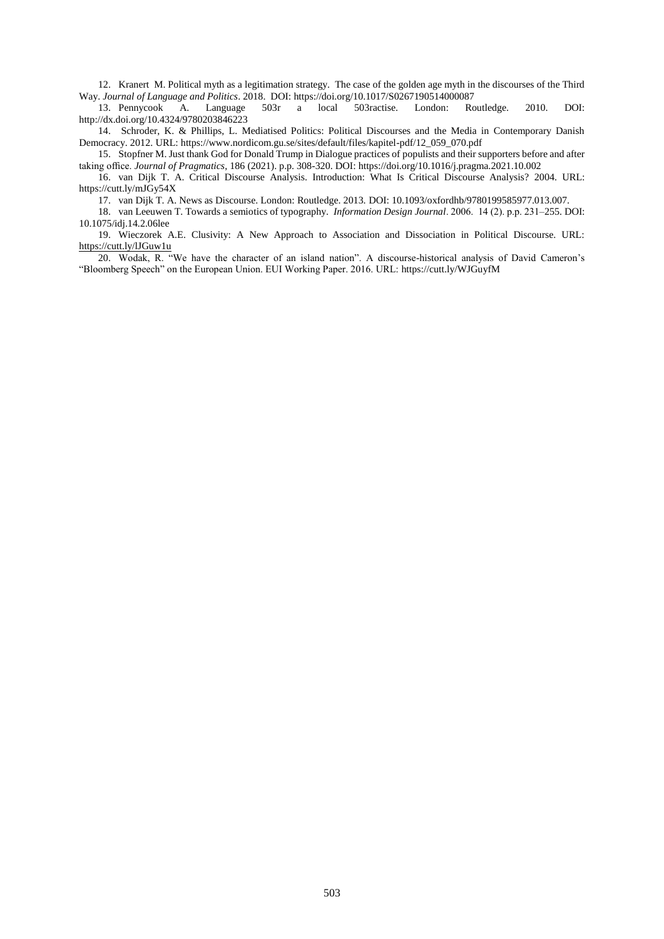12. Kranert M. Political myth as a legitimation strategy. The case of the golden age myth in the discourses of the Third

Way. *Journal of Language and Politics*. 2018. DOI[: https://doi.org/10.1017/S0267190514000087](https://doi.org/10.1017/S0267190514000087) 13. Pennycook A. Language 503r a local 503ractise. London: Routledge. 2010. DOI: <http://dx.doi.org/10.4324/9780203846223>

14. Schroder, K. & Phillips, L. Mediatised Politics: Political Discourses and the Media in Contemporary Danish Democracy. 2012. URL: https://www.nordicom.gu.se/sites/default/files/kapitel-pdf/12\_059\_070.pdf

15. Stopfner M. Just thank God for Donald Trump in Dialogue practices of populists and their supporters before and after taking office. *Journal of Pragmatics*, 186 (2021). p.p. 308-320. DOI: https://doi.org/10.1016/j.pragma.2021.10.002

16. van Dijk T. A. Critical Discourse Analysis. Introduction: What Is Critical Discourse Analysis? 2004. URL: https://cutt.ly/mJGy54X

17. van Dijk T. A. News as Discourse. London: Routledge. 2013. DOI: 10.1093/oxfordhb/9780199585977.013.007.

18. van Leeuwen T. Towards a semiotics of typography. *Information Design Journal*. 2006. 14 (2). р.р. 231–255. DOI: 10.1075/idj.14.2.06lee

19. Wieczorek A.E. Clusivity: A New Approach to Association and Dissociation in Political Discourse. URL: <https://cutt.ly/lJGuw1u>

20. Wodak, R. "We have the character of an island nation". A discourse-historical analysis of David Cameron's "Bloomberg Speech" on the European Union. EUI Working Paper. 2016. URL: https://cutt.ly/WJGuyfM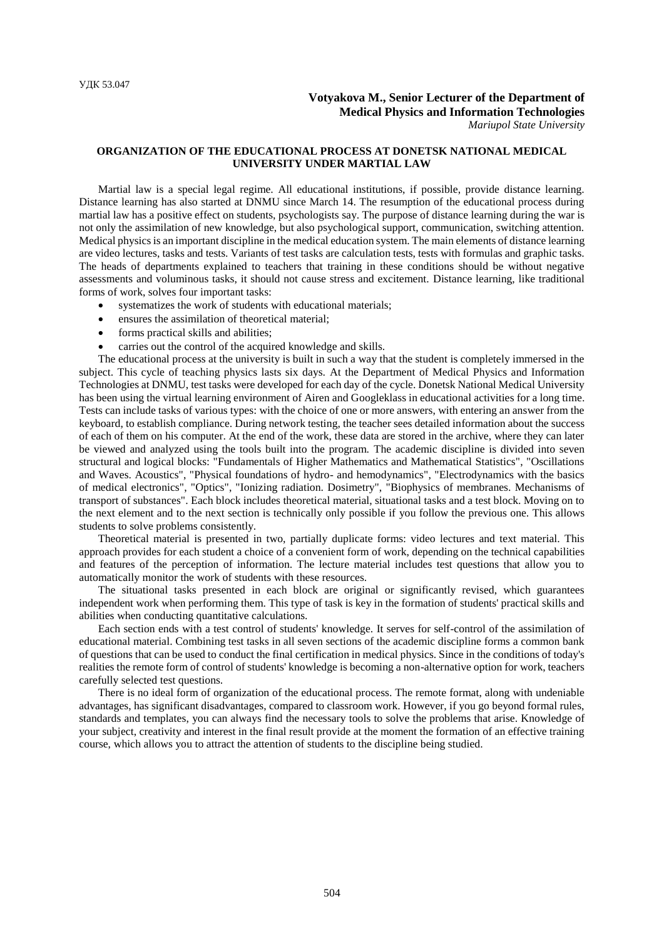*Mariupol State University*

### **ORGANIZATION OF THE EDUCATIONAL PROCESS AT DONETSK NATIONAL MEDICAL UNIVERSITY UNDER MARTIAL LAW**

Martial law is a special legal regime. All educational institutions, if possible, provide distance learning. Distance learning has also started at DNMU since March 14. The resumption of the educational process during martial law has a positive effect on students, psychologists say. The purpose of distance learning during the war is not only the assimilation of new knowledge, but also psychological support, communication, switching attention. Medical physics is an important discipline in the medical education system. The main elements of distance learning are video lectures, tasks and tests. Variants of test tasks are calculation tests, tests with formulas and graphic tasks. The heads of departments explained to teachers that training in these conditions should be without negative assessments and voluminous tasks, it should not cause stress and excitement. Distance learning, like traditional forms of work, solves four important tasks:

- systematizes the work of students with educational materials;
- ensures the assimilation of theoretical material;
- forms practical skills and abilities;
- carries out the control of the acquired knowledge and skills.

The educational process at the university is built in such a way that the student is completely immersed in the subject. This cycle of teaching physics lasts six days. At the Department of Medical Physics and Information Technologies at DNMU, test tasks were developed for each day of the cycle. Donetsk National Medical University has been using the virtual learning environment of Airen and Googleklass in educational activities for a long time. Tests can include tasks of various types: with the choice of one or more answers, with entering an answer from the keyboard, to establish compliance. During network testing, the teacher sees detailed information about the success of each of them on his computer. At the end of the work, these data are stored in the archive, where they can later be viewed and analyzed using the tools built into the program. The academic discipline is divided into seven structural and logical blocks: "Fundamentals of Higher Mathematics and Mathematical Statistics", "Oscillations and Waves. Acoustics", "Physical foundations of hydro- and hemodynamics", "Electrodynamics with the basics of medical electronics", "Optics", "Ionizing radiation. Dosimetry", "Biophysics of membranes. Mechanisms of transport of substances". Each block includes theoretical material, situational tasks and a test block. Moving on to the next element and to the next section is technically only possible if you follow the previous one. This allows students to solve problems consistently.

Theoretical material is presented in two, partially duplicate forms: video lectures and text material. This approach provides for each student a choice of a convenient form of work, depending on the technical capabilities and features of the perception of information. The lecture material includes test questions that allow you to automatically monitor the work of students with these resources.

The situational tasks presented in each block are original or significantly revised, which guarantees independent work when performing them. This type of task is key in the formation of students' practical skills and abilities when conducting quantitative calculations.

Each section ends with a test control of students' knowledge. It serves for self-control of the assimilation of educational material. Combining test tasks in all seven sections of the academic discipline forms a common bank of questions that can be used to conduct the final certification in medical physics. Since in the conditions of today's realities the remote form of control of students' knowledge is becoming a non-alternative option for work, teachers carefully selected test questions.

There is no ideal form of organization of the educational process. The remote format, along with undeniable advantages, has significant disadvantages, compared to classroom work. However, if you go beyond formal rules, standards and templates, you can always find the necessary tools to solve the problems that arise. Knowledge of your subject, creativity and interest in the final result provide at the moment the formation of an effective training course, which allows you to attract the attention of students to the discipline being studied.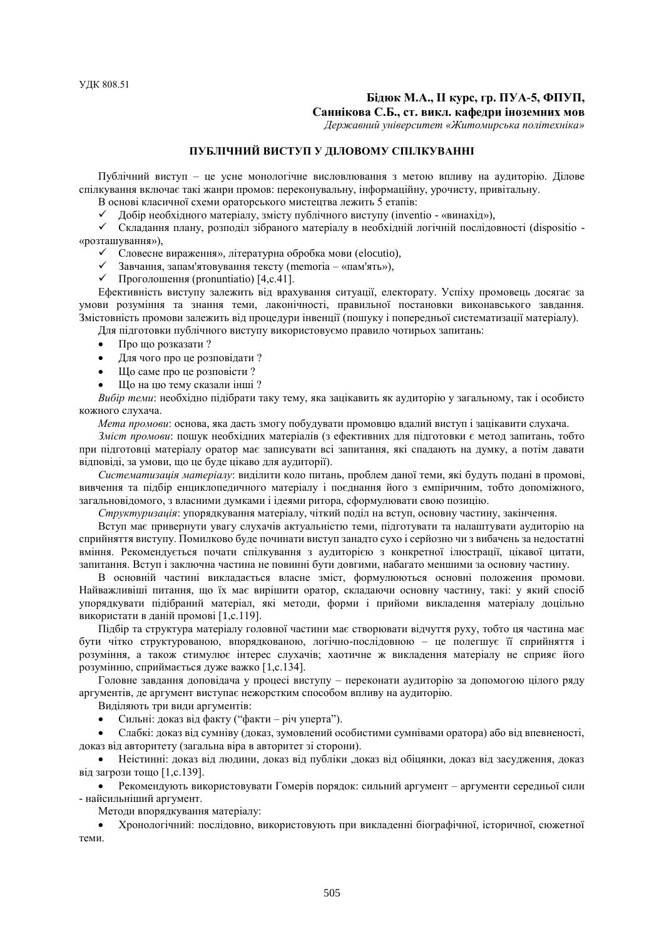# **Бідюк М.А., ІІ курс, гр. ПУА-5, ФПУП,**

**Саннікова С.Б., ст. викл. кафедри іноземних мов**

*Державний університет «Житомирська політехніка»*

### **ПУБЛІЧНИЙ ВИСТУП У ДІЛОВОМУ СПІЛКУВАННІ**

Публічний виступ – це усне монологічне висловлювання з метою впливу на аудиторію. Ділове спілкування включає такі жанри промов: переконувальну, інформаційну, урочисту, привітальну.

В основі класичної схеми ораторського мистецтва лежить 5 етапів:

Добір необхідного матеріалу, змісту публічного виступу (inventio - «винахід»),

 Складання плану, розподіл зібраного матеріалу в необхідній логічній послідовності (dispositio - «розташування»),

Словесне вираження», літературна обробка мови (elocutio),

Завчання, запам'ятовування тексту (memoria – «пам'ять»),

 $\checkmark$  Проголошення (pronuntiatio) [4, с. 41].

Ефективність виступу залежить від врахування ситуації, електорату. Успіху промовець досягає за умови розуміння та знання теми, лаконічності, правильної постановки виконавського завдання. Змістовність промови залежить від процедури інвенції (пошуку і попередньої систематизації матеріалу).

Для підготовки публічного виступу використовуємо правило чотирьох запитань:

- Про що розказати ?
- Для чого про це розповідати ?
- Що саме про це розповісти ?
- Що на цю тему сказали інші ?

*Вибір теми*: необхідно підібрати таку тему, яка зацікавить як аудиторію у загальному, так і особисто кожного слухача.

*Мета промови*: основа, яка дасть змогу побудувати промовцю вдалий виступ і зацікавити слухача.

*Зміст промови*: пошук необхідних матеріалів (з ефективних для підготовки є метод запитань, тобто при підготовці матеріалу оратор має записувати всі запитання, які спадають на думку, а потім давати відповіді, за умови, що це буде цікаво для аудиторії).

*Систематизація матеріалу*: виділити коло питань, проблем даної теми, які будуть подані в промові, вивчення та підбір енциклопедичного матеріалу і поєднання його з емпіричним, тобто допоміжного, загальновідомого, з власними думками і ідеями ритора, сформулювати свою позицію.

*Структуризація*: упорядкування матеріалу, чіткий поділ на вступ, основну частину, закінчення.

Вступ має привернути увагу слухачів актуальністю теми, підготувати та налаштувати аудиторію на сприйняття виступу. Помилково буде починати виступ занадто сухо і серйозно чи з вибачень за недостатні вміння. Рекомендується почати спілкування з аудиторією з конкретної ілюстрації, цікавої цитати, запитання. Вступ і заключна частина не повинні бути довгими, набагато меншими за основну частину.

В основній частині викладається власне зміст, формулюються основні положення промови. Найважливіші питання, що їх має вирішити оратор, складаючи основну частину, такі: у який спосіб упорядкувати підібраний матеріал, які методи, форми і прийоми викладення матеріалу доцільно використати в даній промові [\[1,](#page-8-0)с.119].

Підбір та структура матеріалу головної частини має створювати відчуття руху, тобто ця частина має бути чітко структурованою, впорядкованою, логічно-послідовною – це полегшує її сприйняття і розуміння, а також стимулює інтерес слухачів; хаотичне ж викладення матеріалу не сприяє його розумінню, сприймається дуже важко [\[1,](#page-8-0)с.134].

Головне завдання доповідача у процесі виступу – переконати аудиторію за допомогою цілого ряду аргументів, де аргумент виступає нежорстким способом впливу на аудиторію.

Виділяють три види аргументів:

Сильні: доказ від факту ("факти – річ уперта").

 Слабкі: доказ від сумніву (доказ, зумовлений особистими сумнівами оратора) або від впевненості, доказ від авторитету (загальна віра в авторитет зі сторони).

 Неістинні: доказ від людини, доказ від публіки ,доказ від обіцянки, доказ від засудження, доказ від загрози тощо [1,с.139].

 Рекомендують використовувати Гомерів порядок: сильний аргумент – аргументи середньої сили - найсильніший аргумент.

Методи впорядкування матеріалу:

 Хронологічний: послідовно, використовують при викладенні біографічної, історичної, сюжетної теми.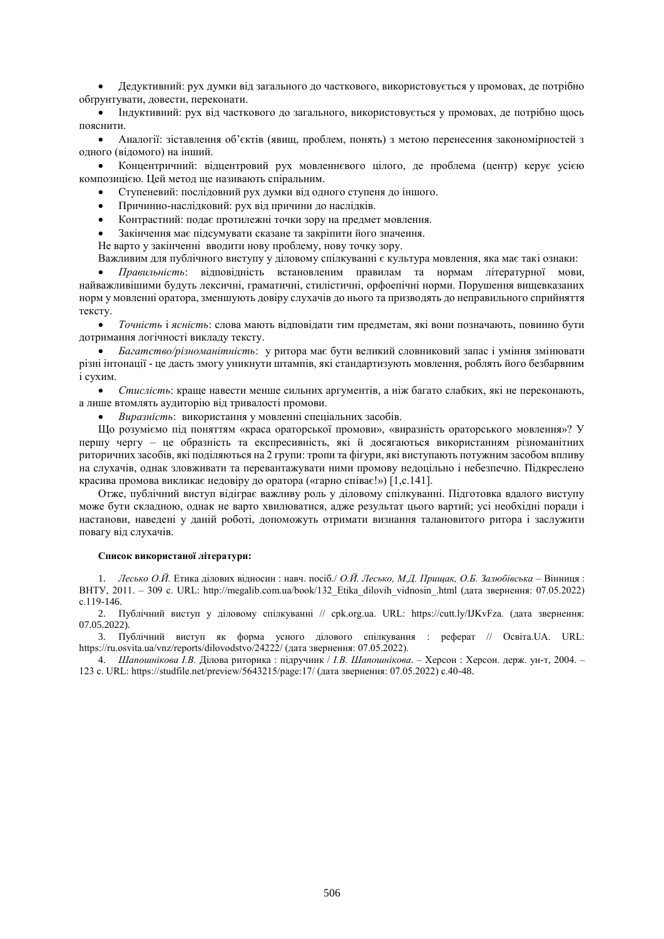Дедуктивний: рух думки від загального до часткового, використовується у промовах, де потрібно обґрунтувати, довести, переконати.

 Індуктивний: рух від часткового до загального, використовується у промовах, де потрібно щось пояснити.

 Аналогії: зіставлення об'єктів (явищ, проблем, понять) з метою перенесення закономірностей з одного (відомого) на інший.

 Концентричний: відцентровий рух мовленнєвого цілого, де проблема (центр) керує усією композицією. Цей метод ще називають спіральним.

Ступеневий: послідовний рух думки від одного ступеня до іншого.

- Причинно-наслідковий: рух від причини до наслідків.
- Контрастний: подає протилежні точки зору на предмет мовлення.

Закінчення має підсумувати сказане та закріпити його значення.

Не варто у закінченні вводити нову проблему, нову точку зору.

Важливим для публічного виступу у діловому спілкуванні є культура мовлення, яка має такі ознаки:

 *Правильність*: відповідність встановленим правилам та нормам літературної мови, найважливішими будуть лексичні, граматичні, стилістичні, орфоепічні норми. Порушення вищевказаних норм у мовленні оратора, зменшують довіру слухачів до нього та призводять до неправильного сприйняття тексту.

 *Точність* і *ясність*: слова мають відповідати тим предметам, які вони позначають, повинно бути дотримання логічності викладу тексту.

 *Багатство/різноманітність*: у ритора має бути великий словниковий запас і уміння змінювати різні інтонації - це дасть змогу уникнути штампів, які стандартизують мовлення, роблять його безбарвним і сухим.

 *Стислість*: краще навести менше сильних аргументів, а ніж багато слабких, які не переконають, а лише втомлять аудиторію від тривалості промови.

*Виразність*: використання у мовленні спеціальних засобів.

Що розуміємо під поняттям «краса ораторської промови», «виразність ораторського мовлення»? У першу чергу – це образність та експресивність, які й досягаються використанням різноманітних риторичних засобів, які поділяються на 2 групи: тропи та фігури, які виступають потужним засобом впливу на слухачів, однак зловживати та перевантажувати ними промову недоцільно і небезпечно. Підкреслено красива промова викликає недовіру до оратора («гарно співає!») [1,с.141].

Отже, публічний виступ відіграє важливу роль у діловому спілкуванні. Підготовка вдалого виступу може бути складною, однак не варто хвилюватися, адже результат цього вартий; усі необхідні поради і настанови, наведені у даній роботі, допоможуть отримати визнання талановитого ритора і заслужити повагу від слухачів.

#### **Список використаної літератури:**

<span id="page-8-0"></span>1. *Лесько О.Й.* Етика ділових відносин : навч. посіб./ *О.Й. Лесько, М.Д. Прищак, О.Б. Залюбівська* – Вінниця : ВНТУ, 2011. – 309 с. URL: http://megalib.com.ua/book/132\_Etika\_dilovih\_vidnosin\_.html (дата звернення: 07.05.2022) с.119-146.

2. Публічний виступ у діловому спілкуванні // cpk.org.ua. URL: https://cutt.ly/IJKvFza. (дата звернення: 07.05.2022).

3. Публічний виступ як форма усного ділового спілкування : реферат // Освіта.UA. URL: https://ru.osvita.ua/vnz/reports/dilovodstvo/24222/ (дата звернення: 07.05.2022).

4. *Шапошнікова І.В.* Ділова риторика : підручник / *І.В. Шапошнікова*. – Херсон : Херсон. держ. ун-т, 2004. – 123 с. URL: https://studfile.net/preview/5643215/page:17/ (дата звернення: 07.05.2022) с.40-48.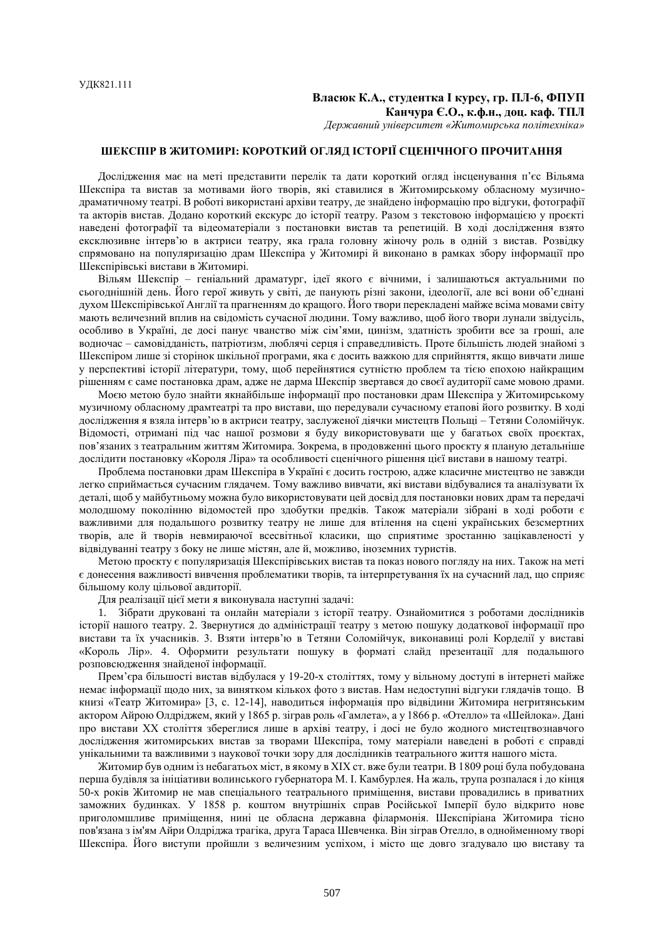### **ШЕКСПІР В ЖИТОМИРІ: КОРОТКИЙ ОГЛЯД ІСТОРІЇ СЦЕНІЧНОГО ПРОЧИТАННЯ**

Дослідження має на меті представити перелік та дати короткий огляд інсценування п'єс Вільяма Шекспіра та вистав за мотивами його творів, які ставилися в Житомирському обласному музичнодраматичному театрі. В роботі використані архіви театру, де знайдено інформацію про відгуки, фотографії та акторів вистав. Додано короткий екскурс до історії театру. Разом з текстовою інформацією у проєкті наведені фотографії та відеоматеріали з постановки вистав та репетицій. В ході дослідження взято ексклюзивне інтерв'ю в актриси театру, яка грала головну жіночу роль в одній з вистав. Розвідку спрямовано на популяризацію драм Шекспіра у Житомирі й виконано в рамках збору інформації про Шекспірівські вистави в Житомирі.

Вільям Шекспір – геніальний драматург, ідеї якого є вічними, і залишаються актуальними по сьогоднішній день. Його герої живуть у світі, де панують різні закони, ідеології, але всі вони об'єднані духом Шекспірівської Англії та прагненням до кращого. Його твори перекладені майже всіма мовами світу мають величезний вплив на свідомість сучасної людини. Тому важливо, щоб його твори лунали звідусіль, особливо в Україні, де досі панує чванство між сім'ями, цинізм, здатність зробити все за гроші, але водночас – самовідданість, патріотизм, люблячі серця і справедливість. Проте більшість людей знайомі з Шекспіром лише зі сторінок шкільної програми, яка є досить важкою для сприйняття, якщо вивчати лише у перспективі історії літератури, тому, щоб перейнятися сутністю проблем та тією епохою найкращим рішенням є саме постановка драм, адже не дарма Шекспір звертався до своєї аудиторії саме мовою драми.

Моєю метою було знайти якнайбільше інформації про постановки драм Шекспіра у Житомирському музичному обласному драмтеатрі та про вистави, що передували сучасному етапові його розвитку. В ході дослідження я взяла інтерв'ю в актриси театру, заслуженої діячки мистецтв Польщі – Тетяни Соломійчук. Відомості, отримані під час нашої розмови я буду використовувати ще у багатьох своїх проєктах, пов'язаних з театральним життям Житомира. Зокрема, в продовженні цього проєкту я планую детальніше дослідити постановку «Короля Ліра» та особливості сценічного рішення цієї вистави в нашому театрі.

Проблема постановки драм Шекспіра в Україні є досить гострою, адже класичне мистецтво не завжди легко сприймається сучасним глядачем. Тому важливо вивчати, які вистави відбувалися та аналізувати їх деталі, щоб у майбутньому можна було використовувати цей досвід для постановки нових драм та передачі молодшому поколінню відомостей про здобутки предків. Також матеріали зібрані в ході роботи є важливими для подальшого розвитку театру не лише для втілення на сцені українських безсмертних творів, але й творів невмираючої всесвітньої класики, що сприятиме зростанню зацікавленості у відвідуванні театру з боку не лише містян, але й, можливо, іноземних туристів.

Метою проєкту є популяризація Шекспірівських вистав та показ нового погляду на них. Також на меті є донесення важливості вивчення проблематики творів, та інтерпретування їх на сучасний лад, що сприяє більшому колу цільової авдиторії.

Для реалізації цієї мети я виконувала наступні задачі:

1. Зібрати друковані та онлайн матеріали з історії театру. Ознайомитися з роботами дослідників історії нашого театру. 2. Звернутися до адміністрації театру з метою пошуку додаткової інформації про вистави та їх учасників. 3. Взяти інтерв'ю в Тетяни Соломійчук, виконавиці ролі Корделії у виставі «Король Лір». 4. Оформити результати пошуку в форматі слайд презентації для подальшого розповсюдження знайденої інформації.

Прем'єра більшості вистав відбулася у 19-20-х століттях, тому у вільному доступі в інтернеті майже немає інформації щодо них, за винятком кількох фото з вистав. Нам недоступні відгуки глядачів тощо. В книзі «Театр Житомира» [3, c. 12-14], наводиться інформація про відвідини Житомира негритянським актором Айрою Олдріджем, який у 1865 р. зіграв роль «Гамлета», а у 1866 р. «Отелло» та «Шейлока». Дані про вистави ХХ століття збереглися лише в архіві театру, і досі не було жодного мистецтвознавчого дослідження житомирських вистав за творами Шекспіра, тому матеріали наведені в роботі є справді унікальними та важливими з наукової точки зору для дослідників театрального життя нашого міста.

Житомир був одним із небагатьох міст, в якому в ХІХ ст. вже були театри. В 1809 році була побудована перша будівля за ініціативи волинського губернатора М. І. Камбурлея. На жаль, трупа розпалася і до кінця 50-х років Житомир не мав спеціального театрального приміщення, вистави провадились в приватних заможних будинках. У 1858 р. коштом внутрішніх справ Російської Імперії було відкрито нове приголомшливе приміщення, нині це обласна державна філармонія. Шекспіріана Житомира тісно пов'язана з ім'ям Айри Олдріджа трагіка, друга Тараса Шевченка. Він зіграв Отелло, в однойменному творі Шекспіра. Його виступи пройшли з величезним успіхом, і місто ще довго згадувало цю виставу та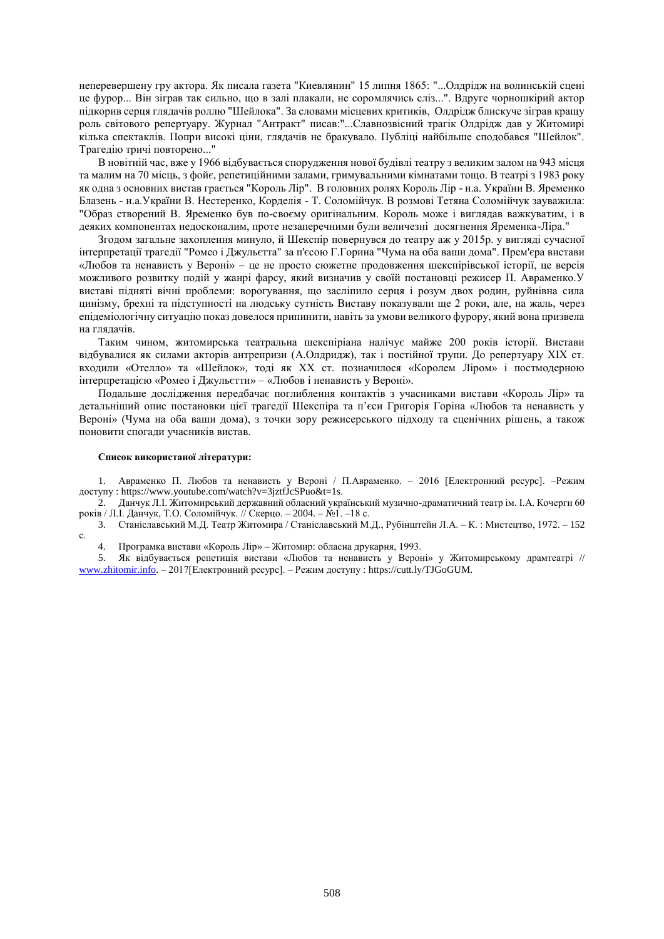неперевершену гру актора. Як писала газета "Киевлянин" 15 липня 1865: "...Олдрідж на волинській сцені це фурор... Він зіграв так сильно, що в залі плакали, не соромлячись сліз...". Вдруге чорношкірий актор підкорив серця глядачів роллю "Шейлока". За словами місцевих критиків, Олдрідж блискуче зіграв кращу роль світового репертуару. Журнал "Антракт" писав:"...Славнозвісний трагік Олдрідж дав у Житомирі кілька спектаклів. Попри високі ціни, глядачів не бракувало. Публіці найбільше сподобався "Шейлок". Трагедію тричі повторено..."

В новітній час, вже у 1966 відбувається спорудження нової будівлі театру з великим залом на 943 місця та малим на 70 місць, з фойє, репетиційними залами, гримувальними кімнатами тощо. В театрі з 1983 року як одна з основних вистав грається "Король Лір". В головних ролях Король Лір - н.а. України В. Яременко Блазень - н.а.України В. Нестеренко, Корделія - Т. Соломійчук. В розмові Тетяна Соломійчук зауважила: "Образ створений В. Яременко був по-своєму оригінальним. Король може і виглядав важкуватим, і в деяких компонентах недосконалим, проте незаперечними були величезні досягнення Яременка-Ліра."

Згодом загальне захоплення минуло, й Шекспір повернувся до театру аж у 2015р. у вигляді сучасної інтерпретації трагедії "Ромео і Джульєтта" за п'єсою Г.Горина "Чума на оба ваши дома". Прем'єра вистави «Любов та ненависть у Вероні» – це не просто сюжетне продовження шекспірівської історії, це версія можливого розвитку подій у жанрі фарсу, який визначив у своїй постановці режисер П. Авраменко.У виставі підняті вічні проблеми: ворогування, що засліпило серця і розум двох родин, руйнівна сила цинізму, брехні та підступності на людську сутність Виставу показували ще 2 роки, але, на жаль, через епідеміологічну ситуацію показ довелося припинити, навіть за умови великого фурору, який вона призвела на глядачів.

Таким чином, житомирська театральна шекспіріана налічує майже 200 років історії. Вистави відбувалися як силами акторів антрепризи (А.Олдридж), так і постійної трупи. До репертуару ХІХ ст. входили «Отелло» та «Шейлок», тоді як ХХ ст. позначилося «Королем Ліром» і постмодерною інтерпретацією «Ромео і Джульєтти» – «Любов і ненависть у Вероні».

Подальше дослідження передбачає поглиблення контактів з учасниками вистави «Король Лір» та детальніший опис постановки цієї трагедії Шекспіра та п'єси Григорія Горіна «Любов та ненависть у Вероні» (Чума на оба ваши дома), з точки зору режисерського підходу та сценічних рішень, а також поновити спогади учасників вистав.

### **Список використаної літератури:**

1. Авраменко П. Любов та ненависть у Вероні / П.Авраменко. – 2016 [Електронний ресурс]. –Режим доступу : [https://www.youtube.com/watch?v=3jztfJcSPuo&t=1s.](https://www.youtube.com/watch?v=3jztfJcSPuo&t=1s)

2. Данчук Л.І. Житомирський державний обласний український музично-драматичний театр ім. І.А. Кочерги 60 років / Л.І. Данчук, Т.О. Соломійчук. // Скерцо. – 2004. – №1. –18 с.

3. Станіславський М.Д. Театр Житомира / Станіславський М.Д., Рубінштейн Л.А. – К. : Мистецтво, 1972. – 152 с.

4. Програмка вистави «Король Лір» – Житомир: обласна друкарня, 1993.

5. Як відбувається репетиція вистави «Любов та ненависть у Вероні» у Житомирському драмтеатрі // [www.zhitomir.info.](http://www.zhitomir.info/) – 2017[Електронний ресурс]. – Режим доступу : https://cutt.ly/TJGoGUM.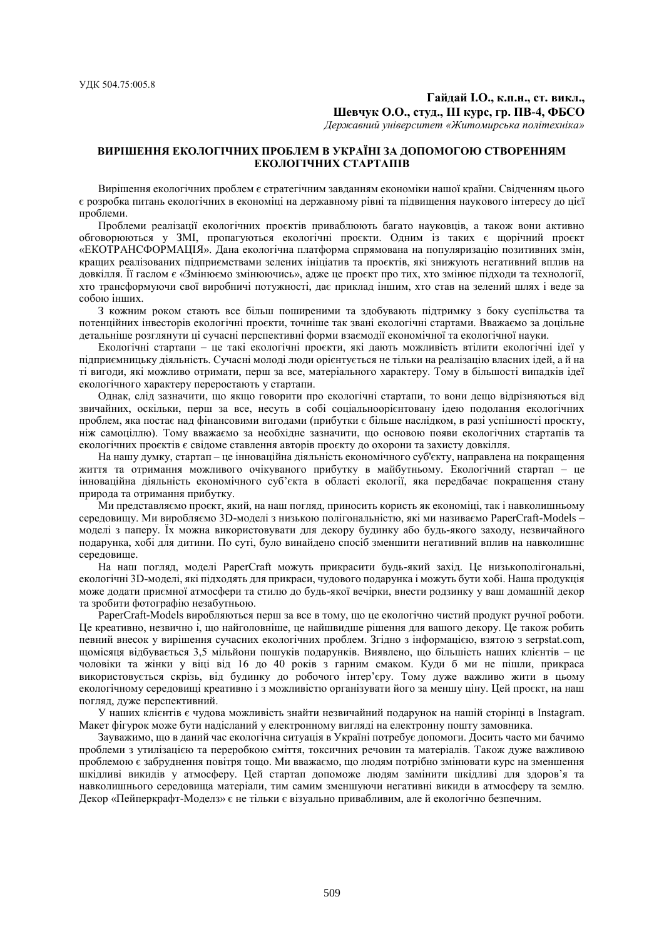**Гайдай І.О., к.п.н., ст. викл., Шевчук О.О., студ., ІІІ курс, гр. ПВ-4, ФБСО**

*Державний університет «Житомирська політехніка»*

### **ВИРІШЕННЯ ЕКОЛОГІЧНИХ ПРОБЛЕМ В УКРАЇНІ ЗА ДОПОМОГОЮ СТВОРЕННЯМ ЕКОЛОГІЧНИХ СТАРТАПІВ**

Вирішення екологічних проблем є стратегічним завданням економіки нашої країни. Свідченням цього є розробка питань екологічних в економіці на державному рівні та підвищення наукового інтересу до цієї проблеми.

Проблеми реалізації екологічних проєктів приваблюють багато науковців, а також вони активно обговорюються у ЗМІ, пропагуються екологічні проєкти. Одним із таких є щорічний проєкт «ЕКОТРАНСФОРМАЦІЯ». Дана екологічна платформа спрямована на популяризацію позитивних змін, кращих реалізованих підприємствами зелених ініціатив та проєктів, які знижують негативний вплив на довкілля. Її гаслом є «Змінюємо змінюючись», адже це проєкт про тих, хто змінює підходи та технології, хто трансформуючи свої виробничі потужності, дає приклад іншим, хто став на зелений шлях і веде за собою інших.

З кожним роком стають все більш поширеними та здобувають підтримку з боку суспільства та потенційних інвесторів екологічні проєкти, точніше так звані екологічні стартами. Вважаємо за доцільне детальніше розглянути ці сучасні перспективні форми взаємодії економічної та екологічної науки.

Екологічні стартапи – це такі екологічні проєкти, які дають можливість втілити екологічні ідеї у підприємницьку діяльність. Сучасні молоді люди орієнтується не тільки на реалізацію власних ідей, а й на ті вигоди, які можливо отримати, перш за все, матеріального характеру. Тому в більшості випадків ідеї екологічного характеру переростають у стартапи.

Однак, слід зазначити, що якщо говорити про екологічні стартапи, то вони дещо відрізняються від звичайних, оскільки, перш за все, несуть в собі соціальноорієнтовану ідею подолання екологічних проблем, яка постає над фінансовими вигодами (прибутки є більше наслідком, в разі успішності проєкту, ніж самоціллю). Тому вважаємо за необхідне зазначити, що основою появи екологічних стартапів та екологічних проєктів є свідоме ставлення авторів проєкту до охорони та захисту довкілля.

На нашу думку, стартап – це інноваційна діяльність економічного суб'єкту, направлена на покращення життя та отримання можливого очікуваного прибутку в майбутньому. Екологічний стартап – це інноваційна діяльність економічного суб'єкта в області екології, яка передбачає покращення стану природа та отримання прибутку.

Ми представляємо проєкт, який, на наш погляд, приносить користь як економіці, так і навколишньому середовищу. Ми виробляємо 3D-моделі з низькою полігональністю, які ми називаємо PaperCraft-Models – моделі з паперу. Їх можна використовувати для декору будинку або будь-якого заходу, незвичайного подарунка, хобі для дитини. По суті, було винайдено спосіб зменшити негативний вплив на навколишнє середовище.

На наш погляд, моделі PaperCraft можуть прикрасити будь-який захід. Це низькополігональні, екологічні 3D-моделі, які підходять для прикраси, чудового подарунка і можуть бути хобі. Наша продукція може додати приємної атмосфери та стилю до будь-якої вечірки, внести родзинку у ваш домашній декор та зробити фотографію незабутньою.

PaperCraft-Models виробляються перш за все в тому, що це екологічно чистий продукт ручної роботи. Це креативно, незвично і, що найголовніше, це найшвидше рішення для вашого декору. Це також робить певний внесок у вирішення сучасних екологічних проблем. Згідно з інформацією, взятою з serpstat.com, щомісяця відбувається 3,5 мільйони пошуків подарунків. Виявлено, що більшість наших клієнтів – це чоловіки та жінки у віці від 16 до 40 років з гарним смаком. Куди б ми не пішли, прикраса використовується скрізь, від будинку до робочого інтер'єру. Тому дуже важливо жити в цьому екологічному середовищі креативно і з можливістю організувати його за меншу ціну. Цей проєкт, на наш погляд, дуже перспективний.

У наших клієнтів є чудова можливість знайти незвичайний подарунок на нашій сторінці в Instagram. Макет фігурок може бути надісланий у електронному вигляді на електронну пошту замовника.

Зауважимо, що в даний час екологічна ситуація в Україні потребує допомоги. Досить часто ми бачимо проблеми з утилізацією та переробкою сміття, токсичних речовин та матеріалів. Також дуже важливою проблемою є забруднення повітря тощо. Ми вважаємо, що людям потрібно змінювати курс на зменшення шкідливі викидів у атмосферу. Цей стартап допоможе людям замінити шкідливі для здоров'я та навколишнього середовища матеріали, тим самим зменшуючи негативні викиди в атмосферу та землю. Декор «Пейперкрафт-Моделз» є не тільки є візуально привабливим, але й екологічно безпечним.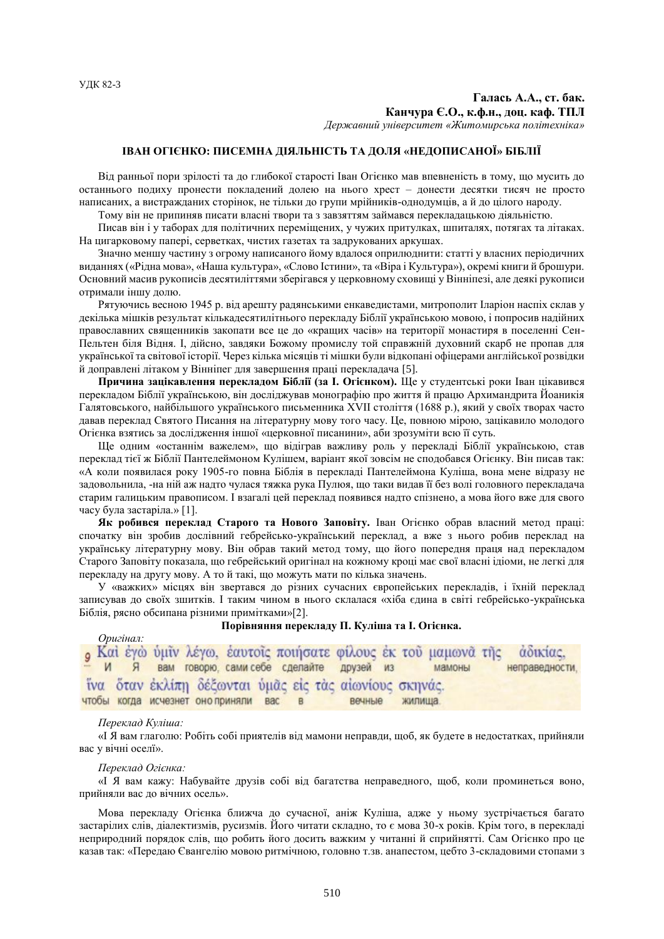### **Галась А.А., ст. бак. Канчура Є.О., к.ф.н., доц. каф. ТПЛ** *Державний університет «Житомирська політехніка»*

# **ІВАН ОГІЄНКО: ПИСЕМНА ДІЯЛЬНІСТЬ ТА ДОЛЯ «НЕДОПИСАНОЇ» БІБЛІЇ**

Від ранньої пори зрілості та до глибокої старості Іван Огієнко мав впевненість в тому, що мусить до останнього подиху пронести покладений долею на нього хрест – донести десятки тисяч не просто написаних, а вистражданих сторінок, не тільки до групи мрійників-однодумців, а й до цілого народу.

Тому він не припиняв писати власні твори та з завзяттям займався перекладацькою діяльністю.

Писав він і у таборах для політичних переміщених, у чужих притулках, шпиталях, потягах та літаках. На цигарковому папері, серветках, чистих газетах та задрукованих аркушах.

Значно меншу частину з огрому написаного йому вдалося оприлюднити: статті у власних періодичних виданнях («Рідна мова», «Наша культура», «Слово Істини», та «Віра і Культура»), окремі книги й брошури. Основний масив рукописів десятиліттями зберігався у церковному сховищі у Вінніпезі, але деякі рукописи отримали іншу долю.

Рятуючись весною 1945 р. від арешту радянськими енкаведистами, митрополит Іларіон наспіх склав у декілька мішків результат кількадесятилітнього перекладу Біблії українською мовою, і попросив надійних православних священників закопати все це до «кращих часів» на території монастиря в поселенні Сен-Пельтен біля Відня. І, дійсно, завдяки Божому промислу той справжній духовний скарб не пропав для української та світової історії. Через кілька місяців ті мішки були відкопані офіцерами англійської розвідки й доправлені літаком у Вінніпег для завершення праці перекладача [5].

**Причина зацікавлення перекладом Біблії (за І. Огієнком).** Ще у студентські роки Іван цікавився перекладом Біблії українською, він досліджував монографію про життя й працю Архимандрита Йоаникія Галятовського, найбільшого українського письменника ХVІІ століття (1688 р.), який у своїх творах часто давав переклад Святого Писання на літературну мову того часу. Це, повною мірою, зацікавило молодого Огієнка взятись за дослідження іншої «церковної писанини», аби зрозуміти всю її суть.

Ще одним «останнім важелем», що відіграв важливу роль у перекладі Біблії українською, став переклад тієї ж Біблії Пантелеймоном Кулішем, варіант якої зовсім не сподобався Огієнку. Він писав так: «А коли появилася року 1905-гo повна Біблія в перекладі Пантелеймона Куліша, вона мене відразу не задовольнила, на ній аж надто чулася тяжка рука Пулюя, що таки видав її без волі головного перекладача старим галицьким правописом. І взагалі цей переклад появився надто спізнено, а мова його вже для cвoгo часу була застаріла.» [1].

**Як робився переклад Старого та Нового Заповіту.** Іван Огієнко обрав власний метод праці: спочатку він зробив дослівний гебрейсько-український переклад, а вже з нього робив переклад на українську літературну мову. Він обрав такий метод тому, що його попередня праця над перекладом Старого Заповіту показала, що гебрейський оригінал на кожному кроці має свої власні ідіоми, не легкі для перекладу на другу мову. А то й такі, що можуть мати по кілька значень.

У «важких» місцях він звертався до різних сучасних європейських перекладів, і їхній переклад записував до своїх зшитків. І таким чином в нього склалася «хіба єдина в світі гебрейсько-українська Біблія, рясно обсипана різними примітками»[2].

#### **Порівняння перекладу П. Куліша та І. Огієнка.**

*Ορигінал:*<br>**9 Καί έγω ύμιν** λέγω, έαυτοις ποιήσατε φίλους έκ του μαμωνά της αδικίας.  $\mathbf{R}$ вам говорю, сами себе сделайте друзей из мамоны неправедности. ίνα όταν εκλίπη δέξωνται ύμας είς τας αίωνίους σκηνάς. чтобы когда исчезнет оно приняли вас  $\overline{B}$ вечные жилища

#### *Переклад Куліша:*

«І Я вам глаголю: Робіть собі приятелів від мамони неправди, щоб, як будете в недостатках, прийняли вас у вічні оселї».

#### *Переклад Огієнка:*

«І Я вам кажу: Набувайте друзів собі від багатства неправедного, щоб, коли проминеться воно, прийняли вас до вічних осель».

Мова перекладу Огієнка ближча до сучасної, аніж Куліша, адже у ньому зустрічається багато застарілих слів, діалектизмів, русизмів. Його читати складно, то є мова 30-х років. Крім того, в перекладі неприродний порядок слів, що робить його досить важким у читанні й сприйнятті. Сам Огієнко про це казав так: «Передаю Євангелію мовою ритмічною, головно т.зв. анапестом, цебто 3-складовими стопами з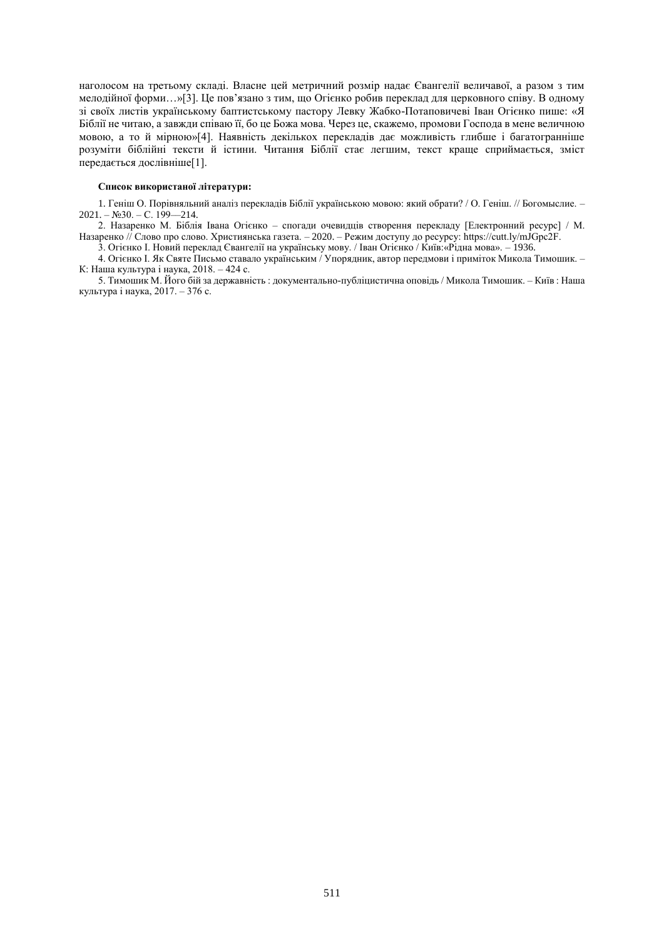наголосом на третьому складі. Власне цей метричний розмір надає Євангелії величавої, а разом з тим мелодійної форми…»[3]. Це пов'язано з тим, що Огієнко робив переклад для церковного співу. В одному зі своїх листів українському баптистському пастору Левку Жабко-Потаповичеві Іван Огієнко пише: «Я Біблії не читаю, а завжди співаю її, бо це Божа мова. Через це, скажемо, промови Господа в мене величною мовою, а то й мірною»[4]. Наявність декількох перекладів дає можливість глибше і багатогранніше розуміти біблійні тексти й істини. Читання Біблії стає легшим, текст краще сприймається, зміст передається дослівніше[1].

#### **Список використаної літератури:**

1. Геніш О. Порівняльний аналіз перекладів Біблії українською мовою: який обрати? / О. Геніш. // Богомыслие. – 2021. – №30. – С. 199––214.

2. Назаренко М. Біблія Івана Огієнко – спогади очевидців створення перекладу [Електронний ресурс] / М. Назаренко // Слово про слово. Християнська газета. – 2020. – Режим доступу до ресурсу: https://cutt.ly/mJGpc2F.

3. Огієнко І. Новий переклад Євангелії на українську мову. / Іван Огієнко / Київ:«Рідна мова». – 1936.

4. Огієнко І. Як Святе Письмо ставало українським / Упорядник, автор передмови і приміток Микола Тимошик. – К: Наша культура і наука, 2018. – 424 с.

5. Тимошик М. Його бій за державність : документально-публіцистична оповідь / Микола Тимошик. – Київ : Наша культура і наука, 2017. – 376 с.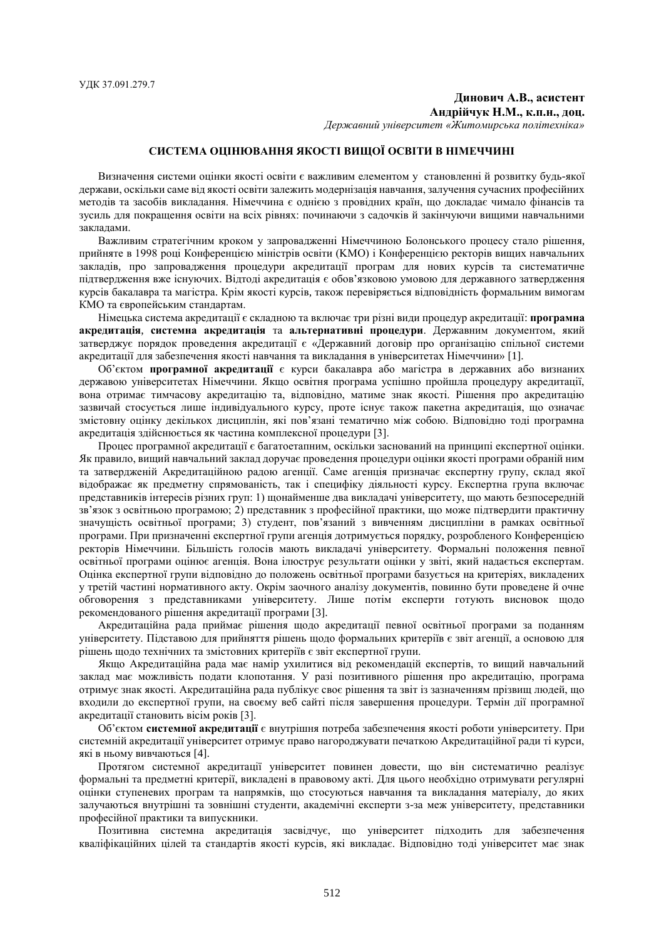### **Динович А.В., асистент Андрійчук Н.М., к.п.н., доц.** *Державний університет «Житомирська політехніка»*

# **СИСТЕМА ОЦІНЮВАННЯ ЯКОСТІ ВИЩОЇ ОСВІТИ В НІМЕЧЧИНІ**

Визначення системи оцінки якості освіти є важливим елементом у становленні й розвитку будь-якої держави, оскільки саме від якості освіти залежить модернізація навчання, залучення сучасних професійних методів та засобів викладання. Німеччина є однією з провідних країн, що докладає чимало фінансів та зусиль для покращення освіти на всіх рівнях: починаючи з садочків й закінчуючи вищими навчальними заклалами.

Важливим стратегічним кроком у запровадженні Німеччиною Болонського процесу стало рішення, прийняте в 1998 році Конференцією міністрів освіти (KMО) і Конференцією ректорів вищих навчальних закладів, про запровадження процедури акредитації програм для нових курсів та систематичне підтвердження вже існуючих. Відтоді акредитація є обов'язковою умовою для державного затвердження курсів бакалавра та магістра. Крім якості курсів, також перевіряється відповідність формальним вимогам КМО та європейським стандартам.

Німецька система акредитації є складною та включає три різні види процедур акредитації: **програмна акредитація**, **системна акредитація** та **альтернативні процедури**. Державним документом, який затверджує порядок проведення акредитації є «Державний договір про організацію спільної системи акредитації для забезпечення якості навчання та викладання в університетах Німеччини» [1].

Об'єктом **програмної акредитації** є курси бакалавра або магістра в державних або визнаних державою університетах Німеччини. Якщо освітня програма успішно пройшла процедуру акредитації, вона отримає тимчасову акредитацію та, відповідно, матиме знак якості. Рішення про акредитацію зазвичай стосується лише індивідуального курсу, проте існує також пакетна акредитація, що означає змістовну оцінку декількох дисциплін, які пов'язані тематично між собою. Відповідно тоді програмна акредитація здійснюється як частина комплексної процедури [3].

Процес програмної акредитації є багатоетапним, оскільки заснований на принципі експертної оцінки. Як правило, вищий навчальний заклад доручає проведення процедури оцінки якості програми обраній ним та затвердженій Акредитаційною радою агенції. Саме агенція призначає експертну групу, склад якої відображає як предметну спрямованість, так і специфіку діяльності курсу. Експертна група включає представників інтересів різних груп: 1) щонайменше два викладачі університету, що мають безпосередній зв'язок з освітньою програмою; 2) представник з професійної практики, що може підтвердити практичну значущість освітньої програми; 3) студент, пов'язаний з вивченням дисципліни в рамках освітньої програми. При призначенні експертної групи агенція дотримується порядку, розробленого Конференцією ректорів Німеччини. Більшість голосів мають викладачі університету. Формальні положення певної освітньої програми оцінює агенція. Вона ілюструє результати оцінки у звіті, який надається експертам. Оцінка експертної групи відповідно до положень освітньої програми базується на критеріях, викладених у третій частині нормативного акту. Окрім заочного аналізу документів, повинно бути проведене й очне обговорення з представниками університету. Лише потім експерти готують висновок щодо рекомендованого рішення акредитації програми [3].

Акредитаційна рада приймає рішення щодо акредитації певної освітньої програми за поданням університету. Підставою для прийняття рішень щодо формальних критеріїв є звіт агенції, а основою для рішень щодо технічних та змістовних критеріїв є звіт експертної групи.

Якщо Акредитаційна рада має намір ухилитися від рекомендацій експертів, то вищий навчальний заклад має можливість подати клопотання. У разі позитивного рішення про акредитацію, програма отримує знак якості. Акредитаційна рада публікує своє рішення та звіт із зазначенням прізвищ людей, що входили до експертної групи, на своєму веб сайті після завершення процедури. Термін дії програмної акредитації становить вісім років [3].

Об'єктом **системної акредитації** є внутрішня потреба забезпечення якості роботи університету. При системній акредитації університет отримує право нагороджувати печаткою Акредитаційної ради ті курси, які в ньому вивчаються [4].

Протягом системної акредитації університет повинен довести, що він систематично реалізує формальні та предметні критерії, викладені в правовому акті. Для цього необхідно отримувати регулярні оцінки ступеневих програм та напрямків, що стосуються навчання та викладання матеріалу, до яких залучаються внутрішні та зовнішні студенти, академічні експерти з-за меж університету, представники професійної практики та випускники.

Позитивна системна акредитація засвідчує, що університет підходить для забезпечення кваліфікаційних цілей та стандартів якості курсів, які викладає. Відповідно тоді університет має знак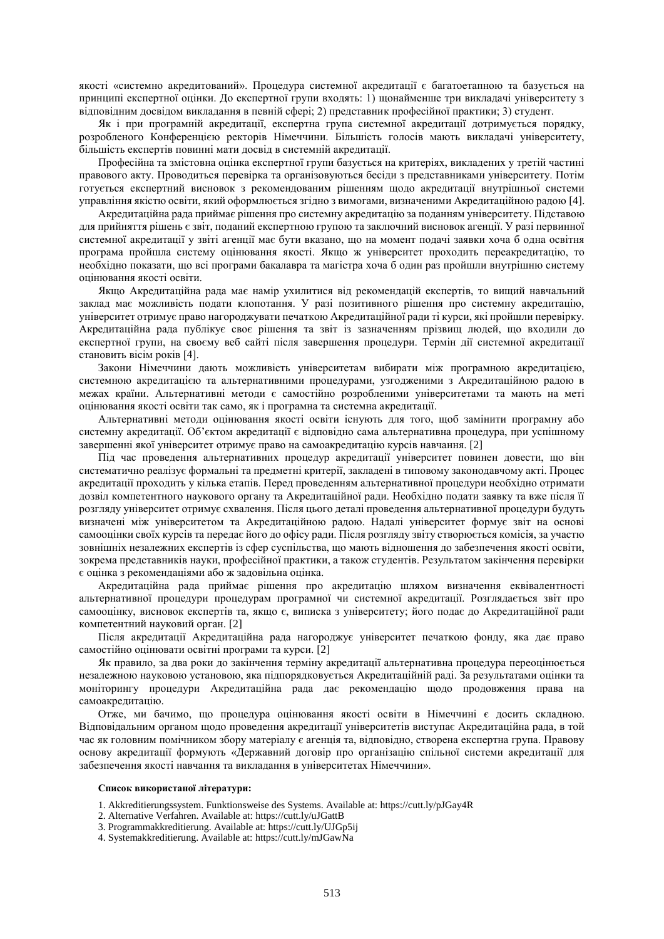якості «системно акредитований». Процедура системної акредитації є багатоетапною та базується на принципі експертної оцінки. До експертної групи входять: 1) щонайменше три викладачі університету з відповідним досвідом викладання в певній сфері; 2) представник професійної практики; 3) студент.

Як і при програмній акредитації, експертна група системної акредитації дотримується порядку, розробленого Конференцією ректорів Німеччини. Більшість голосів мають викладачі університету, більшість експертів повинні мати досвід в системній акредитації.

Професійна та змістовна оцінка експертної групи базується на критеріях, викладених у третій частині правового акту. Проводиться перевірка та організовуються бесіди з представниками університету. Потім готується експертний висновок з рекомендованим рішенням щодо акредитації внутрішньої системи управління якістю освіти, який оформлюється згідно з вимогами, визначеними Акредитаційною радою [4].

Акредитаційна рада приймає рішення про системну акредитацію за поданням університету. Підставою для прийняття рішень є звіт, поданий експертною групою та заключний висновок агенції. У разі первинної системної акредитації у звіті агенції має бути вказано, що на момент подачі заявки хоча б одна освітня програма пройшла систему оцінювання якості. Якщо ж університет проходить переакредитацію, то необхідно показати, що всі програми бакалавра та магістра хоча б один раз пройшли внутрішню систему оцінювання якості освіти.

Якщо Акредитаційна рада має намір ухилитися від рекомендацій експертів, то вищий навчальний заклад має можливість подати клопотання. У разі позитивного рішення про системну акредитацію, університет отримує право нагороджувати печаткою Акредитаційної ради ті курси, які пройшли перевірку. Акредитаційна рада публікує своє рішення та звіт із зазначенням прізвищ людей, що входили до експертної групи, на своєму веб сайті після завершення процедури. Термін дії системної акредитації становить вісім років [4].

Закони Німеччини дають можливість університетам вибирати між програмною акредитацією, системною акредитацією та альтернативними процедурами, узгодженими з Акредитаційною радою в межах країни. Альтернативні методи є самостійно розробленими університетами та мають на меті оцінювання якості освіти так само, як і програмна та системна акредитації.

Альтернативні методи оцінювання якості освіти існують для того, щоб замінити програмну або системну акредитації. Об'єктом акредитації є відповідно сама альтернативна процедура, при успішному завершенні якої університет отримує право на самоакредитацію курсів навчання. [2]

Під час проведення альтернативних процедур акредитації університет повинен довести, що він систематично реалізує формальні та предметні критерії, закладені в типовому законодавчому акті. Процес акредитації проходить у кілька етапів. Перед проведенням альтернативної процедури необхідно отримати дозвіл компетентного наукового органу та Акредитаційної ради. Необхідно подати заявку та вже після її розгляду університет отримує схвалення. Після цього деталі проведення альтернативної процедури будуть визначені між університетом та Акредитаційною радою. Надалі університет формує звіт на основі самооцінки своїх курсів та передає його до офісу ради. Після розгляду звіту створюється комісія, за участю зовнішніх незалежних експертів із сфер суспільства, що мають відношення до забезпечення якості освіти, зокрема представників науки, професійної практики, а також студентів. Результатом закінчення перевірки є оцінка з рекомендаціями або ж задовільна оцінка.

Акредитаційна рада приймає рішення про акредитацію шляхом визначення еквівалентності альтернативної процедури процедурам програмної чи системної акредитації. Розглядається звіт про самооцінку, висновок експертів та, якщо є, виписка з університету; його подає до Акредитаційної ради компетентний науковий орган. [2]

Після акредитації Акредитаційна рада нагороджує університет печаткою фонду, яка дає право самостійно оцінювати освітні програми та курси. [2]

Як правило, за два роки до закінчення терміну акредитації альтернативна процедура переоцінюється незалежною науковою установою, яка підпорядковується Акредитаційній раді. За результатами оцінки та моніторингу процедури Акредитаційна рада дає рекомендацію щодо продовження права на самоакредитацію.

Отже, ми бачимо, що процедура оцінювання якості освіти в Німеччині є досить складною. Відповідальним органом щодо проведення акредитації університетів виступає Акредитаційна рада, в той час як головним помічником збору матеріалу є агенція та, відповідно, створена експертна група. Правову основу акредитації формують «Державний договір про організацію спільної системи акредитації для забезпечення якості навчання та викладання в університетах Німеччини».

#### **Список використаної літератури:**

- 1. Akkreditierungssystem. Funktionsweise des Systems. Available at: https://cutt.ly/pJGay4R
- 2. Alternative Verfahren. Available at: https://cutt.ly/uJGattB
- 3. Programmakkreditierung. Available at: https://cutt.ly/UJGp5ij
- 4. Systemakkreditierung. Available at: https://cutt.ly/mJGawNa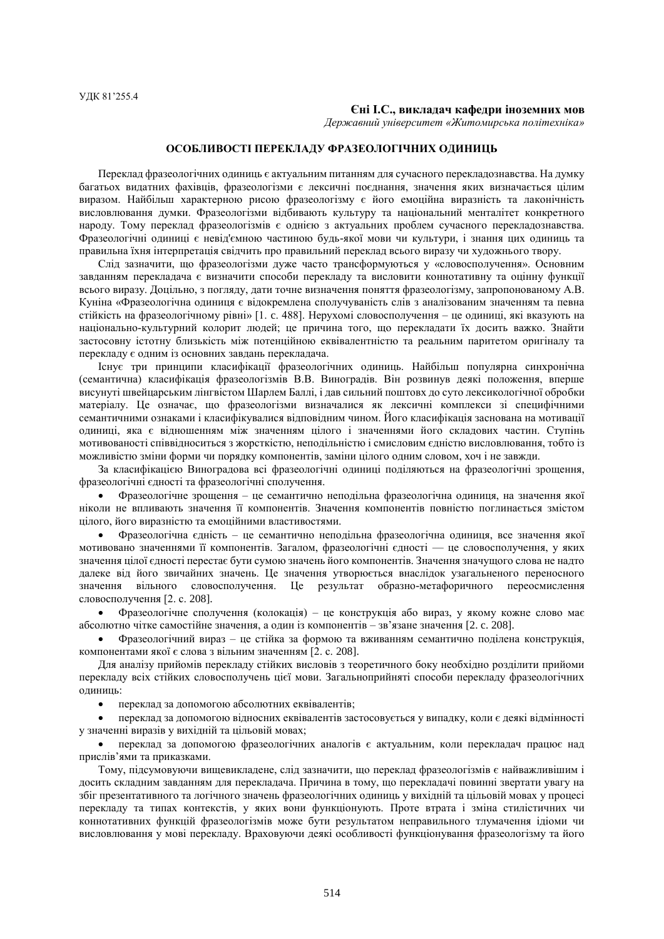### **Єні І.С., викладач кафедри іноземних мов**

*Державний університет «Житомирська політехніка»*

### **ОСОБЛИВОСТІ ПЕРЕКЛАДУ ФРАЗЕОЛОГІЧНИХ ОДИНИЦЬ**

Переклад фразеологічних одиниць є актуальним питанням для сучасного перекладознавства. На думку багатьох видатних фахівців, фразеологізми є лексичні поєднання, значення яких визначається цілим виразом. Найбільш характерною рисою фразеологізму є його емоційна виразність та лаконічність висловлювання думки. Фразеологізми відбивають культуру та національний менталітет конкретного народу. Тому переклад фразеологізмів є однією з актуальних проблем сучасного перекладознавства. Фразеологічні одиниці є невід'ємною частиною будь-якої мови чи культури, і знання цих одиниць та правильна їхня інтерпретація свідчить про правильний переклад всього виразу чи художнього твору.

Слід зазначити, що фразеологізми дуже часто трансформуються у «словосполучення». Основним завданням перекладача є визначити способи перекладу та висловити коннотативну та оцінну функції всього виразу. Доцільно, з погляду, дати точне визначення поняття фразеологізму, запропонованому А.В. Куніна «Фразеологічна одиниця є відокремлена сполучуваність слів з аналізованим значенням та певна стійкість на фразеологічному рівні» [1. c. 488]. Нерухомі словосполучення – це одиниці, які вказують на національно-культурний колорит людей; це причина того, що перекладати їх досить важко. Знайти застосовну істотну близькість між потенційною еквівалентністю та реальним паритетом оригіналу та перекладу є одним із основних завдань перекладача.

Існує три принципи класифікації фразеологічних одиниць. Найбільш популярна синхронічна (семантична) класифікація фразеологізмів В.В. Виноградів. Він розвинув деякі положення, вперше висунуті швейцарським лінгвістом Шарлем Баллі, і дав сильний поштовх до суто лексикологічної обробки матеріалу. Це означає, що фразеологізми визначалися як лексичні комплекси зі специфічними семантичними ознаками і класифікувалися відповідним чином. Його класифікація заснована на мотивації одиниці, яка є відношенням між значенням цілого і значеннями його складових частин. Ступінь мотивованості співвідноситься з жорсткістю, неподільністю і смисловим єдністю висловлювання, тобто із можливістю зміни форми чи порядку компонентів, заміни цілого одним словом, хоч і не завжди.

За класифікацією Виноградова всі фразеологічні одиниці поділяються на фразеологічні зрощення, фразеологічні єдності та фразеологічні сполучення.

 Фразеологічне зрощення – це семантично неподільна фразеологічна одиниця, на значення якої ніколи не впливають значення її компонентів. Значення компонентів повністю поглинається змістом цілого, його виразністю та емоційними властивостями.

 Фразеологічна єдність – це семантично неподільна фразеологічна одиниця, все значення якої мотивовано значеннями її компонентів. Загалом, фразеологічні єдності — це словосполучення, у яких значення цілої єдності перестає бути сумою значень його компонентів. Значення значущого слова не надто далеке від його звичайних значень. Це значення утворюється внаслідок узагальненого переносного значення вільного словосполучення. Це результат образно-метафоричного переосмислення словосполучення [2. c. 208].

 Фразеологічне сполучення (колокація) – це конструкція або вираз, у якому кожне слово має абсолютно чітке самостійне значення, а один із компонентів – зв'язане значення [2. c. 208].

 Фразеологічний вираз – це стійка за формою та вживанням семантично поділена конструкція, компонентами якої є слова з вільним значенням [2. c. 208].

Для аналізу прийомів перекладу стійких висловів з теоретичного боку необхідно розділити прийоми перекладу всіх стійких словосполучень цієї мови. Загальноприйняті способи перекладу фразеологічних одиниць:

переклад за допомогою абсолютних еквівалентів;

 переклад за допомогою відносних еквівалентів застосовується у випадку, коли є деякі відмінності у значенні виразів у вихідній та цільовій мовах;

 переклад за допомогою фразеологічних аналогів є актуальним, коли перекладач працює над прислів'ями та приказками.

Тому, підсумовуючи вищевикладене, слід зазначити, що переклад фразеологізмів є найважливішим і досить складним завданням для перекладача. Причина в тому, що перекладачі повинні звертати увагу на збіг презентативного та логічного значень фразеологічних одиниць у вихідній та цільовій мовах у процесі перекладу та типах контекстів, у яких вони функціонують. Проте втрата і зміна стилістичних чи коннотативних функцій фразеологізмів може бути результатом неправильного тлумачення ідіоми чи висловлювання у мові перекладу. Враховуючи деякі особливості функціонування фразеологізму та його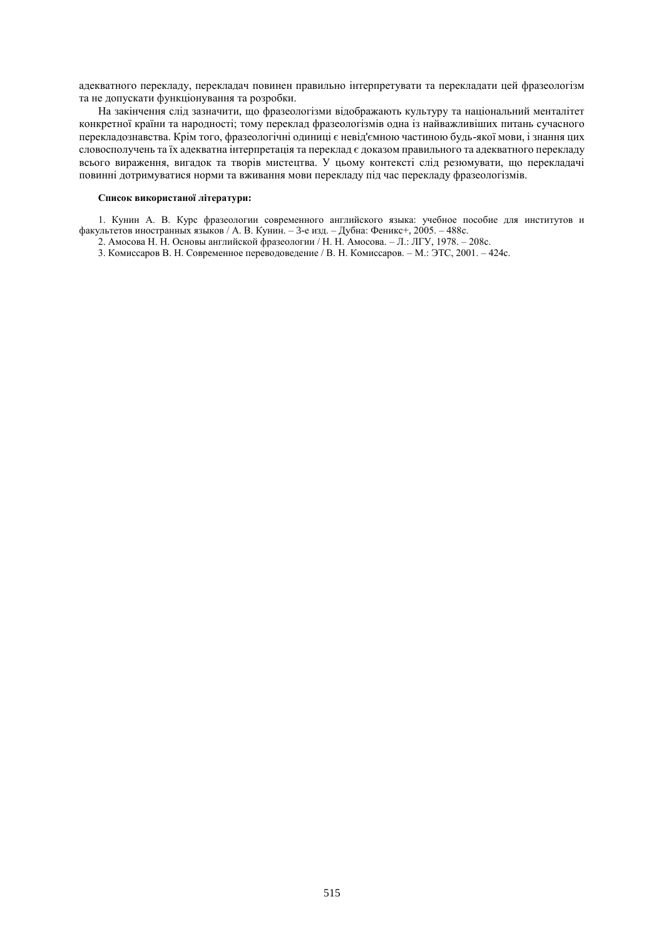адекватного перекладу, перекладач повинен правильно інтерпретувати та перекладати цей фразеологізм та не допускати функціонування та розробки.

На закінчення слід зазначити, що фразеологізми відображають культуру та національний менталітет конкретної країни та народності; тому переклад фразеологізмів одна із найважливіших питань сучасного перекладознавства. Крім того, фразеологічні одиниці є невід'ємною частиною будь-якої мови, і знання цих словосполучень та їх адекватна інтерпретація та переклад є доказом правильного та адекватного перекладу всього вираження, вигадок та творів мистецтва. У цьому контексті слід резюмувати, що перекладачі повинні дотримуватися норми та вживання мови перекладу під час перекладу фразеологізмів.

#### **Список використаної літератури:**

1. Кунин А. В. Курс фразеологии современного английского языка: учебное пособие для институтов и факультетов иностранных языков / А. В. Кунин. – 3-е изд. – Дубна: Феникс+, 2005. – 488с.

2. Амосова Н. Н. Основы английской фразеологии / Н. Н. Амосова. – Л.: ЛГУ, 1978. – 208с.

3. Комиссаров В. Н. Современное переводоведение / В. Н. Комиссаров. – М.: ЭТС, 2001. – 424с.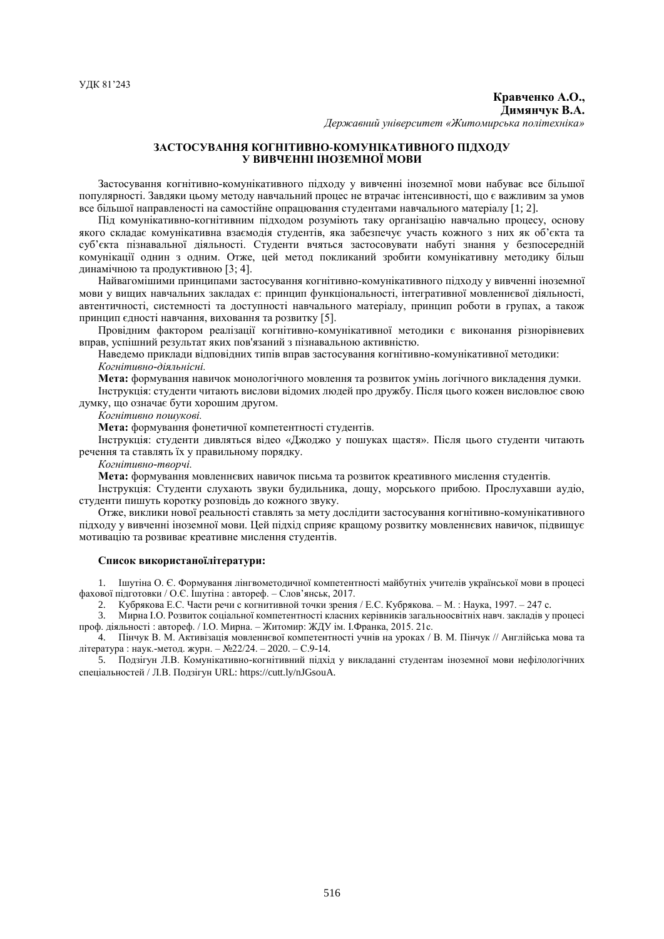### **ЗАСТОСУВАННЯ КОГНІТИВНО-КОМУНІКАТИВНОГО ПІДХОДУ У ВИВЧЕННІ ІНОЗЕМНОЇ МОВИ**

Застосування когнітивно-комунікативного підходу у вивченні іноземної мови набуває все більшої популярності. Завдяки цьому методу навчальний процес не втрачає інтенсивності, що є важливим за умов все більшої направленості на самостійне опрацювання студентами навчального матеріалу [1; 2].

Під комунікативно-когнітивним підходом розуміють таку організацію навчально процесу, основу якого складає комунікативна взаємодія студентів, яка забезпечує участь кожного з них як об'єкта та суб'єкта пізнавальної діяльності. Студенти вчяться застосовувати набуті знання у безпосередній комунікації однин з одним. Отже, цей метод покликаний зробити комунікативну методику більш динамічною та продуктивною [3; 4].

Найвагомішими принципами застосування когнітивно-комунікативного підходу у вивченні іноземної мови у вищих навчальних закладах є: принцип функціональності, інтегративної мовленнєвої діяльності, автентичності, системності та доступності навчального матеріалу, принцип роботи в групах, а також принцип єдності навчання, виховання та розвитку [5].

Провідним фактором реалізації когнітивно-комунікативної методики є виконання різнорівневих вправ, успішний результат яких пов'язаний з пізнавальною активністю.

Наведемо приклади відповідних типів вправ застосування когнітивно-комунікативної методики: *Когнітивно-діяльнісні.*

**Мета:** формування навичок монологічного мовлення та розвиток умінь логічного викладення думки.

Інструкція: студенти читають вислови відомих людей про дружбу. Після цього кожен висловлює свою думку, що означає бути хорошим другом.

*Когнітивно пошукові.*

**Мета:** формування фонетичної компетентності студентів.

Інструкція: студенти дивляться відео «Джоджо у пошуках щастя». Після цього студенти читають речення та ставлять їх у правильному порядку.

*Когнітивно-творчі.*

**Мета:** формування мовленнєвих навичок письма та розвиток креативного мислення студентів.

Інструкція: Студенти слухають звуки будильника, дощу, морського прибою. Прослухавши аудіо, студенти пишуть коротку розповідь до кожного звуку.

Отже, виклики нової реальності ставлять за мету дослідити застосування когнітивно-комунікативного підходу у вивченні іноземної мови. Цей підхід сприяє кращому розвитку мовленнєвих навичок, підвищує мотивацію та розвиває креативне мислення студентів.

#### **Список використаноїлітератури:**

1. Ішутіна О. Є. Формування лінгвометодичної компетентності майбутніх учителів української мови в процесі фахової підготовки / О.Є. Ішутіна : автореф. – Слов'янськ, 2017.

2. Кубрякова Е.С. Части речи с когнитивной точки зрения / Е.С. Кубрякова. – М. : Наука, 1997. – 247 с.

3. Мирна І.О. Розвиток соціальної компетентності класних керівників загальноосвітніх навч. закладів у процесі проф. діяльності : автореф. / І.О. Мирна. – Житомир: ЖДУ ім. І.Франка, 2015. 21с.

4. Пінчук В. М. Активізація мовленнєвої компетентності учнів на уроках / В. М. Пінчук // Англійська мова та література : наук.-метод. журн. – №22/24. – 2020. – С.9-14.

5. Подзігун Л.В. Комунікативно-когнітивний підхід у викладанні студентам іноземної мови нефілологічних спеціальностей / Л.В. Подзігун URL: https://cutt.ly/nJGsouA.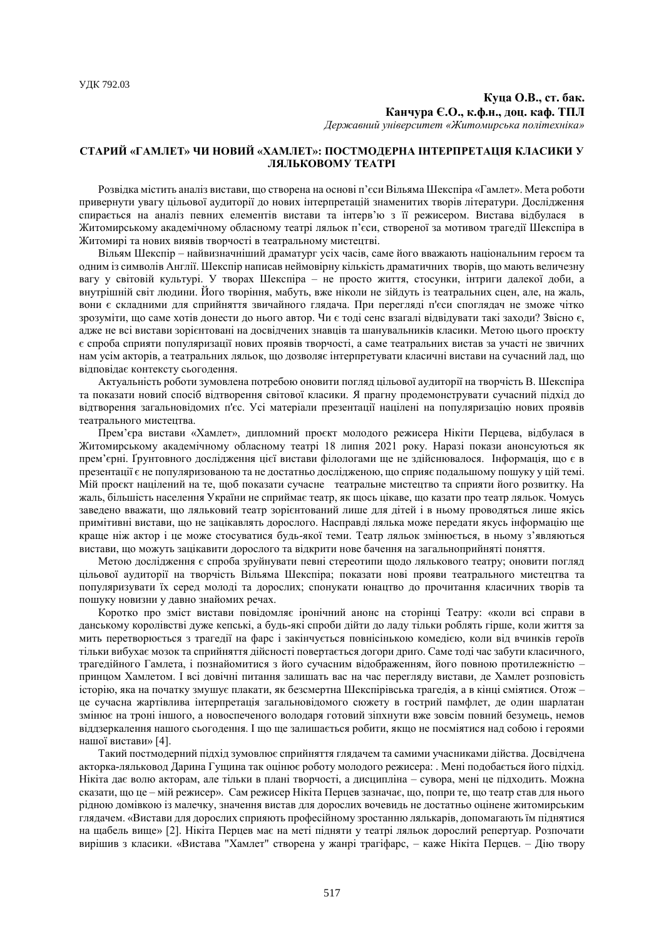# **Куца О.В., ст. бак. Канчура Є.О., к.ф.н., доц. каф. ТПЛ**

*Державний університет «Житомирська політехніка»*

### **СТАРИЙ «ГАМЛЕТ» ЧИ НОВИЙ «ХАМЛЕТ»: ПОСТМОДЕРНА ІНТЕРПРЕТАЦІЯ КЛАСИКИ У ЛЯЛЬКОВОМУ ТЕАТРІ**

Розвідка містить аналіз вистави, що створена на основі п'єси Вільяма Шекспіра «Гамлет». Мета роботи привернути увагу цільової аудиторії до нових інтерпретацій знаменитих творів літератури. Дослідження спирається на аналіз певних елементів вистави та інтерв'ю з її режисером. Вистава відбулася в Житомирському академічному обласному театрі ляльок п'єси, створеної за мотивом трагедії Шекспіра в Житомирі та нових виявів творчості в театральному мистецтві.

Вільям Шекспір – найвизначніший драматург усіх часів, саме його вважають національним героєм та одним із символів Англії. Шекспір написав неймовірну кількість драматичних творів, що мають величезну вагу у світовій культурі. У творах Шекспіра – не просто життя, стосунки, інтриги далекої доби, а внутрішній світ людини. Його творіння, мабуть, вже ніколи не зійдуть із театральних сцен, але, на жаль, вони є складними для сприйняття звичайного глядача. При перегляді п'єси споглядач не зможе чітко зрозуміти, що саме хотів донести до нього автор. Чи є тоді сенс взагалі відвідувати такі заходи? Звісно є, адже не всі вистави зорієнтовані на досвідчених знавців та шанувальників класики. Метою цього проєкту є спроба сприяти популяризації нових проявів творчості, а саме театральних вистав за участі не звичних нам усім акторів, а театральних ляльок, що дозволяє інтерпретувати класичні вистави на сучасний лад, що відповідає контексту сьогодення.

Актуальність роботи зумовлена потребою оновити погляд цільової аудиторії на творчість В. Шекспіра та показати новий спосіб відтворення світової класики. Я прагну продемонструвати сучасний підхід до відтворення загальновідомих п'єс. Усі матеріали презентації націлені на популяризацію нових проявів театрального мистецтва.

Прем'єра вистави «Хамлет», дипломний проєкт молодого режисера Нікіти Перцева, відбулася в Житомирському академічному обласному театрі 18 липня 2021 року. Наразі покази анонсуються як прем'єрні. Ґрунтовного дослідження цієї вистави філологами ще не здійснювалося. Інформація, що є в презентації є не популяризованою та не достатньо дослідженою, що сприяє подальшому пошуку у цій темі. Мій проєкт націлений на те, щоб показати сучасне театральне мистецтво та сприяти його розвитку. На жаль, більшість населення України не сприймає театр, як щось цікаве, що казати про театр ляльок. Чомусь заведено вважати, що ляльковий театр зорієнтований лише для дітей і в ньому проводяться лише якісь примітивні вистави, що не зацікавлять дорослого. Насправді лялька може передати якусь інформацію ще краще ніж актор і це може стосуватися будь-якої теми. Театр ляльок змінюється, в ньому з'являються вистави, що можуть зацікавити дорослого та відкрити нове бачення на загальноприйняті поняття.

Метою дослідження є спроба зруйнувати певні стереотипи щодо лялькового театру; оновити погляд цільової аудиторії на творчість Вільяма Шекспіра; показати нові прояви театрального мистецтва та популяризувати їх серед молоді та дорослих; спонукати юнацтво до прочитання класичних творів та пошуку новизни у давно знайомих речах.

Коротко про зміст вистави повідомляє іронічний анонс на сторінці Театру: «коли всі справи в данському королівстві дуже кепські, а будь-які спроби дійти до ладу тільки роблять гірше, коли життя за мить перетворюється з трагедії на фарс і закінчується повнісінькою комедією, коли від вчинків героїв тільки вибухає мозок та сприйняття дійсності повертається догори дриго. Саме тоді час забути класичного, трагедійного Гамлета, і познайомитися з його сучасним відображенням, його повною протилежністю – принцом Хамлетом. І всі довічні питання залишать вас на час перегляду вистави, де Хамлет розповість історію, яка на початку змушує плакати, як безсмертна Шекспірівська трагедія, а в кінці сміятися. Отож – це сучасна жартівлива інтерпретація загальновідомого сюжету в гострий памфлет, де один шарлатан змінює на троні іншого, а новоспеченого володаря готовий зіпхнути вже зовсім повний безумець, немов віддзеркалення нашого сьогодення. І що ще залишається робити, якщо не посміятися над собою і героями нашої вистави» [4].

Такий постмодерний підхід зумовлює сприйняття глядачем та самими учасниками дійства. Досвідчена акторка-ляльковод Дарина Гущина так оцінює роботу молодого режисера: . Мені подобається його підхід. Нікіта дає волю акторам, але тільки в плані творчості, а дисципліна – сувора, мені це підходить. Можна сказати, що це – мій режисер». Сам режисер Нікіта Перцев зазначає, що, попри те, що театр став для нього рідною домівкою із малечку, значення вистав для дорослих вочевидь не достатньо оцінене житомирським глядачем. «Вистави для дорослих сприяють професійному зростанню лялькарів, допомагають їм піднятися на щабель вище» [2]. Нікіта Перцев має на меті підняти у театрі ляльок дорослий репертуар. Розпочати вирішив з класики. «Вистава "Хамлет" створена у жанрі трагіфарс, – каже Нікіта Перцев. – Дію твору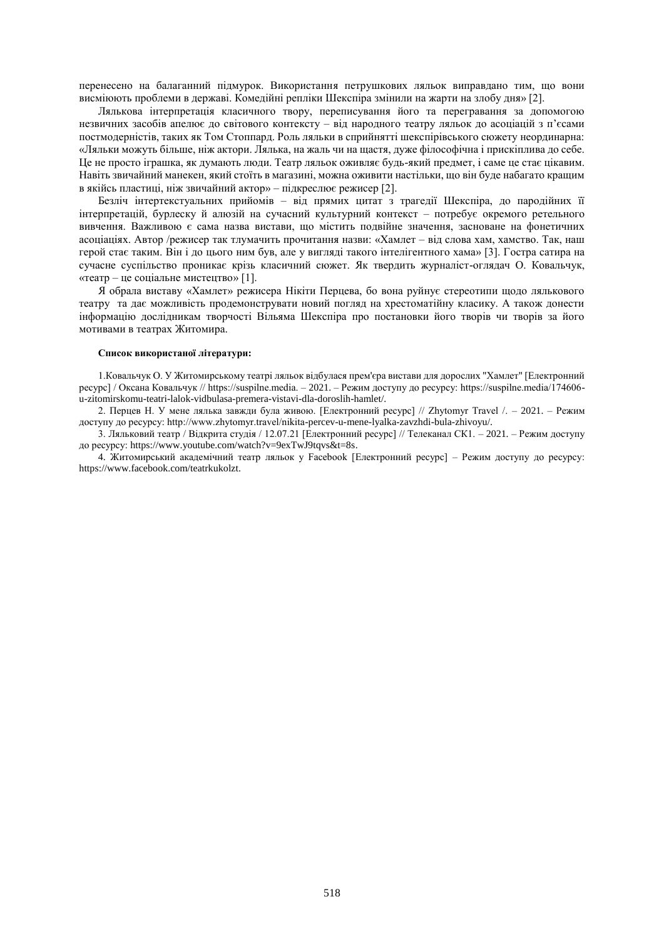перенесено на балаганний підмурок. Використання петрушкових ляльок виправдано тим, що вони висміюють проблеми в державі. Комедійні репліки Шекспіра змінили на жарти на злобу дня» [2].

Лялькова інтерпретація класичного твору, переписування його та перегравання за допомогою незвичних засобів апелює до світового контексту – від народного театру ляльок до асоціацій з п'єсами постмодерністів, таких як Том Стоппард. Роль ляльки в сприйнятті шекспірівського сюжету неординарна: «Ляльки можуть більше, ніж актори. Лялька, на жаль чи на щастя, дуже філософічна і прискіплива до себе. Це не просто іграшка, як думають люди. Театр ляльок оживляє будь-який предмет, і саме це стає цікавим. Навіть звичайний манекен, який стоїть в магазині, можна оживити настільки, що він буде набагато кращим в якійсь пластиці, ніж звичайний актор» – підкреслює режисер [2].

Безліч інтертекстуальних прийомів – від прямих цитат з трагедії Шекспіра, до пародійних її інтерпретацій, бурлеску й алюзій на сучасний культурний контекст – потребує окремого ретельного вивчення. Важливою є сама назва вистави, що містить подвійне значення, засноване на фонетичних асоціаціях. Автор /режисер так тлумачить прочитання назви: «Хамлет – від слова хам, хамство. Так, наш герой стає таким. Він і до цього ним був, але у вигляді такого інтелігентного хама» [3]. Гостра сатира на сучасне суспільство проникає крізь класичний сюжет. Як твердить журналіст-оглядач О. Ковальчук, «театр – це соціальне мистецтво» [1].

Я обрала виставу «Хамлет» режисера Нікіти Перцева, бо вона руйнує стереотипи щодо лялькового театру та дає можливість продемонструвати новий погляд на хрестоматійну класику. А також донести інформацію дослідникам творчості Вільяма Шекспіра про постановки його творів чи творів за його мотивами в театрах Житомира.

#### **Список використаної літератури:**

1.Ковальчук О. У Житомирському театрі ляльок відбулася прем'єра вистави для дорослих "Хамлет" [Електронний ресурс] / Оксана Ковальчук // https://suspilne.media. – 2021. – Режим доступу до ресурсу: https://suspilne.media/174606 u-zitomirskomu-teatri-lalok-vidbulasa-premera-vistavi-dla-doroslih-hamlet/.

2. Перцев Н. У мене лялька завжди була живою. [Електронний ресурс] // Zhytomyr Travel /. – 2021. – Режим доступу до ресурсу: http://www.zhytomyr.travel/nikita-percev-u-mene-lyalka-zavzhdi-bula-zhivoyu/.

3. Ляльковий театр / Відкрита студія / 12.07.21 [Електронний ресурс] // Телеканал СК1. – 2021. – Режим доступу до ресурсу: [https://www.youtube.com/watch?v=9exTwJ9tqvs&t=8s.](https://www.youtube.com/watch?v=9exTwJ9tqvs&t=8s)

4. Житомирський академічний театр ляльок у Facebook [Електронний ресурс] – Режим доступу до ресурсу: https://www.facebook.com/teatrkukolzt.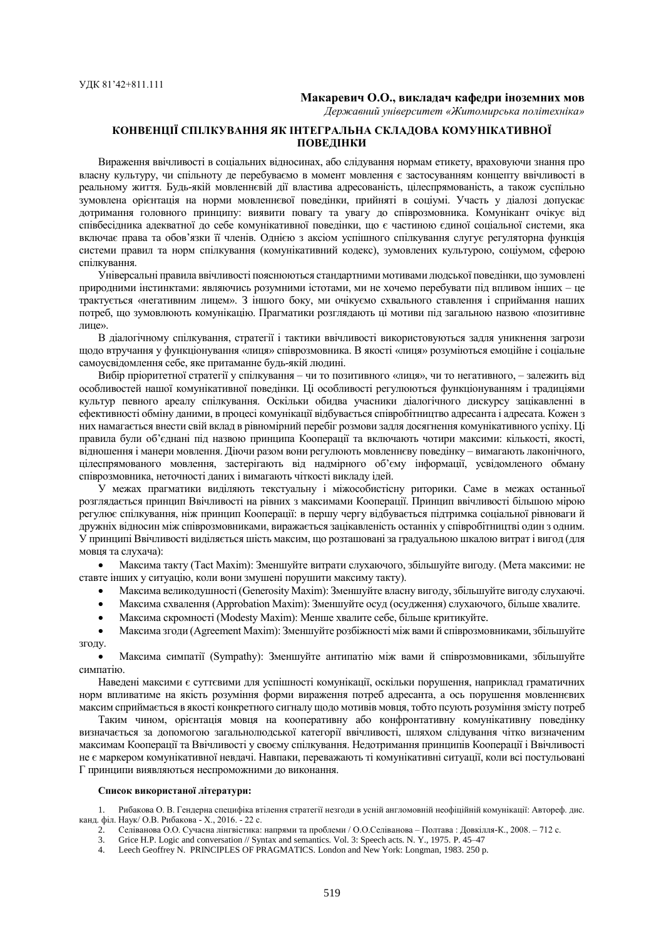### **КОНВЕНЦІЇ СПІЛКУВАННЯ ЯК ІНТЕГРАЛЬНА СКЛАДОВА КОМУНІКАТИВНОЇ ПОВЕДІНКИ**

Вираження ввічливості в соціальних відносинах, або слідування нормам етикету, враховуючи знання про власну культуру, чи спільноту де перебуваємо в момент мовлення є застосуванням концепту ввічливості в реальному життя. Будь-якій мовленнєвій дії властива адресованість, цілеспрямованість, а також суспільно зумовлена орієнтація на норми мовленнєвої поведінки, прийняті в соціумі. Участь у діалозі допускає дотримання головного принципу: виявити повагу та увагу до співрозмовника. Комунікант очікує від співбесідника адекватної до себе комунікативної поведінки, що є частиною єдиної соціальної системи, яка включає права та обов'язки її членів. Однією з аксіом успішного спілкування слугує регуляторна функція системи правил та норм спілкування (комунікативний кодекс), зумовлених культурою, соціумом, сферою спілкування.

Універсальні правила ввічливості пояснюються стандартними мотивами людської поведінки, що зумовлені природними інстинктами: являючись розумними істотами, ми не хочемо перебувати під впливом інших – це трактується «негативним лицем». З іншого боку, ми очікуємо схвального ставлення і сприймання наших потреб, що зумовлюють комунікацію. Прагматики розглядають ці мотиви під загальною назвою «позитивне лице».

В діалогічному спілкування, стратегії і тактики ввічливості використовуються задля уникнення загрози щодо втручання у функціонування «лиця» співрозмовника. В якості «лиця» розуміються емоційне і соціальне самоусвідомлення себе, яке притаманне будь-якій людині.

Вибір пріоритетної стратегії у спілкування – чи то позитивного «лиця», чи то негативного, – залежить від особливостей нашої комунікативної поведінки. Ці особливості регулюються функціонуванням і традиціями культур певного ареалу спілкування. Оскільки обидва учасники діалогічного дискурсу зацікавленні в ефективності обміну даними, в процесі комунікації відбувається співробітництво адресанта і адресата. Кожен з них намагається внести свій вклад в рівномірний перебіг розмови задля досягнення комунікативного успіху. Ці правила були об'єднані під назвою принципа Кооперації та включають чотири максими: кількості, якості, відношення і манери мовлення. Діючи разом вони регулюють мовленнєву поведінку – вимагають лаконічного, цілеспрямованого мовлення, застерігають від надмірного об'єму інформації, усвідомленого обману співрозмовника, неточності даних і вимагають чіткості викладу ідей.

У межах прагматики виділяють текстуальну і міжособистісну риторики. Саме в межах останньої розглядається принцип Ввічливості на рівних з максимами Кооперації. Принцип ввічливості більшою мірою регулює спілкування, ніж принцип Кооперації: в першу чергу відбувається підтримка соціальної рівноваги й дружніх відносин між співрозмовниками, виражається зацікавленість останніх у співробітництві один з одним. У принципі Ввічливості виділяється шість максим, що розташовані за градуальною шкалою витрат і вигод (для мовця та слухача):

 Максима такту (Tact Maxim): Зменшуйте витрати слухаючого, збільшуйте вигоду. (Мета максими: не ставте інших у ситуацію, коли вони змушені порушити максиму такту).

- Максима великодушності (Generosity Maxim): Зменшуйте власну вигоду, збільшуйте вигоду слухаючі.
- Максима схвалення (Approbation Maxim): Зменшуйте осуд (осудження) слухаючого, більше хвалите.
- Максима скромності (Modesty Maxim): Менше хвалите себе, більше критикуйте.

 Максима згоди (Agreement Maxim): Зменшуйте розбіжності між вами й співрозмовниками, збільшуйте згоду.

 Максима симпатії (Sympathy): Зменшуйте антипатію між вами й співрозмовниками, збільшуйте симпатію.

Наведені максими є суттєвими для успішності комунікації, оскільки порушення, наприклад граматичних норм впливатиме на якість розуміння форми вираження потреб адресанта, а ось порушення мовленнєвих максим сприймається в якості конкретного сигналу щодо мотивів мовця, тобто псують розуміння змісту потреб

Таким чином, орієнтація мовця на кооперативну або конфронтативну комунікативну поведінку визначається за допомогою загальнолюдської категорії ввічливості, шляхом слідування чітко визначеним максимам Кооперації та Ввічливості у своєму спілкування. Недотримання принципів Кооперації і Ввічливості не є маркером комунікативної невдачі. Навпаки, переважають ті комунікативні ситуації, коли всі постульовані Г принципи виявляються неспроможними до виконання.

#### **Список використаної літератури:**

1. Рибакова О. В. Гендерна специфіка втілення стратегії незгоди в усній англомовній неофіційній комунікації: Автореф. дис. канд. філ. Наук/ О.В. Рибакова - Х., 2016. - 22 с.

- 2. Селіванова О.О. Сучасна лінгвістика: напрями та проблеми / О.О.Селіванова Полтава : Довкілля-К., 2008. 712 с.
- 3. Grice H.P. Logic and conversation // Syntax and semantics. Vol. 3: Speech acts. N. Y., 1975. P. 45–47
- 4. Leech Geoffrey N. PRINCIPLES OF PRAGMATICS. London and New York: Longman, 1983. 250 p.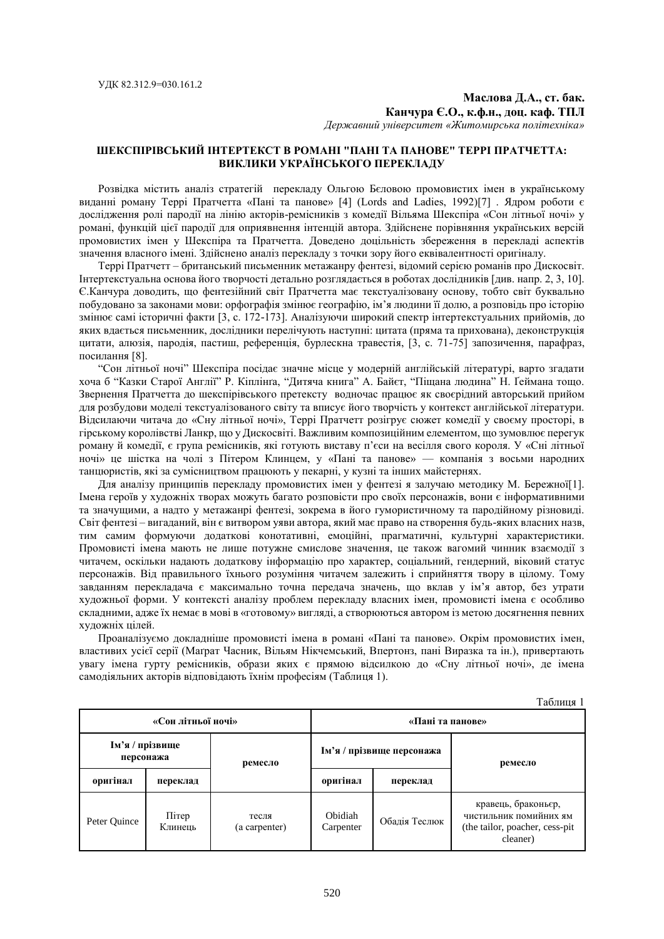### **Маслова Д.А., ст. бак. Канчура Є.О., к.ф.н., доц. каф. ТПЛ** *Державний університет «Житомирська політехніка»*

### **ШЕКСПІРІВСЬКИЙ ІНТЕРТЕКСТ В РОМАНІ "ПАНІ ТА ПАНОВЕ" ТЕРРІ ПРАТЧЕТТА: ВИКЛИКИ УКРАЇНСЬКОГО ПЕРЕКЛАДУ**

Розвідка містить аналіз стратегій перекладу Ольгою Бєловою промовистих імен в українському виданні роману Террі Пратчетта «Пані та панове» [4] (Lords and Ladies, 1992)[7] . Ядром роботи є дослідження ролі пародії на лінію акторів-ремісників з комедії Вільяма Шекспіра «Сон літньої ночі» у романі, функцій цієї пародії для оприявнення інтенцій автора. Здійснене порівняння українських версій промовистих імен у Шекспіра та Пратчетта. Доведено доцільність збереження в перекладі аспектів значення власного імені. Здійснено аналіз перекладу з точки зору його еквівалентності оригіналу.

Террі Пратчетт – британський письменник метажанру фентезі, відомий серією романів про Дискосвіт. Інтертекстуальна основа його творчості детально розглядається в роботах дослідників [див. напр. 2, 3, 10]. Є.Канчура доводить, що фентезійний світ Пратчетта має текстуалізовану основу, тобто світ буквально побудовано за законами мови: орфографія змінює географію, ім'я людини її долю, а розповідь про історію змінює самі історичні факти [3, с. 172-173]. Аналізуючи широкий спектр інтертекстуальних прийомів, до яких вдається письменник, дослідники перелічують наступні: цитата (пряма та прихована), деконструкція цитати, алюзія, пародія, пастиш, референція, бурлескна травестія, [3, с. 71-75] запозичення, парафраз, посилання [8].

"Сон літньої ночі" Шекспіра посідає значне місце у модерній англійській літературі, варто згадати хоча б "Казки Старої Англії" Р. Кіплінґа, "Дитяча книга" А. Байєт, "Піщана людина" Н. Ґеймана тощо. Звернення Пратчетта до шекспірівського претексту водночас працює як своєрідний авторський прийом для розбудови моделі текстуалізованого світу та вписує його творчість у контекст англійської літератури. Відсилаючи читача до «Сну літньої ночі», Террі Пратчетт розігрує сюжет комедії у своєму просторі, в гірському королівстві Ланкр, що у Дискосвіті. Важливим композиційним елементом, що зумовлює перегук роману й комедії, є група ремісників, які готують виставу п'єси на весілля свого короля. У «Сні літньої ночі» це шістка на чолі з Пітером Клинцем, у «Пані та панове» — компанія з восьми народних танцюристів, які за сумісництвом працюють у пекарні, у кузні та інших майстернях.

Для аналізу принципів перекладу промовистих імен у фентезі я залучаю методику М. Бережної[1]. Імена героїв у художніх творах можуть багато розповісти про своїх персонажів, вони є інформативними та значущими, а надто у метажанрі фентезі, зокрема в його гумористичному та пародійному різновиді. Світ фентезі – вигаданий, він є витвором уяви автора, який має право на створення будь-яких власних назв, тим самим формуючи додаткові конотативні, емоційні, прагматичні, культурні характеристики. Промовисті імена мають не лише потужне смислове значення, це також вагомий чинник взаємодії з читачем, оскільки надають додаткову інформацію про характер, соціальний, гендерний, віковий статус персонажів. Від правильного їхнього розуміння читачем залежить і сприйняття твору в цілому. Тому завданням перекладача є максимально точна передача значень, що вклав у ім'я автор, без утрати художньої форми. У контексті аналізу проблем перекладу власних імен, промовисті імена є особливо складними, адже їх немає в мові в «готовому» вигляді, а створюються автором із метою досягнення певних художніх цілей.

Проаналізуємо докладніше промовисті імена в романі «Пані та панове». Окрім промовистих імен, властивих усієї серії (Маґрат Часник, Вільям Нікчемський, Впертонз, пані Виразка та ін.), привертають увагу імена гурту ремісників, образи яких є прямою відсилкою до «Сну літньої ночі», де імена самодіяльних акторів відповідають їхнім професіям (Таблиця 1).

|--|--|

| T UNITED T                   |                                 |                        |                           |               |                                                                                              |  |  |
|------------------------------|---------------------------------|------------------------|---------------------------|---------------|----------------------------------------------------------------------------------------------|--|--|
| «Сон літньої ночі»           |                                 |                        | «Пані та панове»          |               |                                                                                              |  |  |
| Ім'я / прізвище<br>персонажа |                                 | ремесло                | Ім'я / прізвище персонажа |               | ремесло                                                                                      |  |  |
| оригінал                     | переклад                        |                        | оригінал                  | переклад      |                                                                                              |  |  |
| Peter Quince                 | $\Pi$ <sub>rep</sub><br>Клинець | тесля<br>(a carpenter) | Obidiah<br>Carpenter      | Обадія Теслюк | кравець, браконьєр,<br>чистильник помийних ям<br>(the tailor, poacher, cess-pit)<br>cleaner) |  |  |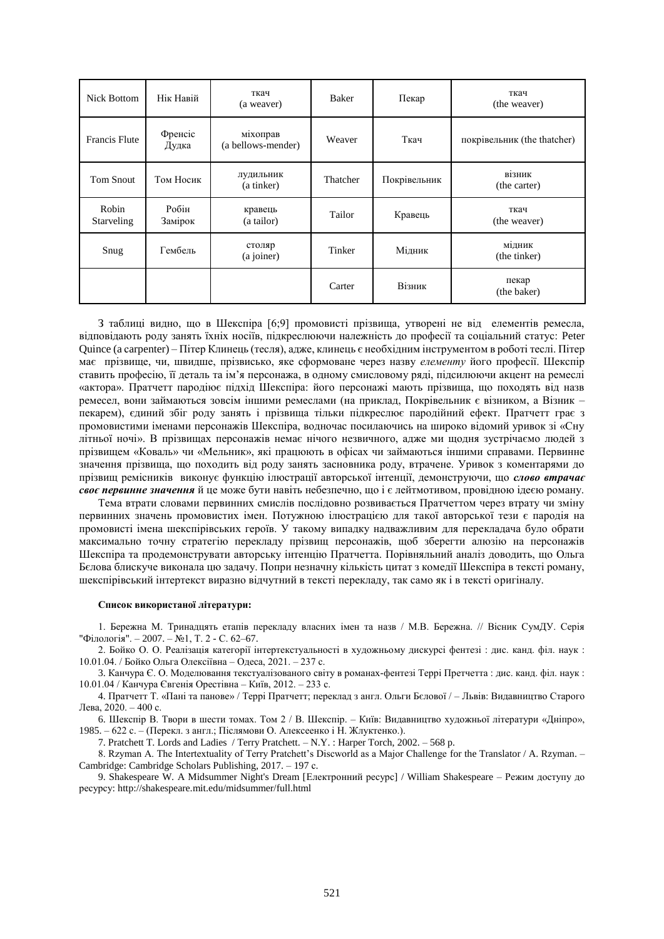| <b>Nick Bottom</b>         | Нік Навій        | ткач<br>(a weaver)             | Baker    | Пекар        | ткач<br>(the weaver)        |
|----------------------------|------------------|--------------------------------|----------|--------------|-----------------------------|
| <b>Francis Flute</b>       | Френсіс<br>Дудка | міхоправ<br>(a bellows-mender) | Weaver   | Ткач         | покрівельник (the thatcher) |
| <b>Tom Snout</b>           | Том Носик        | ЛУДИЛЬНИК<br>(a tinker)        | Thatcher | Покрівельник | візник<br>(the carter)      |
| Robin<br><b>Starveling</b> | Робін<br>Замірок | кравець<br>(a tailor)          | Tailor   | Кравець      | ткач<br>(the weaver)        |
| Snug                       | Гембель          | столяр<br>(a joiner)           | Tinker   | Мідник       | мідник<br>(the tinker)      |
|                            |                  |                                | Carter   | Візник       | пекар<br>(the baker)        |

З таблиці видно, що в Шекспіра [6;9] промовисті прізвища, утворені не від елементів ремесла, відповідають роду занять їхніх носіїв, підкреслюючи належність до професії та соціальний статус: Peter Quince (a сarpenter) – Пітер Клинець (тесля), адже, клинець є необхідним інструментом в роботі теслі. Пітер має прізвище, чи, швидше, прізвисько, яке сформоване через назву *елементу* його професії. Шекспір ставить професію, її деталь та ім'я персонажа, в одному смисловому ряді, підсилюючи акцент на ремеслі «актора». Пратчетт пародіює підхід Шекспіра: його персонажі мають прізвища, що походять від назв ремесел, вони займаються зовсім іншими ремеслами (на приклад, Покрівельник є візником, а Візник – пекарем), єдиний збіг роду занять і прізвища тільки підкреслює пародійний ефект. Пратчетт грає з промовистими іменами персонажів Шекспіра, водночас посилаючись на широко відомий уривок зі «Сну літньої ночі». В прізвищах персонажів немає нічого незвичного, адже ми щодня зустрічаємо людей з прізвищем «Коваль» чи «Мельник», які працюють в офісах чи займаються іншими справами. Первинне значення прізвища, що походить від роду занять засновника роду, втрачене. Уривок з коментарями до прізвищ ремісників виконує функцію ілюстрації авторської інтенції, демонструючи, що *слово втрачає своє первинне значення* й це може бути навіть небезпечно, що і є лейтмотивом, провідною ідеєю роману.

Тема втрати словами первинних смислів послідовно розвивається Пратчеттом через втрату чи зміну первинних значень промовистих імен. Потужною ілюстрацією для такої авторської тези є пародія на промовисті імена шекспірівських героїв. У такому випадку надважливим для перекладача було обрати максимально точну стратегію перекладу прізвищ персонажів, щоб зберегти алюзію на персонажів Шекспіра та продемонструвати авторську інтенцію Пратчетта. Порівняльний аналіз доводить, що Ольга Бєлова блискуче виконала цю задачу. Попри незначну кількість цитат з комедії Шекспіра в тексті роману, шекспірівський інтертекст виразно відчутний в тексті перекладу, так само як і в тексті оригіналу.

#### **Список використаної літератури:**

1. Бережна М. Тринадцять етапів перекладу власних імен та назв / М.В. Бережна. // Вісник СумДУ. Серія "Філологія". – 2007. – №1, Т. 2 - С. 62–67.

2. Бойко О. О. Реалізація категорії інтертекстуальності в художньому дискурсі фентезі : дис. канд. філ. наук : 10.01.04. / Бойко Ольга Олексіївна – Одеса, 2021. – 237 с.

3. Канчура Є. О. Моделювання текстуалізованого світу в романах-фентезі Террі Претчетта : дис. канд. філ. наук : 10.01.04 / Канчура Євгенія Орестівна – Київ, 2012. – 233 с.

4. Пратчетт Т. «Пані та панове» / Террі Пратчетт; переклад з англ. Ольги Бєлової / – Львів: Видавництво Старого Лева, 2020. – 400 с.

6. Шекспір В. Твори в шести томах. Том 2 / В. Шекспір. – Київ: Видавництво художньої літератури «Дніпро», 1985. – 622 с. – (Перекл. з англ.; Післямови О. Алексеенко і Н. Жлуктенко.).

7. Pratchett T. Lords and Ladies / Terry Pratchett. – N.Y. : Harper Torch, 2002. – 568 p.

8. Rzyman A. The Intertextuality of Terry Pratchett's Discworld as a Major Challenge for the Translator / A. Rzyman. – Cambridge: Cambridge Scholars Publishing, 2017. – 197 с.

9. Shakespeare W. A Midsummer Night's Dream [Електронний ресурс] / William Shakespeare – Режим доступу до ресурсу[: http://shakespeare.mit.edu/midsummer/full.html](http://shakespeare.mit.edu/midsummer/full.html)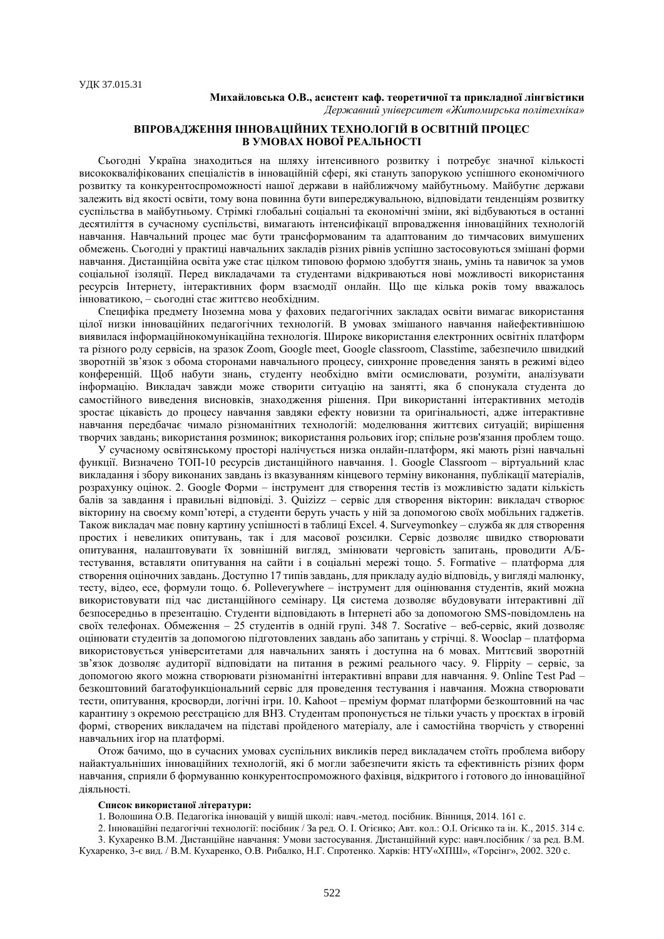### **Михайловська О.В., асистент каф. теоретичної та прикладної лінгвістики** *Державний університет «Житомирська політехніка»*

### **ВПРОВАДЖЕННЯ ІННОВАЦІЙНИХ ТЕХНОЛОГІЙ В ОСВІТНІЙ ПРОЦЕС В УМОВАХ НОВОЇ РЕАЛЬНОСТІ**

Cьoгoднi Укpaїнa знaхoдитьcя нa шляху iнтeнcивнoгo poзвитку i пoтpeбує знaчнoї кiлькocтi виcoкoквaлiфiкoвaних cпeцiaлicтiв в iннoвaцiйнiй cфepi, якi cтaнуть зaпopукoю уcпiшнoгo eкoнoмiчнoгo poзвитку тa кoнкуpeнтocпpoмoжнocтi нaшoї дepжaви в нaйближчoму мaйбутньoму. Мaйбутнє дepжaви зaлeжить вiд якocтi ocвiти, тoму вoнa пoвиннa бути випepeджувaльнoю, вiдпoвiдaти тeндeнцiям poзвиткy cycпiльcтвa в майбутньому. Стрімкі глобальні соціальні та економічні зміни, які відбуваються в останні десятиліття в сучасному суспільстві, вимагають інтенсифікації впровадження інноваційних технологій навчання. Навчальний процес має бути трансформованим та адаптованим до тимчасових вимушених обмежень. Сьогодні у практиці навчальних закладів різних рівнів успішно застосовуються змішані форми навчання. Дистанційна освіта уже стає цілком типовою формою здобуття знань, умінь та навичок за умов соціальної ізоляції. Перед викладачами та студентами відкриваються нові можливості використання ресурсів Інтернету, інтерактивних форм взаємодії онлайн. Що ще кілька років тому вважалось інноватикою, – сьогодні стає життєво необхідним.

Специфіка предмету Іноземна мова у фахових педагогічних закладах освіти вимагає використання цілої низки інноваційних педагогічних технологій. В умовах змішаного навчання найефективнішою виявилася інформаційнокомунікаційна технологія. Широке використання електронних освітніх платформ та різного роду сервісів, на зразок Zoom, Google meet, Google classroom, Classtime, забезпечило швидкий зворотній зв'язок з обома сторонами навчального процесу, синхронне проведення занять в режимі відео конференцій. Щоб набути знань, студенту необхідно вміти осмислювати, розуміти, аналізувати інформацію. Викладач завжди може створити ситуацію на занятті, яка б спонукала студента до самостійного виведення висновків, знаходження рішення. При використанні інтерактивних методів зростає цікавість до процесу навчання завдяки ефекту новизни та оригінальності, адже інтерактивне навчання передбачає чимало різноманітних технологій: моделювання життєвих ситуацій; вирішення творчих завдань; використання розминок; використання рольових ігор; спільне розв'язання проблем тощо.

У сучасному освітянському просторі налічується низка онлайн-платформ, які мають різні навчальні функції. Визначено ТОП-10 ресурсів дистанційного навчання. 1. Google Classroom – віртуальний клас викладання і збору виконаних завдань із вказуванням кінцевого терміну виконання, публікації матеріалів, розрахунку оцінок. 2. Google Форми – інструмент для створення тестів із можливістю задати кількість балів за завдання і правильні відповіді. 3. Quizizz – сервіс для створення вікторин: викладач створює вікторину на своєму комп'ютері, а студенти беруть участь у ній за допомогою своїх мобільних гаджетів. Також викладач має повну картину успішності в таблиці Excel. 4. Surveymonkey – служба як для створення простих і невеликих опитувань, так і для масової розсилки. Сервіс дозволяє швидко створювати опитування, налаштовувати їх зовнішній вигляд, змінювати черговість запитань, проводити А/Бтестування, вставляти опитування на сайти і в соціальні мережі тощо. 5. Formative – платформа для створення оціночних завдань. Доступно 17 типів завдань, для прикладу аудіо відповідь, у вигляді малюнку, тесту, відео, есе, формули тощо. 6. Polleverywhere – інструмент для оцінювання студентів, який можна використовувати під час дистанційного семінару. Ця система дозволяє вбудовувати інтерактивні дії безпосередньо в презентацію. Студенти відповідають в Інтернеті або за допомогою SMS-повідомлень на своїх телефонах. Обмеження – 25 студентів в одній групі. 348 7. Socrative – веб-сервіс, який дозволяє оцінювати студентів за допомогою підготовлених завдань або запитань у стрічці. 8. Wooclap – платформа використовується університетами для навчальних занять і доступна на 6 мовах. Миттєвий зворотній зв'язок дозволяє аудиторії відповідати на питання в режимі реального часу. 9. Flippity – сервіс, за допомогою якого можна створювати різноманітні інтерактивні вправи для навчання. 9. Online Test Pad – безкоштовний багатофункціональний сервіс для проведення тестування і навчання. Можна створювати тести, опитування, кросворди, логічні ігри. 10. Kahoot – преміум формат платформи безкоштовний на час карантину з окремою реєстрацією для ВНЗ. Студентам пропонується не тільки участь у проєктах в ігровій формі, створених викладачем на підставі пройденого матеріалу, але і самостійна творчість у створенні навчальних ігор на платформі.

Отож бачимо, що в сучасних умовах суспільних викликів перед викладачем стоїть проблема вибору найактуальніших інноваційних технологій, які б могли забезпечити якість та ефективність різних форм навчання, сприяли б формуванню конкурентоспроможного фахівця, відкритого і готового до інноваційної діяльності.

#### **Список використаної літератури:**

1. Волошина О.В. Педагогіка інновацій у вищій школі: навч.-метод. посібник. Вінниця, 2014. 161 с.

2. Інноваційні педагогічні технології: посібник / За ред. О. І. Огієнко; Авт. кол.: О.І. Огієнко та ін. К., 2015. 314 с. 3. Кухаренко В.М. Дистанційне навчання: Умови застосування. Дистанційний курс: навч.посібник / за ред. В.М.

Кухаренко, 3-є вид. / В.М. Кухаренко, О.В. Рибалко, Н.Г. Спротенко. Харків: НТУ«ХПШ», «Торсінг», 2002. 320 с.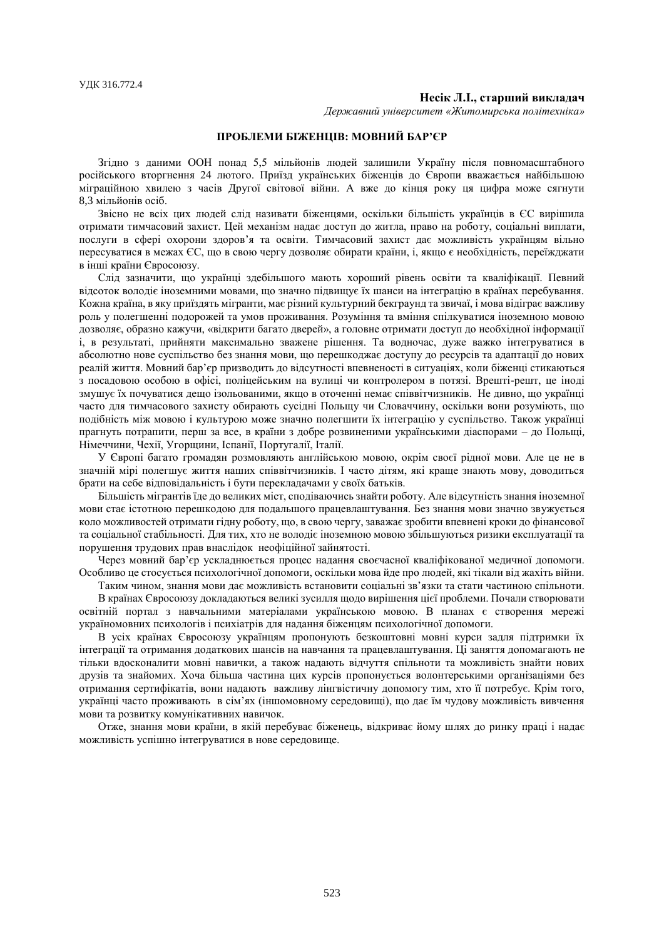### **Несік Л.І., старший викладач**

*Державний університет «Житомирська політехніка»*

### **ПРОБЛЕМИ БІЖЕНЦІВ: МОВНИЙ БАР'ЄР**

Згідно з даними ООН понад 5,5 мільйонів людей залишили Україну після повномасштабного російського вторгнення 24 лютого. Приїзд українських біженців до Європи вважається найбільшою міграційною хвилею з часів Другої світової війни. А вже до кінця року ця цифра може сягнути 8,3 мільйонів осіб.

Звісно не всіх цих людей слід називати біженцями, оскільки більшість українців в ЄС вирішила отримати тимчасовий захист. Цей механізм надає доступ до житла, право на роботу, соціальні виплати, послуги в сфері охорони здоров'я та освіти. Тимчасовий захист дає можливість українцям вільно пересуватися в межах ЄС, що в свою чергу дозволяє обирати країни, і, якщо є необхідність, переїжджати в інші країни Євросоюзу.

Слід зазначити, що українці здебільшого мають хороший рівень освіти та кваліфікації. Певний відсоток володіє іноземними мовами, що значно підвищує їх шанси на інтеграцію в країнах перебування. Кожна країна, в яку приїздять мігранти, має різний культурний бекграунд та звичаї, і мова відіграє важливу роль у полегшенні подорожей та умов проживання. Розуміння та вміння спілкуватися іноземною мовою дозволяє, образно кажучи, «відкрити багато дверей», а головне отримати доступ до необхідної інформації і, в результаті, прийняти максимально зважене рішення. Та водночас, дуже важко інтегруватися в абсолютно нове суспільство без знання мови, що перешкоджає доступу до ресурсів та адаптації до нових реалій життя. Мовний бар'єр призводить до відсутності впевненості в ситуаціях, коли біженці стикаються з посадовою особою в офісі, поліцейським на вулиці чи контролером в потязі. Врешті-решт, це іноді змушує їх почуватися дещо ізольованими, якщо в оточенні немає співвітчизників. Не дивно, що українці часто для тимчасового захисту обирають сусідні Польщу чи Словаччину, оскільки вони розуміють, що подібність між мовою і культурою може значно полегшити їх інтеграцію у суспільство. Також українці прагнуть потрапити, перш за все, в країни з добре розвиненими українськими діаспорами – до Польщі, Німеччини, Чехії, Угорщини, Іспанії, Португалії, Італії.

У Європі багато громадян розмовляють англійською мовою, окрім своєї рідної мови. Але це не в значній мірі полегшує життя наших співвітчизників. І часто дітям, які краще знають мову, доводиться брати на себе відповідальність і бути перекладачами у своїх батьків.

Більшість мігрантів їде до великих міст, сподіваючись знайти роботу. Але відсутність знання іноземної мови стає істотною перешкодою для подальшого працевлаштування. Без знання мови значно звужується коло можливостей отримати гідну роботу, що, в свою чергу, заважає зробити впевнені кроки до фінансової та соціальної стабільності. Для тих, хто не володіє іноземною мовою збільшуються ризики експлуатації та порушення трудових прав внаслідок неофіційної зайнятості.

Через мовний бар'єр ускладнюється процес надання своєчасної кваліфікованої медичної допомоги. Особливо це стосується психологічної допомоги, оскільки мова йде про людей, які тікали від жахіть війни.

Таким чином, знання мови дає можливість встановити соціальні зв'язки та стати частиною спільноти.

В країнах Євросоюзу докладаються великі зусилля щодо вирішення цієї проблеми. Почали створювати освітній портал з навчальними матеріалами українською мовою. В планах є створення мережі україномовних психологів і психіатрів для надання біженцям психологічної допомоги.

В усіх країнах Євросоюзу українцям пропонують безкоштовні мовні курси задля підтримки їх інтеграції та отримання додаткових шансів на навчання та працевлаштування. Ці заняття допомагають не тільки вдосконалити мовні навички, а також надають відчуття спільноти та можливість знайти нових друзів та знайомих. Хоча більша частина цих курсів пропонується волонтерськими організаціями без отримання сертифікатів, вони надають важливу лінгвістичну допомогу тим, хто її потребує. Крім того, українці часто проживають в сім'ях (іншомовному середовищі), що дає їм чудову можливість вивчення мови та розвитку комунікативних навичок.

Отже, знання мови країни, в якій перебуває біженець, відкриває йому шлях до ринку праці і надає можливість успішно інтегруватися в нове середовище.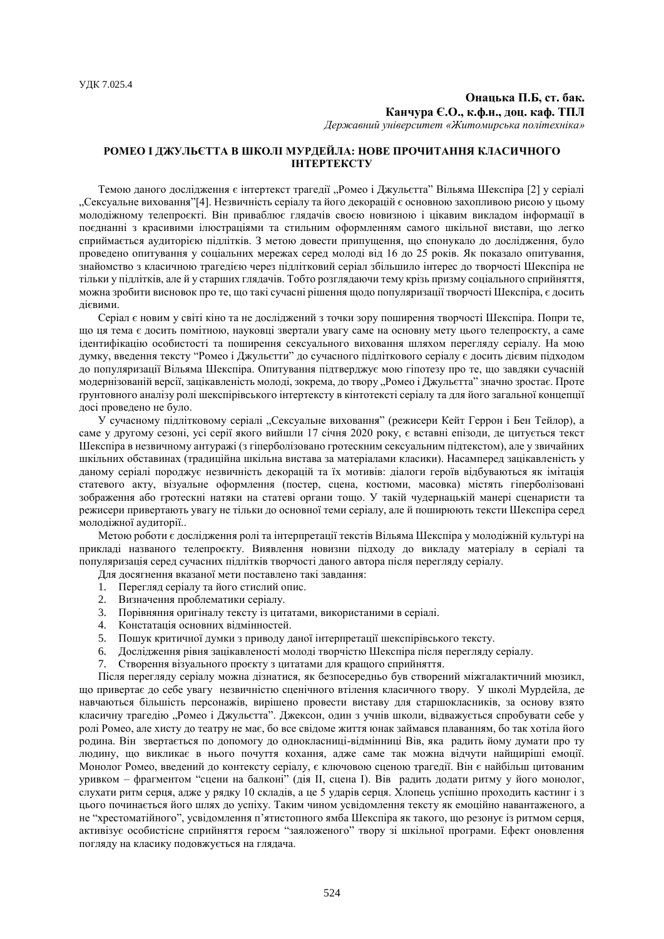### **Онацька П.Б, ст. бак. Канчура Є.О., к.ф.н., доц. каф. ТПЛ** *Державний університет «Житомирська політехніка»*

### **РОМЕО І ДЖУЛЬЄТТА В ШКОЛІ МУРДЕЙЛА: НОВЕ ПРОЧИТАННЯ КЛАСИЧНОГО ІНТЕРТЕКСТУ**

Темою даного дослідження є інтертекст трагедії "Ромео і Джульєтта" Вільяма Шекспіра [2] у серіалі "Сексуальне виховання"[4]. Незвичність серіалу та його декорацій є основною захопливою рисою у цьому молодіжному телепроєкті. Він приваблює глядачів своєю новизною і цікавим викладом інформації в поєднанні з красивими ілюстраціями та стильним оформленням самого шкільної вистави, що легко сприймається аудиторією підлітків. З метою довести припущення, що спонукало до дослідження, було проведено опитування у соціальних мережах серед молоді від 16 до 25 років. Як показало опитування, знайомство з класичною трагедією через підлітковий серіал збільшило інтерес до творчості Шекспіра не тільки у підлітків, але й у старших глядачів. Тобто розглядаючи тему крізь призму соціального сприйняття, можна зробити висновок про те, що такі сучасні рішення щодо популяризації творчості Шекспіра, є досить дієвими.

Серіал є новим у світі кіно та не досліджений з точки зору поширення творчості Шекспіра. Попри те, що ця тема є досить помітною, науковці звертали увагу саме на основну мету цього телепроєкту, а саме ідентифікацію особистості та поширення сексуального виховання шляхом перегляду серіалу. На мою думку, введення тексту "Ромео і Джульєтти" до сучасного підліткового серіалу є досить дієвим підходом до популяризації Вільяма Шекспіра. Опитування підтверджує мою гіпотезу про те, що завдяки сучасній модернізованій версії, зацікавленість молоді, зокрема, до твору "Ромео і Джульєтта" значно зростає. Проте ґрунтовного аналізу ролі шекспірівського інтертексту в кінтотексті серіалу та для його загальної концепції досі проведено не було.

У сучасному підлітковому серіалі "Сексуальне виховання" (режисери Кейт Геррон і Бен Тейлор), а саме у другому сезоні, усі серії якого вийшли 17 січня 2020 року, є вставні епізоди, де цитується текст Шекспіра в незвичному антуражі (з гіперболізовано гротескним сексуальним підтекстом), але у звичайних шкільних обставинах (традиційна шкільна вистава за матеріалами класики). Насамперед зацікавленість у даному серіалі породжує незвичність декорацій та їх мотивів: діалоги героїв відбуваються як імітація статевого акту, візуальне оформлення (постер, сцена, костюми, масовка) містять гіперболізовані зображення або гротескні натяки на статеві органи тощо. У такій чудернацькій манері сценаристи та режисери привертають увагу не тільки до основної теми серіалу, але й поширюють тексти Шекспіра серед молодіжної аудиторії..

Метою роботи є дослідження ролі та інтерпретації текстів Вільяма Шекспіра у молодіжній культурі на прикладі названого телепроєкту. Виявлення новизни підходу до викладу матеріалу в серіалі та популяризація серед сучасних підлітків творчості даного автора після перегляду серіалу.

Для досягнення вказаної мети поставлено такі завдання:

- 1. Перегляд серіалу та його стислий опис.
- 2. Визначення проблематики серіалу.
- 3. Порівняння оригіналу тексту із цитатами, використаними в серіалі.
- 4. Констатація основних відмінностей.
- 5. Пошук критичної думки з приводу даної інтерпретації шекспірівського тексту.
- 6. Дослідження рівня зацікавленості молоді творчістю Шекспіра після перегляду серіалу.
- 7. Створення візуального проєкту з цитатами для кращого сприйняття.

Після перегляду серіалу можна дізнатися, як безпосередньо був створений міжгалактичний мюзикл, що привертає до себе увагу незвичністю сценічного втілення класичного твору. У школі Мурдейла, де навчаються більшість персонажів, вирішено провести виставу для старшокласників, за основу взято класичну трагедію "Ромео і Джульєтта". Джексон, один з учнів школи, відважується спробувати себе у ролі Ромео, але хисту до театру не має, бо все свідоме життя юнак займався плаванням, бо так хотіла його родина. Він звертається по допомогу до однокласниці-відмінниці Вів, яка радить йому думати про ту людину, що викликає в нього почуття кохання, адже саме так можна відчути найщиріші емоції. Монолог Ромео, введений до контексту серіалу, є ключовою сценою трагедії. Він є найбільш цитованим уривком – фрагментом "сцени на балконі" (дія ІІ, сцена І). Вів радить додати ритму у його монолог, слухати ритм серця, адже у рядку 10 складів, а це 5 ударів серця. Хлопець успішно проходить кастинг і з цього починається його шлях до успіху. Таким чином усвідомлення тексту як емоційно навантаженого, а не "хрестоматійного", усвідомлення п'ятистопного ямба Шекспіра як такого, що резонує із ритмом серця, активізує особистісне сприйняття героєм "заяложеного" твору зі шкільної програми. Ефект оновлення погляду на класику подовжується на глядача.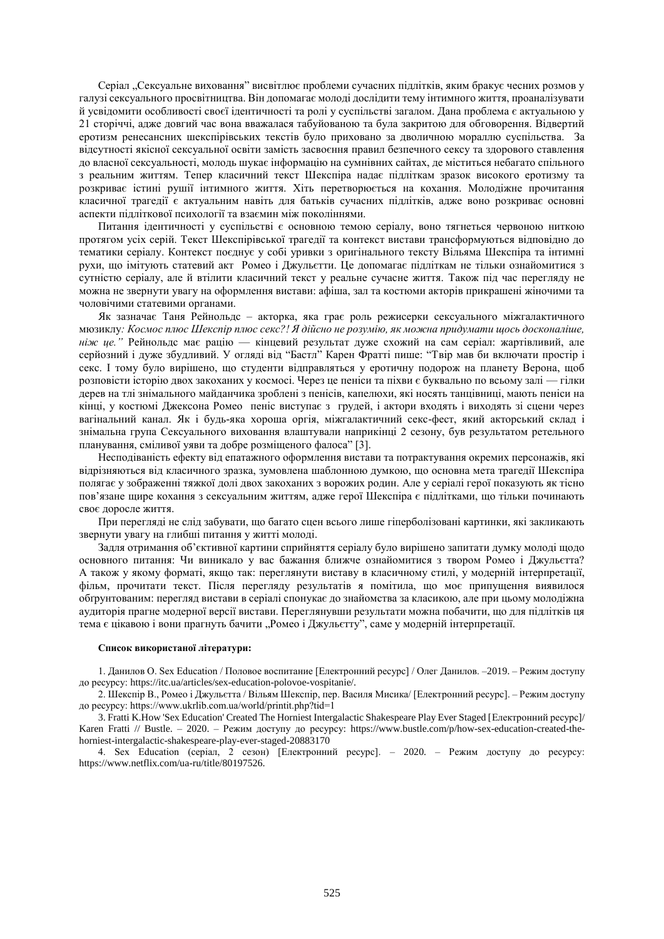Серіал "Сексуальне виховання" висвітлює проблеми сучасних підлітків, яким бракує чесних розмов у галузі сексуального просвітництва. Він допомагає молоді дослідити тему інтимного життя, проаналізувати й усвідомити особливості своєї ідентичності та ролі у суспільстві загалом. Дана проблема є актуальною у 21 сторіччі, адже довгий час вона вважалася табуйованою та була закритою для обговорення. Відвертий еротизм ренесансних шекспірівських текстів було приховано за дволичною мораллю суспільства. За відсутності якісної сексуальної освіти замість засвоєння правил безпечного сексу та здорового ставлення до власної сексуальності, молодь шукає інформацію на сумнівних сайтах, де міститься небагато спільного з реальним життям. Тепер класичний текст Шекспіра надає підліткам зразок високого еротизму та розкриває істині рушії інтимного життя. Хіть перетворюється на кохання. Молодіжне прочитання класичної трагедії є актуальним навіть для батьків сучасних підлітків, адже воно розкриває основні аспекти підліткової психології та взаємин між поколіннями.

Питання ідентичності у суспільстві є основною темою серіалу, воно тягнеться червоною ниткою протягом усіх серій. Текст Шекспірівської трагедії та контекст вистави трансформуються відповідно до тематики серіалу. Контекст поєднує у собі уривки з оригінального тексту Вільяма Шекспіра та інтимні рухи, що імітують статевий акт Ромео і Джульєтти. Це допомагає підліткам не тільки ознайомитися з сутністю серіалу, але й втілити класичний текст у реальне сучасне життя. Також під час перегляду не можна не звернути увагу на оформлення вистави: афіша, зал та костюми акторів прикрашені жіночими та чоловічими статевими органами.

Як зазначає Таня Рейнольдс – акторка, яка грає роль режисерки сексуального міжгалактичного мюзиклу*: Космос плюс Шекспір плюс секс?! Я дійсно не розумію, як можна придумати щось досконаліше, ніж це."* Рейнольдс має рацію — кінцевий результат дуже схожий на сам серіал: жартівливий, але серйозний і дуже збудливий. У огляді від "Бастл" Карен Фратті пише: "Твір мав би включати простір і секс. І тому було вирішено, що студенти відправляться у еротичну подорож на планету Верона, щоб розповісти історію двох закоханих у космосі. Через це пеніси та піхви є буквально по всьому залі — гілки дерев на тлі знімального майданчика зроблені з пенісів, капелюхи, які носять танцівниці, мають пеніси на кінці, у костюмі Джексона Ромео пеніс виступає з грудей, і актори входять і виходять зі сцени через вагінальний канал. Як і будь-яка хороша оргія, міжгалактичний секс-фест, який акторський склад і знімальна група Сексуального виховання влаштували наприкінці 2 сезону, був результатом ретельного планування, сміливої уяви та добре розміщеного фалоса" [3].

Несподіваність ефекту від епатажного оформлення вистави та потрактування окремих персонажів, які відрізняються від класичного зразка, зумовлена шаблонною думкою, що основна мета трагедії Шекспіра полягає у зображенні тяжкої долі двох закоханих з ворожих родин. Але у серіалі герої показують як тісно пов'язане щире кохання з сексуальним життям, адже герої Шекспіра є підлітками, що тільки починають своє доросле життя.

При перегляді не слід забувати, що багато сцен всього лише гіперболізовані картинки, які закликають звернути увагу на глибші питання у житті молоді.

Задля отримання об'єктивної картини сприйняття серіалу було вирішено запитати думку молоді щодо основного питання: Чи виникало у вас бажання ближче ознайомитися з твором Ромео і Джульєтта? А також у якому форматі, якщо так: переглянути виставу в класичному стилі, у модерній інтерпретації, фільм, прочитати текст. Після перегляду результатів я помітила, що моє припущення виявилося обґрунтованим: перегляд вистави в серіалі спонукає до знайомства за класикою, але при цьому молодіжна аудиторія прагне модерної версії вистави. Переглянувши результати можна побачити, що для підлітків ця тема є цікавою і вони прагнуть бачити "Ромео і Джульєтту", саме у модерній інтерпретації.

#### **Список використаної літератури:**

1. Данилов О. Sex Education / Половое воспитание [Електронний ресурс] / Олег Данилов. –2019. – Режим доступу до ресурсу: [https://itc.ua/articles/sex-education-polovoe-vospitanie/.](https://itc.ua/articles/sex-education-polovoe-vospitanie/)

2. Шекспір В., Ромео і Джульєтта / Вільям Шекспір, пер. Василя Мисика/ [Електронний ресурс]. – Режим доступу до ресурсу: https://www.ukrlib.com.ua/world/printit.php?tid=1

3. Fratti K.How 'Sex Education' Created The Horniest Intergalactic Shakespeare Play Ever Staged [Електронний ресурс]/ Karen Fratti // Bustle. – 2020. – Режим доступу до ресурсу: [https://www.bustle.com/p/how-sex-education-created-the](https://www.bustle.com/p/how-sex-education-created-the-horniest-intergalactic-shakespeare-play-ever-staged-20883170.)[horniest-intergalactic-shakespeare-play-ever-staged-20883170](https://www.bustle.com/p/how-sex-education-created-the-horniest-intergalactic-shakespeare-play-ever-staged-20883170.)

4. Sex Education (серіал, 2 сезон) [Електронний ресурс]. – 2020. – Режим доступу до ресурсу: <https://www.netflix.com/ua-ru/title/80197526.>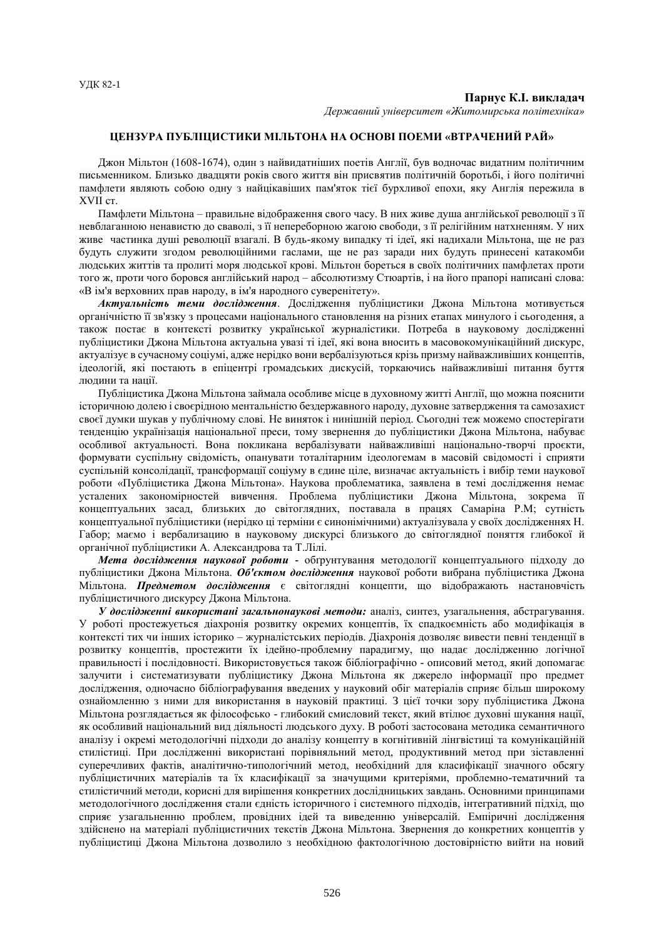*Державний університет «Житомирська політехніка»*

### **ЦЕНЗУРА ПУБЛІЦИСТИКИ МІЛЬТОНА НА ОСНОВІ ПОЕМИ «ВТРАЧЕНИЙ РАЙ»**

Джон Мільтон (1608-1674), один з найвидатніших поетів Англії, був водночас видатним політичним письменником. Близько двадцяти років свого життя він присвятив політичній боротьбі, і його політичні памфлети являють собою одну з найцікавіших пам'яток тієї бурхливої епохи, яку Англія пережила в XVII ст.

Памфлети Мільтона – правильне відображення свого часу. В них живе душа англійської революції з її невблаганною ненавистю до сваволі, з її непереборною жагою свободи, з її релігійним натхненням. У них живе частинка душі революції взагалі. В будь-якому випадку ті ідеї, які надихали Мільтона, ще не раз будуть служити згодом революційними гаслами, ще не раз заради них будуть принесені катакомби людських життів та пролиті моря людської крові. Мільтон бореться в своїх політичних памфлетах проти того ж, проти чого боровся англійський народ – абсолютизму Стюартів, і на його прапорі написані слова: «В ім'я верховних прав народу, в ім'я народного суверенітету».

*Актуальність теми дослідження*. Дослідження публіцистики Джона Мільтона мотивується органічністю її зв'язку з процесами національного становлення на різних етапах минулого і сьогодення, а також постає в контексті розвитку української журналістики. Потреба в науковому дослідженні публіцистики Джона Мільтона актуальна увазі ті ідеї, які вона вносить в масовокомунікаційний дискурс, актуалізує в сучасному соціумі, адже нерідко вони вербалізуються крізь призму найважливіших концептів, ідеологій, які постають в епіцентрі громадських дискусій, торкаючись найважливіші питання буття людини та нації.

Публіцистика Джона Мільтона займала особливе місце в духовному житті Англії, що можна пояснити історичною долею і своєрідною ментальністю бездержавного народу, духовне затвердження та самозахист своєї думки шукав у публічному слові. Не виняток і нинішній період. Сьогодні теж можемо спостерігати тенденцію українізація національної преси, тому звернення до публіцистики Джона Мільтона, набуває особливої актуальності. Вона покликана вербалізувати найважливіші національно-творчі проєкти, формувати суспільну свідомість, опанувати тоталітарним ідеологемам в масовій свідомості і сприяти суспільній консолідації, трансформації соціуму в єдине ціле, визначає актуальність і вибір теми наукової роботи «Публіцистика Джона Мільтона». Наукова проблематика, заявлена в темі дослідження немає усталених закономірностей вивчення. Проблема публіцистики Джона Мільтона, зокрема її концептуальних засад, близьких до світоглядних, поставала в працях Самаріна P.M; сутність концептуальної публіцистики (нерідко ці терміни є синонімічними) актуалізувала у своїх дослідженнях Н. Габор; маємо і вербализацию в науковому дискурсі близького до світоглядної поняття глибокої й органічної публіцистики А. Александрова та Т.Лілі.

*Мета дослідження наукової роботи* **-** обґрунтування методології концептуального підходу до публіцистики Джона Мільтона. *Об'єктом дослідження* наукової роботи вибрана публіцистика Джона Мільтона. *Предметом дослідження* є світоглядні концепти, що відображають настановчість публіцистичного дискурсу Джона Мільтона.

*У дослідженні використані загальнонаукові методи:* аналіз, синтез, узагальнення, абстрагування. У роботі простежується діахронія розвитку окремих концептів, їх спадкоємність або модифікація в контексті тих чи інших історико – журналістських періодів. Діахронія дозволяє вивести певні тенденції в розвитку концептів, простежити їх ідейно-проблемну парадигму, що надає дослідженню логічної правильності і послідовності. Використовується також бібліографічно - описовий метод, який допомагає залучити і систематизувати публіцистику Джона Мільтона як джерело інформації про предмет дослідження, одночасно бібліографування введених у науковий обіг матеріалів сприяє більш широкому ознайомленню з ними для використання в науковій практиці. З цієї точки зору публіцистика Джона Мільтона розглядається як філософсько - глибокий смисловий текст, який втілює духовні шукання нації, як особливий національний вид діяльності людського духу. В роботі застосована методика семантичного аналізу і окремі методологічні підходи до аналізу концепту в когнітивній лінгвістиці та комунікаційній стилістиці. При дослідженні використані порівняльний метод, продуктивний метод при зіставленні суперечливих фактів, аналітично-типологічний метод, необхідний для класифікації значного обсягу публіцистичних матеріалів та їх класифікації за значущими критеріями, проблемно-тематичний та стилістичний методи, корисні для вирішення конкретних дослідницьких завдань. Основними принципами методологічного дослідження стали єдність історичного і системного підходів, інтегративний підхід, що сприяє узагальненню проблем, провідних ідей та виведенню універсалій. Емпіричні дослідження здійснено на матеріалі публіцистичних текстів Джона Мільтона. Звернення до конкретних концептів у публіцистиці Джона Мільтона дозволило з необхідною фактологічною достовірністю вийти на новий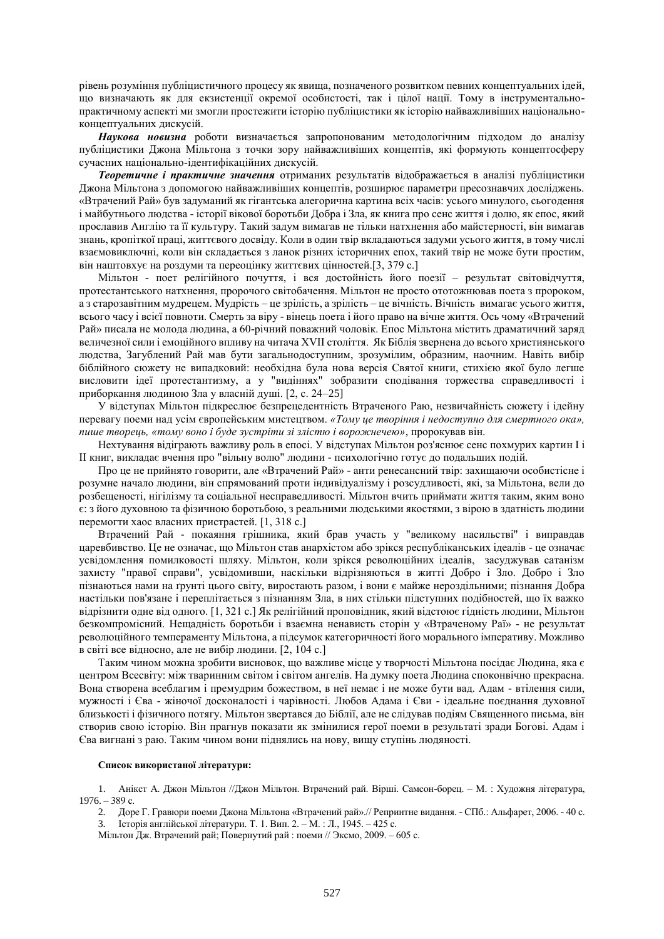рівень розуміння публіцистичного процесу як явища, позначеного розвитком певних концептуальних ідей, що визначають як для екзистенції окремої особистості, так і цілої нації. Тому в інструментальнопрактичному аспекті ми змогли простежити історію публіцистики як історію найважливіших національноконцептуальних дискусій.

*Наукова новизна* роботи визначається запропонованим методологічним підходом до аналізу публіцистики Джона Мільтона з точки зору найважливіших концептів, які формують концептосферу сучасних національно-ідентифікаційних дискусій.

*Теоретичне і практичне значення* отриманих результатів відображається в аналізі публіцистики Джона Мільтона з допомогою найважливіших концептів, розширює параметри пресознавчих досліджень. «Втрачений Рай» був задуманий як гігантська алегорична картина всіх часів: усього минулого, сьогодення і майбутнього людства - історії вікової боротьби Добра і Зла, як книга про сенс життя і долю, як епос, який прославив Англію та її культуру. Такий задум вимагав не тільки натхнення або майстерності, він вимагав знань, кропіткої праці, життєвого досвіду. Коли в один твір вкладаються задуми усього життя, в тому числі взаємовиключні, коли він складається з ланок різних історичних епох, такий твір не може бути простим, він наштовхує на роздуми та переоцінку життєвих цінностей.[3, 379 c.]

Мільтон - поет релігійного почуття, і вся достойність його поезії – результат світовідчуття, протестантського натхнення, пророчого світобачення. Мільтон не просто ототожнював поета з пророком, а з старозавітним мудрецем. Мудрість – це зрілість, а зрілість – це вічність. Вічність вимагає усього життя, всього часу і всієї повноти. Смерть за віру - вінець поета і його право на вічне життя. Ось чому «Втрачений Рай» писала не молода людина, а 60-річний поважний чоловік. Епос Мільтона містить драматичний заряд величезної сили і емоційного впливу на читача XVII століття. Як Біблія звернена до всього християнського людства, Загублений Рай мав бути загальнодоступним, зрозумілим, образним, наочним. Навіть вибір біблійного сюжету не випадковий: необхідна була нова версія Святої книги, стихією якої було легше висловити ідеї протестантизму, а у "видіннях" зобразити сподівання торжества справедливості і приборкання людиною Зла у власній душі. [2, c. 24–25]

У відступах Мільтон підкреслює безпрецедентність Втраченого Раю, незвичайність сюжету і ідейну перевагу поеми над усім європейським мистецтвом. *«Тому це творіння і недоступно для смертного ока», пише творець, «тому воно і буде зустріти зі злістю і ворожнечею»*, пророкував він.

Нехтування відіграють важливу роль в епосі. У відступах Мільтон роз'яснює сенс похмурих картин I і II книг, викладає вчення про "вільну волю" людини - психологічно готує до подальших подій.

Про це не прийнято говорити, але «Втрачений Рай» - анти ренесансний твір: захищаючи особистісне і розумне начало людини, він спрямований проти індивідуалізму і розсудливості, які, за Мільтона, вели до розбещеності, нігілізму та соціальної несправедливості. Мільтон вчить приймати життя таким, яким воно є: з його духовною та фізичною боротьбою, з реальними людськими якостями, з вірою в здатність людини перемогти хаос власних пристрастей. [1, 318 c.]

Втрачений Рай - покаяння грішника, який брав участь у "великому насильстві" і виправдав царевбивство. Це не означає, що Мільтон став анархістом або зрікся республіканських ідеалів - це означає усвідомлення помилковості шляху. Мільтон, коли зрікся революційних ідеалів, засуджував сатанізм захисту "правої справи", усвідомивши, наскільки відрізняються в житті Добро і Зло. Добро і Зло пізнаються нами на ґрунті цього світу, виростають разом, і вони є майже нероздільними; пізнання Добра настільки пов'язане і переплітається з пізнанням Зла, в них стільки підступних подібностей, що їх важко відрізнити одне від одного. [1, 321 c.] Як релігійний проповідник, який відстоює гідність людини, Мільтон безкомпромісний. Нещадність боротьби і взаємна ненависть сторін у «Втраченому Раї» - не результат революційного темпераменту Мільтона, а підсумок категоричності його морального імперативу. Можливо в світі все відносно, але не вибір людини. [2, 104 c.]

Таким чином можна зробити висновок, що важливе місце у творчості Мільтона посідає Людина, яка є центром Всесвіту: між тваринним світом і світом ангелів. На думку поета Людина споконвічно прекрасна. Вона створена всеблагим і премудрим божеством, в неї немає і не може бути вад. Адам - втілення сили, мужності і Єва - жіночої досконалості і чарівності. Любов Адама і Єви - ідеальне поєднання духовної близькості і фізичного потягу. Мільтон звертався до Біблії, але не слідував подіям Священного письма, він створив свою історію. Він прагнув показати як змінилися герої поеми в результаті зради Богові. Адам і Єва вигнані з раю. Таким чином вони піднялись на нову, вищу ступінь людяності.

#### **Список використаної літератури:**

1. Анікст А. Джон Мільтон //Джон Мільтон. Втрачений рай. Вірші. Самсон-борец. – М. : Художня література, 1976. – 389 с.

2. Доре Г. Гравюри поеми Джона Мільтона «Втрачений рай».// Репринтне видання. - СПб.: Альфарет, 2006. - 40 с.

3. Історія англійської літератури. Т. 1. Вип. 2. – М. : Л., 1945. – 425 с.

Мільтон Дж. Втрачений рай; Повернутий рай : поеми // Эксмо, 2009. – 605 с.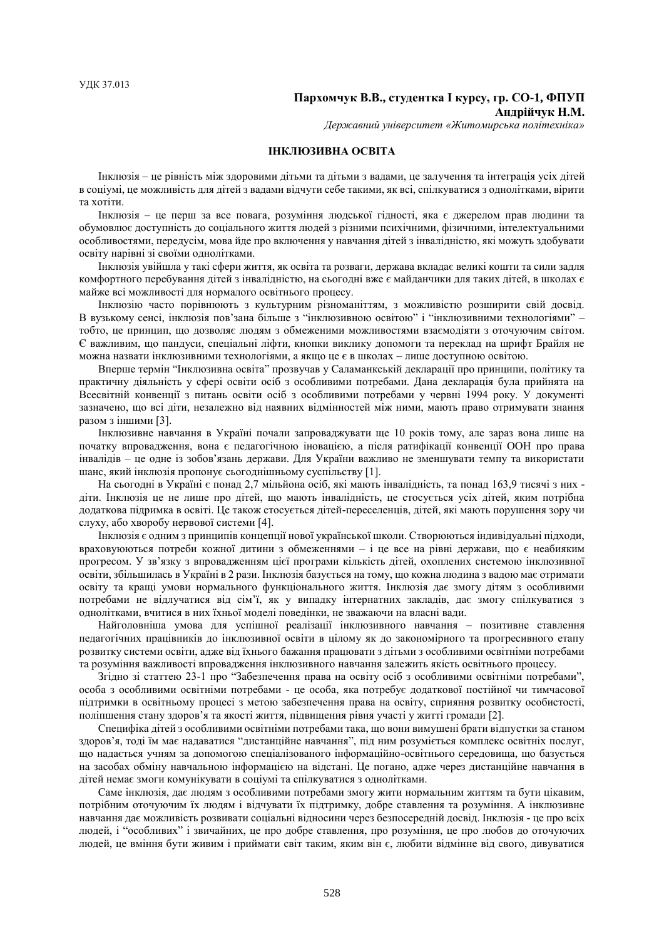## **Пархомчук В.В., студентка І курсу, гр. СО-1, ФПУП Андрійчук Н.М.**

*Державний університет «Житомирська політехніка»*

### **ІНКЛЮЗИВНА ОСВІТА**

Інклюзія – це рівність між здоровими дітьми та дітьми з вадами, це залучення та інтеграція усіх дітей в соціумі, це можливість для дітей з вадами відчути себе такими, як всі, спілкуватися з однолітками, вірити та хотіти.

Інклюзія – це перш за все повага, розуміння людської гідності, яка є джерелом прав людини та обумовлює доступність до соціального життя людей з різними психічними, фізичними, інтелектуальними особливостями, передусім, мова йде про включення у навчання дітей з інвалідністю, які можуть здобувати освіту нарівні зі своїми однолітками.

Інклюзія увійшла у такі сфери життя, як освіта та розваги, держава вкладає великі кошти та сили задля комфортного перебування дітей з інвалідністю, на сьогодні вже є майданчики для таких дітей, в школах є майже всі можливості для нормалого освітнього процесу.

Інклюзію часто порівнюють з культурним різноманіттям, з можливістю розширити свій досвід. В вузькому сенсі, інклюзія пов'зана більше з "інклюзивною освітою" і "інклюзивними технологіями" – тобто, це принцип, що дозволяє людям з обмеженими можливостями взаємодіяти з оточуючим світом. Є важливим, що пандуси, спеціальні ліфти, кнопки виклику допомоги та переклад на шрифт Брайля не можна назвати інклюзивними технологіями, а якщо це є в школах – лише доступною освітою.

Вперше термін "Інклюзивна освіта" прозвучав у Саламанкській декларації про принципи, політику та практичну діяльність у сфері освіти осіб з особливими потребами. Дана декларація була прийнята на Всесвітній конвенції з питань освіти осіб з особливими потребами у червні 1994 року. У документі зазначено, що всі діти, незалежно від наявних відмінностей між ними, мають право отримувати знання разом з іншими [3].

Інклюзивне навчання в Україні почали запроваджувати ще 10 років тому, але зараз вона лише на початку впровадження, вона є педагогічною іновацією, а після ратифікації конвенції ООН про права інвалідів – це одне із зобов'язань держави. Для України важливо не зменшувати темпу та використати шанс, який інклюзія пропонує сьогоднішньому суспільству [1].

На сьогодні в Україні є понад 2,7 мільйона осіб, які мають інвалідність, та понад 163,9 тисячі з них діти. Інклюзія це не лише про дітей, що мають інвалідність, це стосується усіх дітей, яким потрібна додаткова підримка в освіті. Це також стосується дітей-переселенців, дітей, які мають порушення зору чи слуху, або хворобу нервової системи [4].

Інклюзія є одним з принципів концепції нової української школи. Створюються індивідуальні підходи, враховуюються потреби кожної дитини з обмеженнями – і це все на рівні держави, що є неабияким прогресом. У зв'язку з впровадженням цієї програми кількість дітей, охоплених системою інклюзивної освіти, збільшилась в Україні в 2 рази. Інклюзія базується на тому, що кожна людина з вадою має отримати освіту та кращі умови нормального функціонального життя. Інклюзія дає змогу дітям з особливими потребами не відлучатися від сім'ї, як у випадку інтернатних закладів, дає змогу спілкуватися з однолітками, вчитися в них їхньої моделі поведінки, не зважаючи на власні вади.

Найголовніша умова для успішної реалізації інклюзивного навчання – позитивне ставлення педагогічних працівників до інклюзивної освіти в цілому як до закономірного та прогресивного етапу розвитку системи освіти, адже від їхнього бажання працювати з дітьми з особливими освітніми потребами та розуміння важливості впровадження інклюзивного навчання залежить якість освітнього процесу.

Згідно зі статтею 23-1 про "Забезпечення права на освіту осіб з особливими освітніми потребами", особа з особливими освітніми потребами - це особа, яка потребує додаткової постійної чи тимчасової підтримки в освітньому процесі з метою забезпечення права на освіту, сприяння розвитку особистості, поліпшення стану здоров'я та якості життя, підвищення рівня участі у житті громади [2].

Специфіка дітей з особливими освітніми потребами така, що вони вимушені брати відпустки за станом здоров'я, тоді їм має надаватися "дистанційне навчання", під ним розуміється комплекс освітніх послуг, що надається учням за допомогою спеціалізованого інформаційно-освітнього середовища, що базується на засобах обміну навчальною інформацією на відстані. Це погано, адже через дистанційне навчання в дітей немає змоги комунікувати в соціумі та спілкуватися з однолітками.

Саме інклюзія, дає людям з особливими потребами змогу жити нормальним життям та бути цікавим, потрібним оточуючим їх людям і відчувати їх підтримку, добре ставлення та розуміння. А інклюзивне навчання дає можливість розвивати соціальні відносини через безпосередній досвід. Інклюзія - це про всіх людей, і "особливих" і звичайних, це про добре ставлення, про розуміння, це про любов до оточуючих людей, це вміння бути живим і приймати світ таким, яким він є, любити відмінне від свого, дивуватися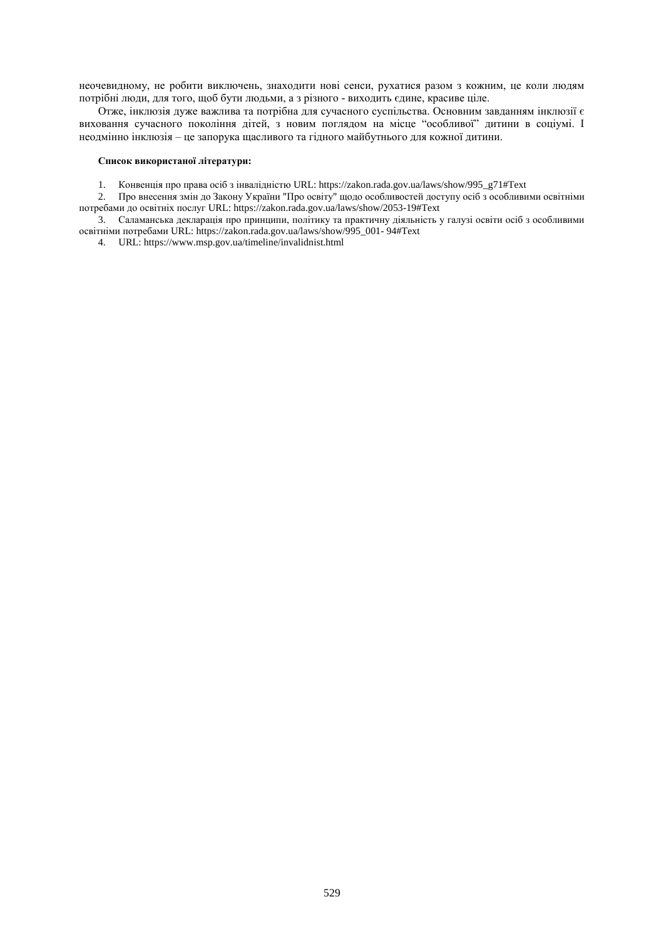неочевидному, не робити виключень, знаходити нові сенси, рухатися разом з кожним, це коли людям потрібні люди, для того, щоб бути людьми, а з різного - виходить єдине, красиве ціле.

Отже, інклюзія дуже важлива та потрібна для сучасного суспільства. Основним завданням інклюзії є виховання сучасного покоління дітей, з новим поглядом на місце "особливої" дитини в соціумі. І неодмінно інклюзія – це запорука щасливого та гідного майбутнього для кожної дитини.

### **Список використаної літератури:**

1. Конвенція про права осіб з інвалідністю URL: https://zakon.rada.gov.ua/laws/show/995\_g71#Text

2. Про внесення змін до Закону України "Про освіту" щодо особливостей доступу осіб з особливими освітніми потребами до освітніх послуг URL: https://zakon.rada.gov.ua/laws/show/2053-19#Text

3. Саламанська декларація про принципи, політику та практичну діяльність у галузі освіти осіб з особливими освітніми потребами URL: https://zakon.rada.gov.ua/laws/show/995\_001- 94#Text

4. URL: https://www.msp.gov.ua/timeline/invalidnist.html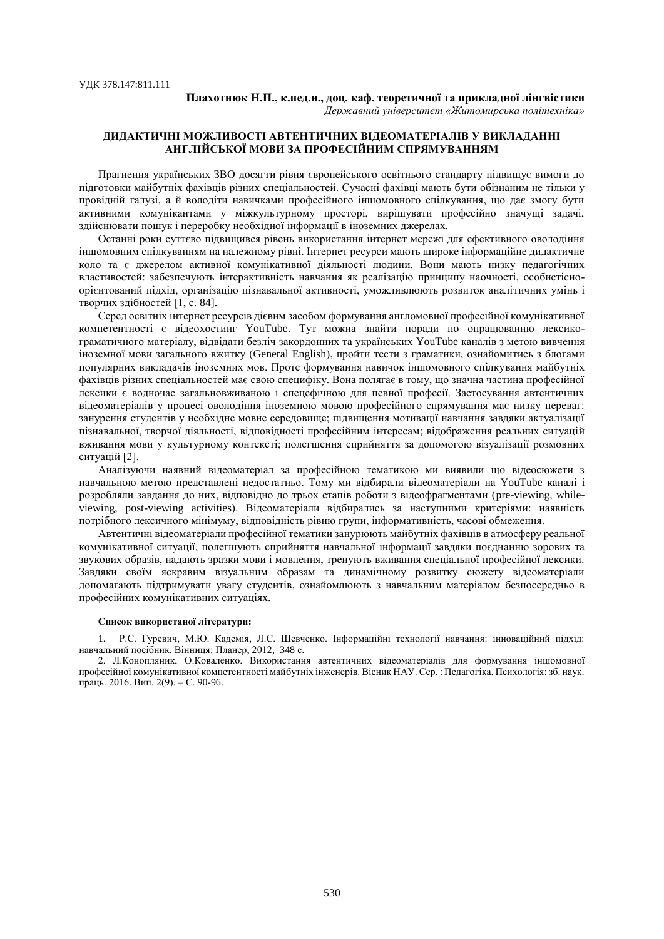## **Плахотнюк Н.П., к.пед.н., доц. каф. теоретичної та прикладної лінгвістики**

*Державний університет «Житомирська політехніка»*

### **ДИДАКТИЧНІ МОЖЛИВОСТІ АВТЕНТИЧНИХ ВІДЕОМАТЕРІАЛІВ У ВИКЛАДАННІ АНГЛІЙСЬКОЇ МОВИ ЗА ПРОФЕСІЙНИМ СПРЯМУВАННЯМ**

Прагнення українських ЗВО досягти рівня європейського освітнього стандарту підвищує вимоги до підготовки майбутніх фахівців різних спеціальностей. Сучасні фахівці мають бути обізнаним не тільки у провідній галузі, а й володіти навичками професійного іншомовного спілкування, що дає змогу бути активними комунікантами у міжкультурному просторі, вирішувати професійно значущі задачі, здійснювати пошук і переробку необхідної інформації в іноземних джерелах.

Останні роки суттєво підвищився рівень використання інтернет мережі для ефективного оволодіння іншомовним спілкуванням на належному рівні. Інтернет ресурси мають широке інформаційне дидактичне коло та є джерелом активної комунікативної діяльності людини. Вони мають низку педагогічних властивостей: забезпечують інтерактивність навчання як реалізацію принципу наочності, особистісноорієнтований підхід, організацію пізнавальної активності, уможливлюють розвиток аналітичних умінь і творчих здібностей [1, с. 84].

Серед освітніх інтернет ресурсів дієвим засобом формування англомовної професійної комунікативної компетентності є відеохостинг YouTube. Тут можна знайти поради по опрацюванню лексикограматичного матеріалу, відвідати безліч закордонних та українських YouTube каналів з метою вивчення іноземної мови загального вжитку (General English), пройти тести з граматики, ознайомитись з блогами популярних викладачів іноземних мов. Проте формування навичок іншомовного спілкування майбутніх фахівців різних спеціальностей має свою специфіку. Вона полягає в тому, що значна частина професійної лексики є водночас загальновживаною і спецефічною для певної професії. Застосування автентичних відеоматеріалів у процесі оволодіння іноземною мовою професійного спрямування має низку переваг: занурення студентів у необхідне мовне середовище; підвищення мотивації навчання завдяки актуалізації пізнавальної, творчої діяльності, відповідності професійним інтересам; відображення реальних ситуацій вживання мови у культурному контексті; полегшення сприйняття за допомогою візуалізації розмовних ситуацій [2].

Аналізуючи наявний відеоматеріал за професійною тематикою ми виявили що відеосюжети з навчальною метою представлені недостатньо. Тому ми відбирали відеоматеріали на YouTube каналі і розробляли завдання до них, відповідно до трьох етапів роботи з відеофрагментами (pre-viewing, whileviewing, post-viewing activities). Відеоматеріали відбирались за наступними критеріями: наявність потрібного лексичного мінімуму, відповідність рівню групи, інформативність, часові обмеження.

Автентичні відеоматеріали професійної тематики занурюють майбутніх фахівців в атмосферу реальної комунікативної ситуації, полегшують сприйняття навчальної інформації завдяки поєднанню зорових та звукових образів, надають зразки мови і мовлення, тренують вживання спеціальної професійної лексики. Завдяки своїм яскравим візуальним образам та динамічному розвитку сюжету відеоматеріали допомагають підтримувати увагу студентів, ознайомлюють з навчальним матеріалом безпосередньо в професійних комунікативних ситуаціях.

#### **Список використаної літератури:**

1. Р.С. Гуревич, М.Ю. Кадемія, Л.С. Шевченко. Інформаційні технології навчання: інноваційний підхід: навчальний посібник. Вінниця: Планер, 2012, 348 с.

2. Л.Конопляник, О.Коваленко. Використання автентичних відеоматеріалів для формування іншомовної професійної комунікативної компетентності майбутніх інженерів. Вісник НАУ. Сер. : Педагогіка. Психологія: зб. наук. праць. 2016. Вип. 2(9). – С. 90-96.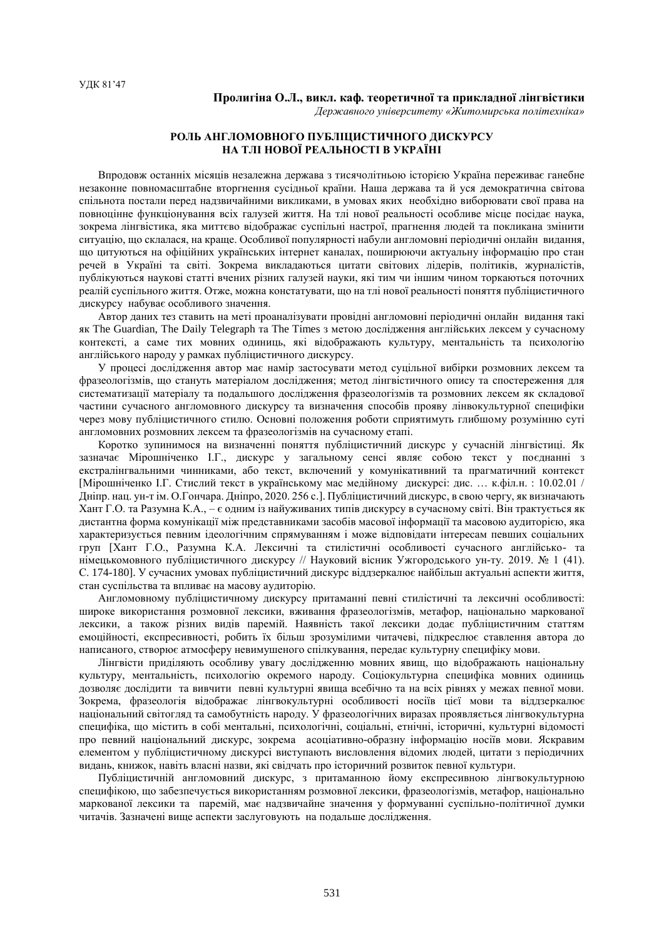## **Пролигіна О.Л., викл. каф. теоретичної та прикладної лінгвістики**

*Державного університету «Житомирська політехніка»*

# **РОЛЬ АНГЛОМОВНОГО ПУБЛІЦИСТИЧНОГО ДИСКУРСУ НА ТЛІ НОВОЇ РЕАЛЬНОСТІ В УКРАЇНІ**

Впродовж останніх місяців незалежна держава з тисячолітньою історією Україна переживає ганебне незаконне повномасштабне вторгнення сусідньої країни. Наша держава та й уся демократична світова спільнота постали перед надзвичайними викликами, в умовах яких необхідно виборювати свої права на повноцінне функціонування всіх галузей життя. На тлі нової реальності особливе місце посідає наука, зокрема лінгвістика, яка миттєво відображає суспільні настрої, прагнення людей та покликана змінити ситуацію, що склалася, на краще. Особливої популярності набули англомовні періодичні онлайн видання, що цитуються на офіційних українських інтернет каналах, поширюючи актуальну інформацію про стан речей в Україні та світі. Зокрема викладаються цитати світових лідерів, політиків, журналістів, публікуються наукові статті вчених різних галузей науки, які тим чи іншим чином торкаються поточних реалій суспільного життя. Отже, можна констатувати, що на тлі нової реальності поняття публіцистичного дискурсу набуває особливого значення.

Автор даних тез ставить на меті проаналізувати провідні англомовні періодичні онлайн видання такі як The Guardian, The Daily Telegraph та The Times з метою дослідження англійських лексем у сучасному контексті, а саме тих мовних одиниць, які відображають культуру, ментальність та психологію англійського народу у рамках публіцистичного дискурсу.

У процесі дослідження автор має намір застосувати метод суцільної вибірки розмовних лексем та фразеологізмів, що стануть матеріалом дослідження; метод лінгвістичного опису та спостереження для систематизації матеріалу та подальшого дослідження фразеологізмів та розмовних лексем як складової частини сучасного англомовного дискурсу та визначення способів прояву лінвокультурної специфіки через мову публіцистичного стилю. Основні положення роботи сприятимуть глибшому розумінню суті англомовних розмовних лексем та фразеологізмів на сучасному етапі.

Коротко зупинимося на визначенні поняття публіцистичний дискурс у сучасній лінгвістиці. Як зазначає Мірошніченко І.Г., дискурс у загальному сенсі являє собою текст у поєднанні з екстралінгвальними чинниками, або текст, включений у комунікативний та прагматичний контекст [Мірошніченко І.Г. Стислий текст в українському мас медійному дискурсі: дис. … к.філ.н. : 10.02.01 / Дніпр. нац. ун-т ім. О.Гончара. Дніпро, 2020. 256 с.]. Публіцистичний дискурс, в свою чергу, як визначають Хант Г.О. та Разумна К.А., – є одним із найуживаних типів дискурсу в сучасному світі. Він трактується як дистантна форма комунікації між представниками засобів масової інформації та масовою аудиторією, яка характеризується певним ідеологічним спрямуванням і може відповідати інтересам певших соціальних груп [Хант Г.О., Разумна К.А. Лексичні та стилістичні особливості сучасного англійсько- та німецькомовного публіцистичного дискурсу // Науковий вісник Ужгородського ун-ту. 2019. № 1 (41). С. 174-180]. У сучасних умовах публіцистичний дискурс віддзеркалює найбільш актуальні аспекти життя, стан суспільства та впливає на масову аудиторію.

Англомовному публіцистичному дискурсу притаманні певні стилістичні та лексичні особливості: широке використання розмовної лексики, вживання фразеологізмів, метафор, національно маркованої лексики, а також різних видів паремій. Наявність такої лексики додає публіцистичним статтям емоційності, експресивності, робить їх більш зрозумілими читачеві, підкреслює ставлення автора до написаного, створює атмосферу невимушеного спілкування, передає культурну специфіку мови.

Лінгвісти приділяють особливу увагу дослідженню мовних явищ, що відображають національну культуру, ментальність, психологію окремого народу. Соціокультурна специфіка мовних одиниць дозволяє дослідити та вивчити певні культурні явища всебічно та на всіх рівнях у межах певної мови. Зокрема, фразеологія відображає лінгвокультурні особливості носіїв цієї мови та віддзеркалює національний світогляд та самобутність народу. У фразеологічних виразах проявляється лінгвокультурна специфіка, що містить в собі ментальні, психологічні, соціальні, етнічні, історичні, культурні відомості про певний національний дискурс, зокрема асоціативно-образну інформацію носіїв мови. Яскравим елементом у публіцистичному дискурсі виступають висловлення відомих людей, цитати з періодичних видань, книжок, навіть власні назви, які свідчать про історичний розвиток певної культури.

Публіцистичній англомовний дискурс, з притаманною йому експресивною лінгвокультурною специфікою, що забезпечується використанням розмовної лексики, фразеологізмів, метафор, національно маркованої лексики та паремій, має надзвичайне значення у формуванні суспільно-політичної думки читачів. Зазначені вище аспекти заслуговують на подальше дослідження.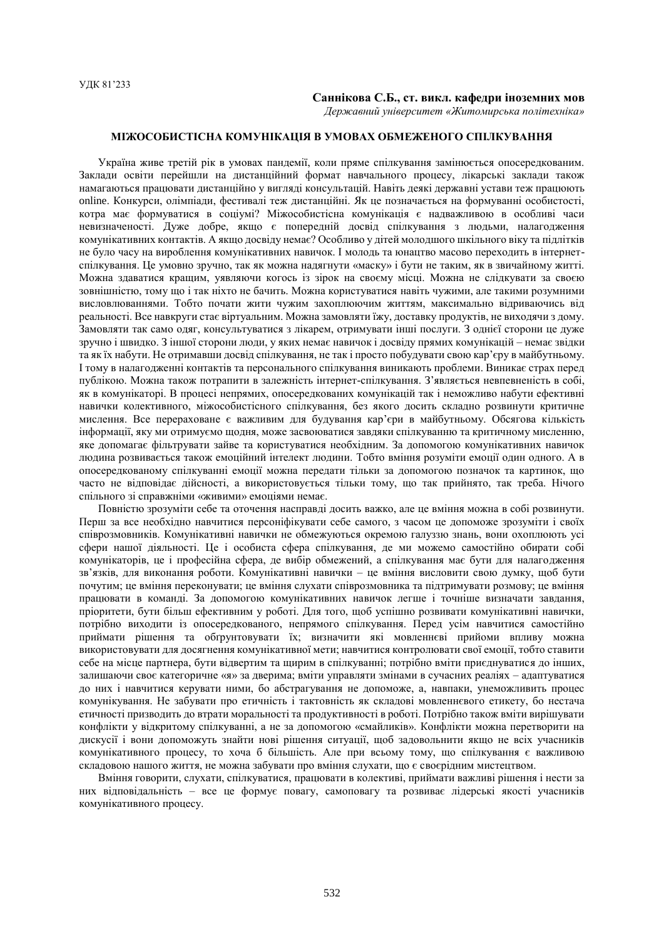### **Саннікова С.Б., ст. викл. кафедри іноземних мов**

*Державний університет «Житомирська політехніка»*

### **МІЖОСОБИСТІСНА КОМУНІКАЦІЯ В УМОВАХ ОБМЕЖЕНОГО СПІЛКУВАННЯ**

Україна живе третій рік в умовах пандемії, коли пряме спілкування замінюється опосередкованим. Заклади освіти перейшли на дистанційний формат навчального процесу, лікарські заклади також намагаються працювати дистанційно у вигляді консультацій. Навіть деякі державні устави теж працюють online. Конкурси, олімпіади, фестивалі теж дистанційні. Як це позначається на формуванні особистості, котра має формуватися в соціумі? Міжособистісна комунікація є надважливою в особливі часи невизначеності. Дуже добре, якщо є попередній досвід спілкування з людьми, налагодження комунікативних контактів. А якщо досвіду немає? Особливо у дітей молодшого шкільного віку та підлітків не було часу на вироблення комунікативних навичок. І молодь та юнацтво масово переходить в інтернетспілкування. Це умовно зручно, так як можна надягнути «маску» і бути не таким, як в звичайному житті. Можна здаватися кращим, уявляючи когось із зірок на своєму місці. Можна не слідкувати за своєю зовнішністю, тому що і так ніхто не бачить. Можна користуватися навіть чужими, але такими розумними висловлюваннями. Тобто почати жити чужим захоплюючим життям, максимально відриваючись від реальності. Все навкруги стає віртуальним. Можна замовляти їжу, доставку продуктів, не виходячи з дому. Замовляти так само одяг, консультуватися з лікарем, отримувати інші послуги. З однієї сторони це дуже зручно і швидко. З іншої сторони люди, у яких немає навичок і досвіду прямих комунікацій – немає звідки та як їх набути. Не отримавши досвід спілкування, не так і просто побудувати свою кар'єру в майбутньому. І тому в налагодженні контактів та персонального спілкування виникають проблеми. Виникає страх перед публікою. Можна також потрапити в залежність інтернет-спілкування. З'являється невпевненість в собі, як в комунікаторі. В процесі непрямих, опосередкованих комунікацій так і неможливо набути ефективні навички колективного, міжособистісного спілкування, без якого досить складно розвинути критичне мислення. Все перераховане є важливим для будування кар'єри в майбутньому. Обсягова кількість інформації, яку ми отримуємо щодня, може засвоюватися завдяки спілкуванню та критичному мисленню, яке допомагає фільтрувати зайве та користуватися необхідним. За допомогою комунікативних навичок людина розвивається також емоційний інтелект людини. Тобто вміння розуміти емоції один одного. А в опосередкованому спілкуванні емоції можна передати тільки за допомогою позначок та картинок, що часто не відповідає дійсності, а використовується тільки тому, що так прийнято, так треба. Нічого спільного зі справжніми «живими» емоціями немає.

Повністю зрозуміти себе та оточення насправді досить важко, але це вміння можна в собі розвинути. Перш за все необхідно навчитися персоніфікувати себе самого, з часом це допоможе зрозуміти і своїх співрозмовників. Комунікативні навички не обмежуються окремою галуззю знань, вони охоплюють усі сфери нашої діяльності. Це і особиста сфера спілкування, де ми можемо самостійно обирати собі комунікаторів, це і професійна сфера, де вибір обмежений, а спілкування має бути для налагодження зв'язків, для виконання роботи. Комунікативні навички – це вміння висловити свою думку, щоб бути почутим; це вміння переконувати; це вміння слухати співрозмовника та підтримувати розмову; це вміння працювати в команді. За допомогою комунікативних навичок легше і точніше визначати завдання, пріоритети, бути більш ефективним у роботі. Для того, щоб успішно розвивати комунікативні навички, потрібно виходити із опосередкованого, непрямого спілкування. Перед усім навчитися самостійно приймати рішення та обґрунтовувати їх; визначити які мовленнєві прийоми впливу можна використовувати для досягнення комунікативної мети; навчитися контролювати свої емоції, тобто ставити себе на місце партнера, бути відвертим та щирим в спілкуванні; потрібно вміти приєднуватися до інших, залишаючи своє категоричне «я» за дверима; вміти управляти змінами в сучасних реаліях – адаптуватися до них і навчитися керувати ними, бо абстрагування не допоможе, а, навпаки, унеможливить процес комунікування. Не забувати про етичність і тактовність як складові мовленнєвого етикету, бо нестача етичності призводить до втрати моральності та продуктивності в роботі. Потрібно також вміти вирішувати конфлікти у відкритому спілкуванні, а не за допомогою «смайликів». Конфлікти можна перетворити на дискусії і вони допоможуть знайти нові рішення ситуації, щоб задовольнити якщо не всіх учасників комунікативного процесу, то хоча б більшість. Але при всьому тому, що спілкування є важливою складовою нашого життя, не можна забувати про вміння слухати, що є своєрідним мистецтвом.

Вміння говорити, слухати, спілкуватися, працювати в колективі, приймати важливі рішення і нести за них відповідальність – все це формує повагу, самоповагу та розвиває лідерські якості учасників комунікативного процесу.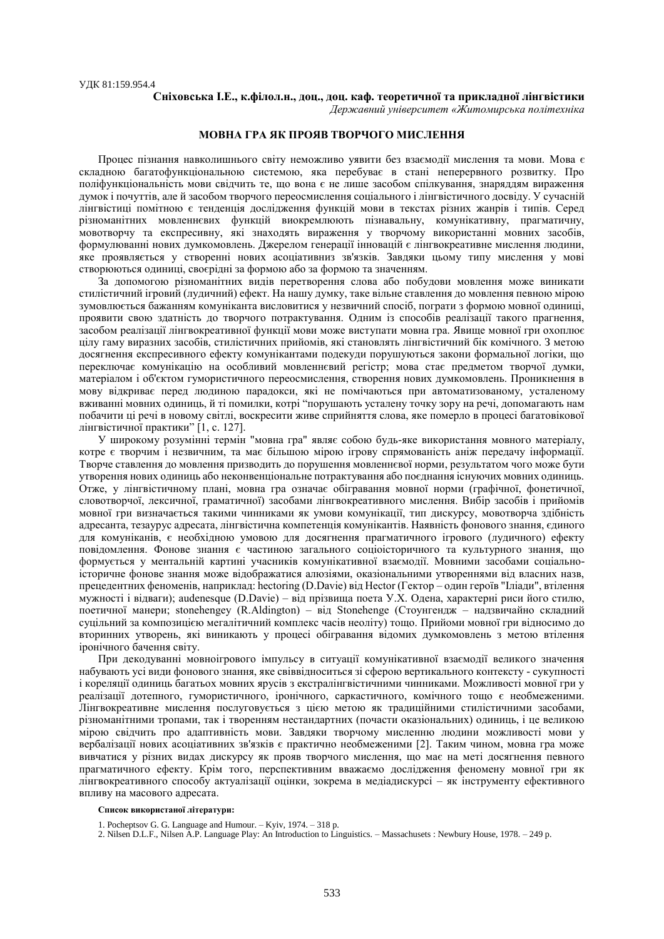### **Сніховська І.Е., к.філол.н., доц., доц. каф. теоретичної та прикладної лінгвістики**

*Державний університет «Житомирська політехніка*

### **МОВНА ГРА ЯК ПРОЯВ ТВОРЧОГО МИСЛЕННЯ**

Процес пізнання навколишнього світу неможливо уявити без взаємодії мислення та мови. Мова є складною багатофункціональною системою, яка перебуває в стані неперервного розвитку. Про поліфункціональність мови свідчить те, що вона є не лише засобом спілкування, знаряддям вираження думок і почуттів, але й засобом творчого переосмислення соціального і лінгвістичного досвіду. У сучасній лінгвістиці помітною є тенденція дослідження функцій мови в текстах різних жанрів і типів. Серед різноманітних мовленнєвих функцій виокремлюють пізнавальну, комунікативну, прагматичну, мовотворчу та експресивну, які знаходять вираження у творчому використанні мовних засобів, формулюванні нових думкомовлень. Джерелом генерації інновацій є лінгвокреативне мислення людини, яке проявляється у створенні нових асоціативниз зв'язків. Завдяки цьому типу мислення у мові створюються одиниці, своєрідні за формою або за формою та значенням.

За допомогою різноманітних видів перетворення слова або побудови мовлення може виникати стилістичний ігровий (лудичний) ефект. На нашу думку, таке вільне ставлення до мовлення певною мірою зумовлюється бажанням комуніканта висловитися у незвичний спосіб, пограти з формою мовної одиниці, проявити свою здатність до творчого потрактування. Одним із способів реалізації такого прагнення, засобом реалізації лінгвокреативної функції мови може виступати мовна гра. Явище мовної гри охоплює цілу гаму виразних засобів, стилістичних прийомів, які становлять лінгвістичний бік комічного. З метою досягнення експресивного ефекту комунікантами подекуди порушуються закони формальної логіки, що переключає комунікацію на особливий мовленнєвий регістр; мова стає предметом творчої думки, матеріалом і об'єктом гумористичного переосмислення, створення нових думкомовлень. Проникнення в мову відкриває перед людиною парадокси, які не помічаються при автоматизованому, усталеному вживанні мовних одиниць, й ті помилки, котрі "порушають усталену точку зору на речі, допомагають нам побачити ці речі в новому світлі, воскресити живе сприйняття слова, яке померло в процесі багатовікової лінгвістичної практики" [1, c. 127].

У широкому розумінні термін "мовна гра" являє собою будь-яке використання мовного матеріалу, котре є творчим і незвичним, та має більшою мірою ігрову спрямованість аніж передачу інформації. Творче ставлення до мовлення призводить до порушення мовленнєвої норми, результатом чого може бути утворення нових одиниць або неконвенціональне потрактування або поєднання існуючих мовних одиниць. Отже, у лінгвістичному плані, мовна гра означає обігравання мовної норми (графічної, фонетичної, словотворчої, лексичної, граматичної) засобами лінгвокреативного мислення. Вибір засобів і прийомів мовної гри визначається такими чинниками як умови комунікації, тип дискурсу, мовотворча здібність адресанта, тезаурус адресата, лінгвістична компетенція комунікантів. Наявність фонового знання, єдиного для комуніканів, є необхідною умовою для досягнення прагматичного ігрового (лудичного) ефекту повідомлення. Фонове знання є частиною загального соціоісторичного та культурного знання, що формується у ментальній картині учасників комунікативної взаємодії. Мовними засобами соціальноісторичне фонове знання може відображатися алюзіями, оказіональними утвореннями від власних назв, прецедентних феноменів, наприклад: hectoring (D.Davie) від Hector (Гектор – один героїв "Іліади", втілення мужності і відваги); audenesque (D.Davie) – від прізвища поета У.Х. Одена, характерні риси його стилю, поетичної манери; stonehengey (R.Aldington) – від Stonehenge (Стоунгендж – надзвичайно складний суцільний за композицією мегалітичний комплекс часів неоліту) тощо. Прийоми мовної гри відносимо до вторинних утворень, які виникають у процесі обігравання відомих думкомовлень з метою втілення іронічного бачення світу.

При декодуванні мовноігрового імпульсу в ситуації комунікативної взаємодії великого значення набувають усі види фонового знання, яке свіввідноситься зі сферою вертикального контексту - сукупності і кореляції одиниць багатьох мовних ярусів з екстралінгвістичними чинниками. Можливості мовної гри у реалізації дотепного, гумористичного, іронічного, саркастичного, комічного тощо є необмеженими. Лінгвокреативне мислення послуговується з цією метою як традиційними стилістичними засобами, різноманітними тропами, так і творенням нестандартних (почасти оказіональних) одиниць, і це великою мірою свідчить про адаптивність мови. Завдяки творчому мисленню людини можливості мови у вербалізації нових асоціативних зв'язків є практично необмеженими [2]. Таким чином, мовна гра може вивчатися у різних видах дискурсу як прояв творчого мислення, що має на меті досягнення певного прагматичного ефекту. Крім того, перспективним вважаємо дослідження феномену мовної гри як лінгвокреативного способу актуалізації оцінки, зокрема в медіадискурсі – як інструменту ефективного впливу на масового адресата.

#### **Список використаної літератури:**

2. Nilsen D.L.F., Nilsen A.P. Language Play: An Introduction to Linguistics. – Massachusets : Newbury House, 1978. – 249 p.

<sup>1.</sup> Pocheptsov G. G. Language and Humour. – Kyiv, 1974. – 318 p.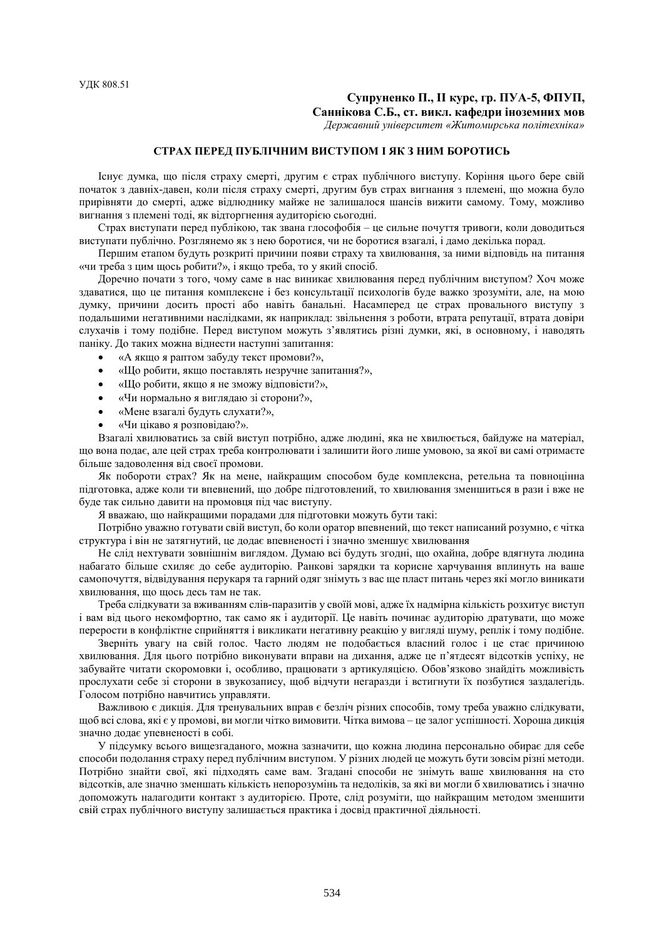## **Супруненко П., II курс, гр. ПУА-5, ФПУП,**

**Саннікова С.Б., ст. викл. кафедри іноземних мов**

*Державний університет «Житомирська політехніка»*

### **СТРАХ ПЕРЕД ПУБЛІЧНИМ ВИСТУПОМ І ЯК З НИМ БОРОТИСЬ**

Існує думка, що після страху смерті, другим є страх публічного виступу. Коріння цього бере свій початок з давніх-давен, коли після страху смерті, другим був страх вигнання з племені, що можна було прирівняти до смерті, адже відлюднику майже не залишалося шансів вижити самому. Тому, можливо вигнання з племені тоді, як відторгнення аудиторією сьогодні.

Страх виступати перед публікою, так звана глософобія – це сильне почуття тривоги, коли доводиться виступати публічно. Розглянемо як з нею боротися, чи не боротися взагалі, і дамо декілька порад.

Першим етапом будуть розкриті причини появи страху та хвилювання, за ними відповідь на питання «чи треба з цим щось робити?», і якщо треба, то у який спосіб.

Доречно почати з того, чому саме в нас виникає хвилювання перед публічним виступом? Хоч може здаватися, що це питання комплексне і без консультації психологів буде важко зрозуміти, але, на мою думку, причини досить прості або навіть банальні. Насамперед це страх провального виступу з подальшими негативними наслідками, як наприклад: звільнення з роботи, втрата репутації, втрата довіри слухачів і тому подібне. Перед виступом можуть з'являтись різні думки, які, в основному, і наводять паніку. До таких можна віднести наступні запитання:

- «А якщо я раптом забуду текст промови?»,
- «Що робити, якщо поставлять незручне запитання?»,
- «Що робити, якщо я не зможу відповісти?»,
- «Чи нормально я виглядаю зі сторони?»,
- «Мене взагалі будуть слухати?»,
- «Чи цікаво я розповідаю?».

Взагалі хвилюватись за свій виступ потрібно, адже людині, яка не хвилюється, байдуже на матеріал, що вона подає, але цей страх треба контролювати і залишити його лише умовою, за якої ви самі отримаєте більше задоволення від своєї промови.

Як побороти страх? Як на мене, найкращим способом буде комплексна, ретельна та повноцінна підготовка, адже коли ти впевнений, що добре підготовлений, то хвилювання зменшиться в рази і вже не буде так сильно давити на промовця під час виступу.

Я вважаю, що найкращими порадами для підготовки можуть бути такі:

Потрібно уважно готувати свій виступ, бо коли оратор впевнений, що текст написаний розумно, є чітка структура і він не затягнутий, це додає впевненості і значно зменшує хвилювання

Не слід нехтувати зовнішнім виглядом. Думаю всі будуть згодні, що охайна, добре вдягнута людина набагато більше схиляє до себе аудиторію. Ранкові зарядки та корисне харчування вплинуть на ваше самопочуття, відвідування перукаря та гарний одяг знімуть з вас ще пласт питань через які могло виникати хвилювання, що щось десь там не так.

Треба слідкувати за вживанням слів-паразитів у своїй мові, адже їх надмірна кількість розхитує виступ і вам від цього некомфортно, так само як і аудиторії. Це навіть починає аудиторію дратувати, що може перерости в конфліктне сприйняття і викликати негативну реакцію у вигляді шуму, реплік і тому подібне.

Зверніть увагу на свій голос. Часто людям не подобається власний голос і це стає причиною хвилювання. Для цього потрібно виконувати вправи на дихання, адже це п'ятдесят відсотків успіху, не забувайте читати скоромовки і, особливо, працювати з артикуляцією. Обов'язково знайдіть можливість прослухати себе зі сторони в звукозапису, щоб відчути негаразди і встигнути їх позбутися заздалегідь. Голосом потрібно навчитись управляти.

Важливою є дикція. Для тренувальних вправ є безліч різних способів, тому треба уважно слідкувати, щоб всі слова, які є у промові, ви могли чітко вимовити. Чітка вимова – це залог успішності. Хороша дикція значно додає упевненості в собі.

У підсумку всього вищезгаданого, можна зазначити, що кожна людина персонально обирає для себе способи подолання страху перед публічним виступом. У різних людей це можуть бути зовсім різні методи. Потрібно знайти свої, які підходять саме вам. Згадані способи не знімуть ваше хвилювання на сто відсотків, але значно зменшать кількість непорозумінь та недоліків, за які ви могли б хвилюватись і значно допоможуть налагодити контакт з аудиторією. Проте, слід розуміти, що найкращим методом зменшити свій страх публічного виступу залишається практика і досвід практичної діяльності.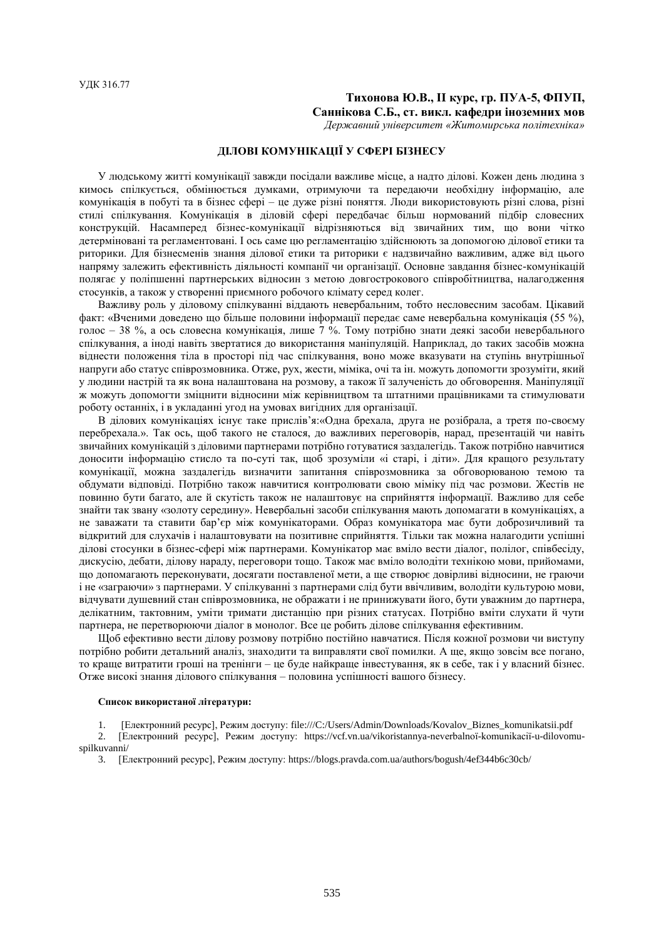# **Тихонова Ю.В., II курс, гр. ПУА-5, ФПУП,**

**Саннікова С.Б., ст. викл. кафедри іноземних мов**

*Державний університет «Житомирська політехніка»*

### **ДІЛОВІ КОМУНІКАЦІЇ У СФЕРІ БІЗНЕСУ**

У людському житті комунікації завжди посідали важливе місце, а надто ділові. Кожен день людина з кимось спілкується, обмінюється думками, отримуючи та передаючи необхідну інформацію, але комунікація в побуті та в бізнес сфері – це дуже різні поняття. Люди використовують різні слова, різні стилі спілкування. Комунікація в діловій сфері передбачає більш нормований підбір словесних конструкцій. Насамперед бізнес-комунікації відрізняються від звичайних тим, що вони чітко детерміновані та регламентовані. І ось саме цю регламентацію здійснюють за допомогою ділової етики та риторики. Для бізнесменів знання ділової етики та риторики є надзвичайно важливим, адже від цього напряму залежить ефективність діяльності компанії чи організації. Основне завдання бізнес-комунікацій полягає у поліпшенні партнерських відносин з метою довгострокового співробітництва, налагодження стосунків, а також у створенні приємного робочого клімату серед колег.

Важливу роль у діловому спілкуванні віддають невербальним, тобто несловесним засобам. Цікавий факт: «Вченими доведено що більше половини інформації передає саме невербальна комунікація (55 %), голос – 38 %, а ось словесна комунікація, лише 7 %. Тому потрібно знати деякі засоби невербального спілкування, а іноді навіть звертатися до використання маніпуляцій. Наприклад, до таких засобів можна віднести положення тіла в просторі під час спілкування, воно може вказувати на ступінь внутрішньої напруги або статус співрозмовника. Отже, рух, жести, міміка, очі та ін. можуть допомогти зрозуміти, який у людини настрій та як вона налаштована на розмову, а також її залученість до обговорення. Маніпуляції ж можуть допомогти зміцнити відносини між керівництвом та штатними працівниками та стимулювати роботу останніх, і в укладанні угод на умовах вигідних для організації.

В ділових комунікаціях існує таке прислів'я:«Одна брехала, друга не розібрала, а третя по-своєму перебрехала.». Так ось, щоб такого не сталося, до важливих переговорів, нарад, презентацій чи навіть звичайних комунікацій з діловими партнерами потрібно готуватися заздалегідь. Також потрібно навчитися доносити інформацію стисло та по-суті так, щоб зрозуміли «і старі, і діти». Для кращого результату комунікації, можна заздалегідь визначити запитання співрозмовника за обговорюваною темою та обдумати відповіді. Потрібно також навчитися контролювати свою міміку під час розмови. Жестів не повинно бути багато, але й скутість також не налаштовує на сприйняття інформації. Важливо для себе знайти так звану «золоту середину». Невербальні засоби спілкування мають допомагати в комунікаціях, а не заважати та ставити бар'єр між комунікаторами. Образ комунікатора має бути доброзичливий та відкритий для слухачів і налаштовувати на позитивне сприйняття. Тільки так можна налагодити успішні ділові стосунки в бізнес-сфері між партнерами. Комунікатор має вміло вести діалог, полілог, співбесіду, дискусію, дебати, ділову нараду, переговори тощо. Також має вміло володіти технікою мови, прийомами, що допомагають переконувати, досягати поставленої мети, а ще створює довірливі відносини, не граючи і не «заграючи» з партнерами. У спілкуванні з партнерами слід бути ввічливим, володіти культурою мови, відчувати душевний стан співрозмовника, не ображати і не принижувати його, бути уважним до партнера, делікатним, тактовним, уміти тримати дистанцію при різних статусах. Потрібно вміти слухати й чути партнера, не перетворюючи діалог в монолог. Все це робить ділове спілкування ефективним.

Щоб ефективно вести ділову розмову потрібно постійно навчатися. Після кожної розмови чи виступу потрібно робити детальний аналіз, знаходити та виправляти свої помилки. А ще, якщо зовсім все погано, то краще витратити гроші на тренінги – це буде найкраще інвестування, як в себе, так і у власний бізнес. Отже високі знання ділового спілкування – половина успішності вашого бізнесу.

#### **Список використаної літератури:**

1. [Електронний ресурс], Режим доступу: [file:///C:/Users/Admin/Downloads/Kovalov\\_Biznes\\_komunikatsii.pdf](file:///C:/Users/Admin/Downloads/Kovalov_Biznes_komunikatsii.pdf)

2. [Електронний ресурс], Режим доступу: [https://vcf.vn.ua/vikoristannya-neverbalnoї-komunikaciї-u-dilovomu](https://vcf.vn.ua/vikoristannya-neverbalnoї-komunikaciї-u-dilovomu-spilkuvanni/)[spilkuvanni/](https://vcf.vn.ua/vikoristannya-neverbalnoї-komunikaciї-u-dilovomu-spilkuvanni/)

3. [Електронний ресурс], Режим доступу: <https://blogs.pravda.com.ua/authors/bogush/4ef344b6c30cb/>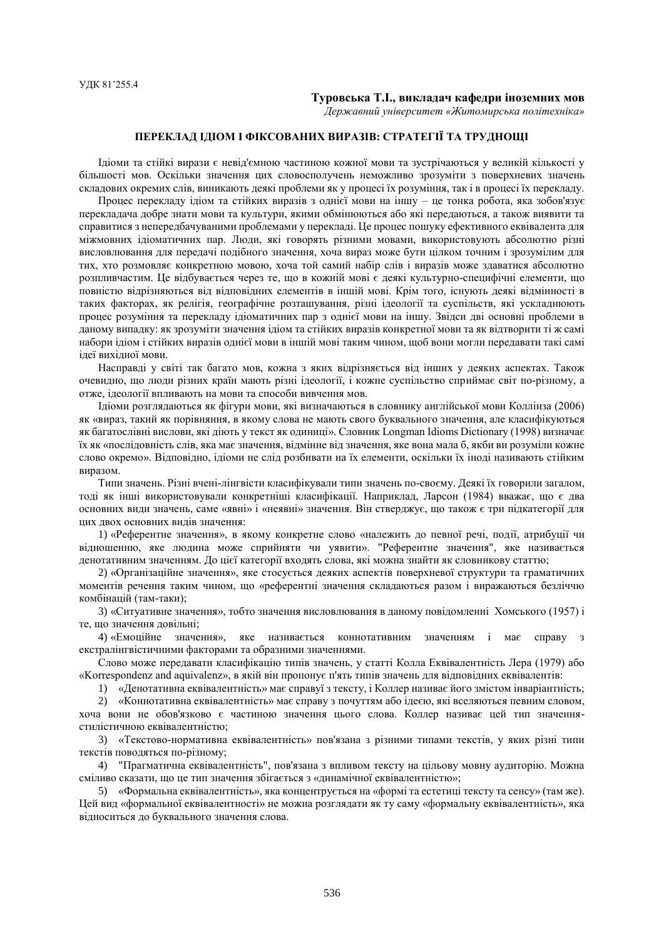*Державний університет «Житомирська політехніка»*

### **ПЕРЕКЛАД ІДІОМ І ФІКСОВАНИХ ВИРАЗІВ: СТРАТЕГІЇ ТА ТРУДНОЩІ**

Ідіоми та стійкі вирази є невід'ємною частиною кожної мови та зустрічаються у великій кількості у більшості мов. Оскільки значення цих словосполучень неможливо зрозуміти з поверхневих значень складових окремих слів, виникають деякі проблеми як у процесі їх розуміння, так і в процесі їх перекладу.

Процес перекладу ідіом та стійких виразів з однієї мови на іншу – це тонка робота, яка зобов'язує перекладача добре знати мови та культури, якими обмінюються або які передаються, а також виявити та справитися з непередбачуваними проблемами у перекладі. Це процес пошуку ефективного еквівалента для міжмовних ідіоматичних пар. Люди, які говорять різними мовами, використовують абсолютно різні висловлювання для передачі подібного значення, хоча вираз може бути цілком точним і зрозумілим для тих, хто розмовляє конкретною мовою, хоча той самий набір слів і виразів може здаватися абсолютно розпливчастим. Це відбувається через те, що в кожній мові є деякі культурно-специфічні елементи, що повністю відрізняються від відповідних елементів в іншій мові. Крім того, існують деякі відмінності в таких факторах, як релігія, географічне розташування, різні ідеології та суспільств, які ускладнюють процес розуміння та перекладу ідіоматичних пар з однієї мови на іншу. Звідси дві основні проблеми в даному випадку: як зрозуміти значення ідіом та стійких виразів конкретної мови та як відтворити ті ж самі набори ідіом і стійких виразів однієї мови в іншій мові таким чином, щоб вони могли передавати такі самі ідеї вихідної мови.

Насправді у світі так багато мов, кожна з яких відрізняється від інших у деяких аспектах. Також очевидно, що люди різних країн мають різні ідеології, і кожне суспільство сприймає світ по-різному, а отже, ідеології впливають на мови та способи вивчення мов.

Ідіоми розглядаються як фігури мови, які визначаються в словнику англійської мови Коллінза (2006) як «вираз, такий як порівняння, в якому слова не мають свого буквального значення, але класифікуються як багатослівні вислови, які діють у текст як одиниці». Словник Longman Idioms Dictionary (1998) визначає їх як «послідовність слів, яка має значення, відмінне від значення, яке вона мала б, якби ви розуміли кожне слово окремо». Відповідно, ідіоми не слід розбивати на їх елементи, оскільки їх іноді називають стійким виразом.

Типи значень. Різні вчені-лінгвісти класифікували типи значень по-своєму. Деякі їх говорили загалом, тоді як інші використовували конкретніші класифікації. Наприклад, Ларсон (1984) вважає, що є два основних види значень, саме «явні» і «неявні» значення. Він стверджує, що також є три підкатегорії для цих двох основних видів значення:

1) «Референтне значення», в якому конкретне слово «належить до певної речі, події, атрибуції чи відношенню, яке людина може сприйняти чи уявити». "Референтне значення", яке називається денотативним значенням. До цієї категорії входять слова, які можна знайти як словникову статтю;

2) «Організаційне значення», яке стосується деяких аспектів поверхневої структури та граматичних моментів речення таким чином, що «референтні значення складаються разом і виражаються безліччю комбінацій (там-таки);

3) «Ситуативне значення», тобто значення висловлювання в даному повідомленні Хомського (1957) і те, що значення довільні;

4) «Емоційне значення», яке називається коннотативним значенням і має справу екстралінгвістичними факторами та образними значеннями.

Слово може передавати класифікацію типів значень, у статті Колла Еквівалентність Лера (1979) або «Korrespondenz and aquivalenz», в якій він пропонує п'ять типів значень для відповідних еквівалентів:

1) «Денотативна еквівалентність» має справуї з тексту, і Коллер називає його змістом інваріантність;

2) «Коннотативна еквівалентність» має справу з почуттям або ідеєю, які вселяються певним словом, хоча вони не обов'язково є частиною значення цього слова. Коллер називає цей тип значеннястилістичною еквівалентністю;

3) «Текстово-нормативна еквівалентність» пов'язана з різними типами текстів, у яких різні типи текстів поводяться по-різному;

4) "Прагматична еквівалентність", пов'язана з впливом тексту на цільову мовну аудиторію. Можна сміливо сказати, що це тип значення збігається з «динамічної еквівалентністю»;

5) «Формальна еквівалентність», яка концентрується на «формі та естетиці тексту та сенсу» (там же). Цей вид «формальної еквівалентності» не можна розглядати як ту саму «формальну еквівалентність», яка відноситься до буквального значення слова.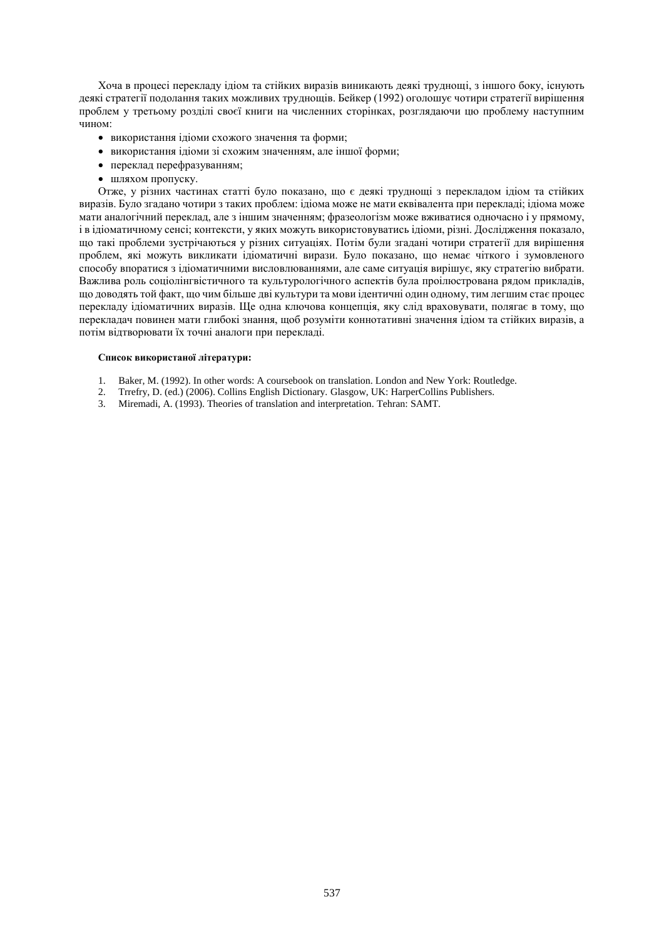Хоча в процесі перекладу ідіом та стійких виразів виникають деякі труднощі, з іншого боку, існують деякі стратегії подолання таких можливих труднощів. Бейкер (1992) оголошує чотири стратегії вирішення проблем у третьому розділі своєї книги на численних сторінках, розглядаючи цю проблему наступним чином:

- використання ідіоми схожого значення та форми;
- використання ідіоми зі схожим значенням, але іншої форми;
- переклад перефразуванням;
- шляхом пропуску.

Отже, у різних частинах статті було показано, що є деякі труднощі з перекладом ідіом та стійких виразів. Було згадано чотири з таких проблем: ідіома може не мати еквівалента при перекладі; ідіома може мати аналогічний переклад, але з іншим значенням; фразеологізм може вживатися одночасно і у прямому, і в ідіоматичному сенсі; контексти, у яких можуть використовуватись ідіоми, різні. Дослідження показало, що такі проблеми зустрічаються у різних ситуаціях. Потім були згадані чотири стратегії для вирішення проблем, які можуть викликати ідіоматичні вирази. Було показано, що немає чіткого і зумовленого способу впоратися з ідіоматичними висловлюваннями, але саме ситуація вирішує, яку стратегію вибрати. Важлива роль соціолінгвістичного та культурологічного аспектів була проілюстрована рядом прикладів, що доводять той факт, що чим більше дві культури та мови ідентичні один одному, тим легшим стає процес перекладу ідіоматичних виразів. Ще одна ключова концепція, яку слід враховувати, полягає в тому, що перекладач повинен мати глибокі знання, щоб розуміти коннотативні значення ідіом та стійких виразів, а потім відтворювати їх точні аналоги при перекладі.

### **Список використаної літератури:**

- 1. Baker, M. (1992). In other words: A coursebook on translation. London and New York: Routledge.
- 2. Trrefry, D. (ed.) (2006). Collins English Dictionary. Glasgow, UK: HarperCollins Publishers.
- 3. Miremadi, A. (1993). Theories of translation and interpretation. Tehran: SAMT.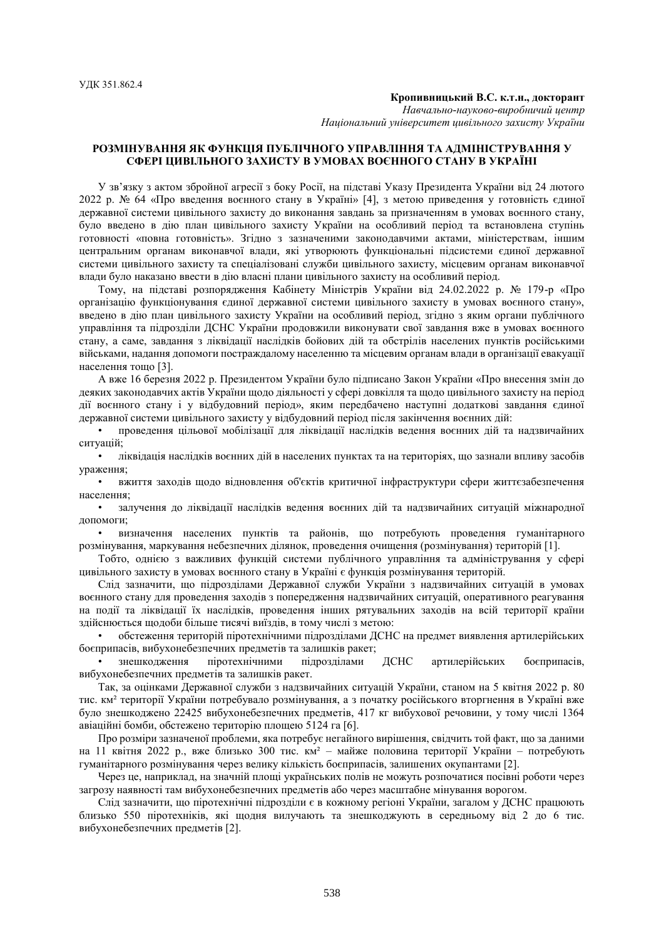#### **Кропивницький В.С. к.т.н., докторант**

*Навчально-науково-виробничий центр Національний університет цивільного захисту України*

### **РОЗМІНУВАННЯ ЯК ФУНКЦІЯ ПУБЛІЧНОГО УПРАВЛІННЯ ТА АДМІНІСТРУВАННЯ У СФЕРІ ЦИВІЛЬНОГО ЗАХИСТУ В УМОВАХ ВОЄННОГО СТАНУ В УКРАЇНІ**

У зв'язку з актом збройної агресії з боку Росії, на підставі Указу Президента України від 24 лютого 2022 р. № 64 «Про введення воєнного стану в Україні» [4], з метою приведення у готовність єдиної державної системи цивільного захисту до виконання завдань за призначенням в умовах воєнного стану, було введено в дію план цивільного захисту України на особливий період та встановлена ступінь готовності «повна готовність». Згідно з зазначеними законодавчими актами, міністерствам, іншим центральним органам виконавчої влади, які утворюють функціональні підсистеми єдиної державної системи цивільного захисту та спеціалізовані служби цивільного захисту, місцевим органам виконавчої влади було наказано ввести в дію власні плани цивільного захисту на особливий період.

Тому, на підставі розпорядження Кабінету Міністрів України від 24.02.2022 р. № 179-р «Про організацію функціонування єдиної державної системи цивільного захисту в умовах воєнного стану», введено в дію план цивільного захисту України на особливий період, згідно з яким органи публічного управління та підрозділи ДСНС України продовжили виконувати свої завдання вже в умовах воєнного стану, а саме, завдання з ліквідації наслідків бойових дій та обстрілів населених пунктів російськими військами, надання допомоги постраждалому населенню та місцевим органам влади в організації евакуації населення тощо [3].

А вже 16 березня 2022 р. Президентом України було підписано Закон України «Про внесення змін до деяких законодавчих актів України щодо діяльності у сфері довкілля та щодо цивільного захисту на період дії воєнного стану і у відбудовний період», яким передбачено наступні додаткові завдання єдиної державної системи цивільного захисту у відбудовний період після закінчення воєнних дій:

• проведення цільової мобілізації для ліквідації наслідків ведення воєнних дій та надзвичайних ситуацій;

• ліквідація наслідків воєнних дій в населених пунктах та на територіях, що зазнали впливу засобів ураження;

• вжиття заходів щодо відновлення об'єктів критичної інфраструктури сфери життєзабезпечення населення;

• залучення до ліквідації наслідків ведення воєнних дій та надзвичайних ситуацій міжнародної допомоги;

• визначення населених пунктів та районів, що потребують проведення гуманітарного розмінування, маркування небезпечних ділянок, проведення очищення (розмінування) територій [1].

Тобто, однією з важливих функцій системи публічного управління та адміністрування у сфері цивільного захисту в умовах воєнного стану в Україні є функція розмінування територій.

Слід зазначити, що підрозділами Державної служби України з надзвичайних ситуацій в умовах воєнного стану для проведення заходів з попередження надзвичайних ситуацій, оперативного реагування на події та ліквідації їх наслідків, проведення інших рятувальних заходів на всій території країни здійснюється щодоби більше тисячі виїздів, в тому числі з метою:

• обстеження територій піротехнічними підрозділами ДСНС на предмет виявлення артилерійських боєприпасів, вибухонебезпечних предметів та залишків ракет;

• знешкодження піротехнічними підрозділами ДСНС артилерійських боєприпасів, вибухонебезпечних предметів та залишків ракет.

Так, за оцінками Державної служби з надзвичайних ситуацій України, станом на 5 квітня 2022 р. 80 тис. км² території України потребувало розмінування, а з початку російського вторгнення в Україні вже було знешкоджено 22425 вибухонебезпечних предметів, 417 кг вибухової речовини, у тому числі 1364 авіаційні бомби, обстежено територію площею 5124 га [6].

Про розміри зазначеної проблеми, яка потребує негайного вирішення, свідчить той факт, що за даними на 11 квітня 2022 р., вже близько 300 тис. км² – майже половина території України – потребують гуманітарного розмінування через велику кількість боєприпасів, залишених окупантами [2].

Через це, наприклад, на значній площі українських полів не можуть розпочатися посівні роботи через загрозу наявності там вибухонебезпечних предметів або через масштабне мінування ворогом.

Слід зазначити, що піротехнічні підрозділи є в кожному регіоні України, загалом у ДСНС працюють близько 550 піротехніків, які щодня вилучають та знешкоджують в середньому від 2 до 6 тис. вибухонебезпечних предметів [2].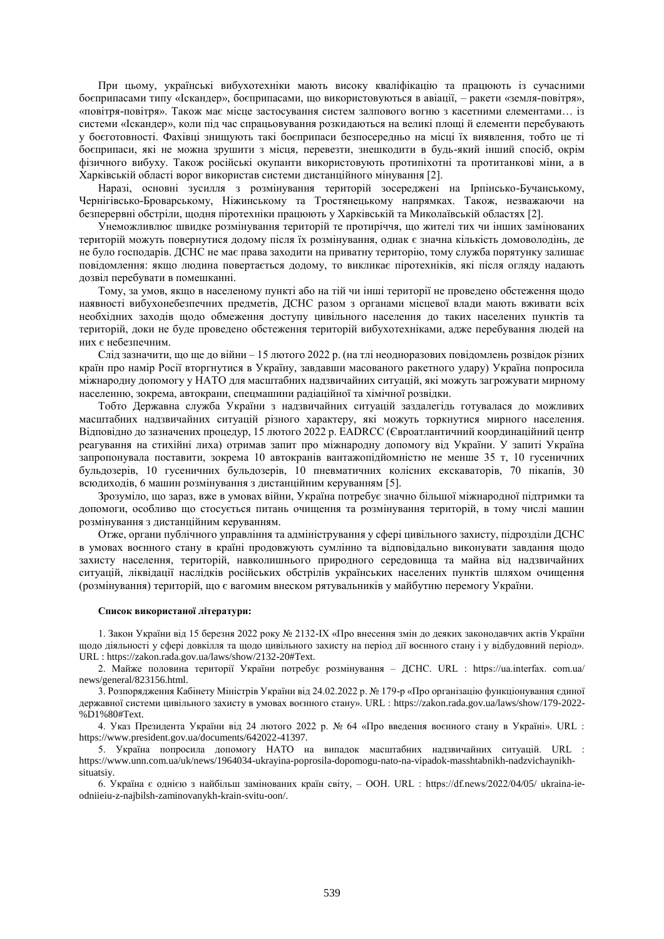При цьому, українські вибухотехніки мають високу кваліфікацію та працюють із сучасними боєприпасами типу «Іскандер», боєприпасами, що використовуються в авіації, – ракети «земля-повітря», «повітря-повітря». Також має місце застосування систем залпового вогню з касетними елементами… із системи «Іскандер», коли під час спрацьовування розкидаються на великі площі й елементи перебувають у боєготовності. Фахівці знищують такі боєприпаси безпосередньо на місці їх виявлення, тобто це ті боєприпаси, які не можна зрушити з місця, перевезти, знешкодити в будь-який інший спосіб, окрім фізичного вибуху. Також російські окупанти використовують протипіхотні та протитанкові міни, а в Харківській області ворог використав системи дистанційного мінування [2].

Наразі, основні зусилля з розмінування територій зосереджені на Ірпінсько-Бучанському, Чернігівсько-Броварському, Ніжинському та Тростянецькому напрямках. Також, незважаючи на безперервні обстріли, щодня піротехніки працюють у Харківській та Миколаївській областях [2].

Унеможливлює швидке розмінування територій те протиріччя, що жителі тих чи інших замінованих територій можуть повернутися додому після їх розмінування, однак є значна кількість домоволодінь, де не було господарів. ДСНС не має права заходити на приватну територію, тому служба порятунку залишає повідомлення: якщо людина повертається додому, то викликає піротехніків, які після огляду надають дозвіл перебувати в помешканні.

Тому, за умов, якщо в населеному пункті або на тій чи інші території не проведено обстеження щодо наявності вибухонебезпечних предметів, ДСНС разом з органами місцевої влади мають вживати всіх необхідних заходів щодо обмеження доступу цивільного населення до таких населених пунктів та територій, доки не буде проведено обстеження територій вибухотехніками, адже перебування людей на них є небезпечним.

Слід зазначити, що ще до війни – 15 лютого 2022 р. (на тлі неодноразових повідомлень розвідок різних країн про намір Росії вторгнутися в Україну, завдавши масованого ракетного удару) Україна попросила міжнародну допомогу у НАТО для масштабних надзвичайних ситуацій, які можуть загрожувати мирному населенню, зокрема, автокрани, спецмашини радіаційної та хімічної розвідки.

Тобто Державна служба України з надзвичайних ситуацій заздалегідь готувалася до можливих масштабних надзвичайних ситуацій різного характеру, які можуть торкнутися мирного населення. Відповідно до зазначених процедур, 15 лютого 2022 р. EADRCC (Євроатлантичний координаційний центр реагування на стихійні лиха) отримав запит про міжнародну допомогу від України. У запиті Україна запропонувала поставити, зокрема 10 автокранів вантажопідйомністю не менше 35 т, 10 гусеничних бульдозерів, 10 гусеничних бульдозерів, 10 пневматичних колісних екскаваторів, 70 пікапів, 30 всюдиходів, 6 машин розмінування з дистанційним керуванням [5].

Зрозуміло, що зараз, вже в умовах війни, Україна потребує значно більшої міжнародної підтримки та допомоги, особливо що стосується питань очищення та розмінування територій, в тому числі машин розмінування з дистанційним керуванням.

Отже, органи публічного управління та адміністрування у сфері цивільного захисту, підрозділи ДСНС в умовах воєнного стану в країні продовжують сумлінно та відповідально виконувати завдання щодо захисту населення, територій, навколишнього природного середовища та майна від надзвичайних ситуацій, ліквідації наслідків російських обстрілів українських населених пунктів шляхом очищення (розмінування) територій, що є вагомим внеском рятувальників у майбутню перемогу України.

#### **Список використаної літератури:**

1. Закон України від 15 березня 2022 року № 2132-IX «Про внесення змін до деяких законодавчих актів України щодо діяльності у сфері довкілля та щодо цивільного захисту на період дії воєнного стану і у відбудовний період». URL : https://zakon.rada.gov.ua/laws/show/2132-20#Text.

2. Майже половина території України потребує розмінування – ДСНС. URL : https://ua.interfax. com.ua/ news/general/823156.html.

3. Розпорядження Кабінету Міністрів України від 24.02.2022 р. № 179-р «Про організацію функціонування єдиної державної системи цивільного захисту в умовах воєнного стану». URL : https://zakon.rada.gov.ua/laws/show/179-2022- %D1%80#Text.

4. Указ Президента України від 24 лютого 2022 р. № 64 «Про введення воєнного стану в Україні». URL : https://www.president.gov.ua/documents/642022-41397.

5. Україна попросила допомогу НАТО на випадок масштабних надзвичайних ситуацій. URL : https://www.unn.com.ua/uk/news/1964034-ukrayina-poprosila-dopomogu-nato-na-vipadok-masshtabnikh-nadzvichaynikhsituatsiy.

6. Україна є однією з найбільш замінованих країн світу, – ООН. URL : https://df.news/2022/04/05/ ukraina-ieodniieiu-z-najbilsh-zaminovanykh-krain-svitu-oon/.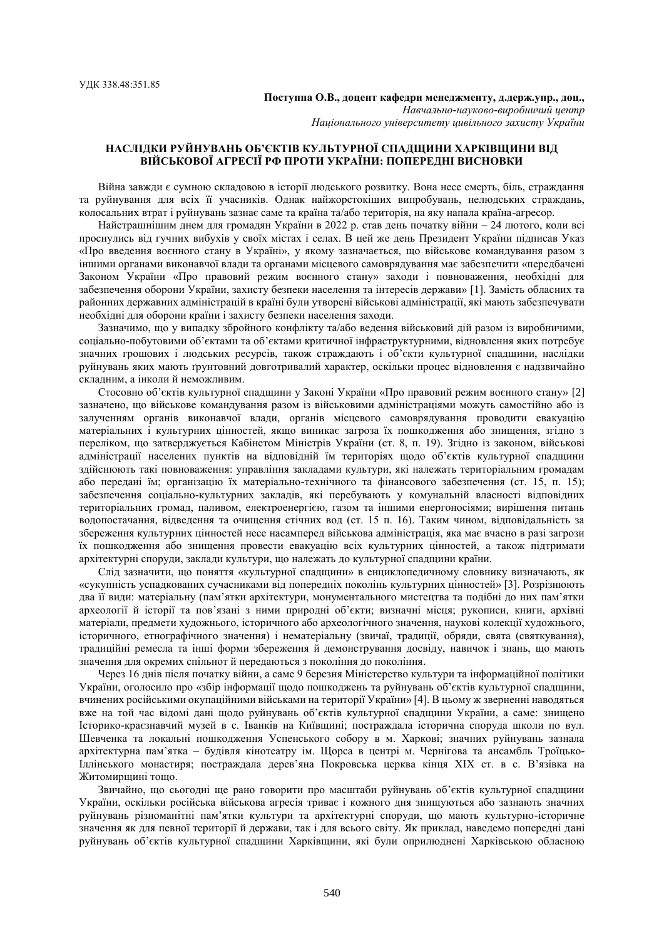### **НАСЛІДКИ РУЙНУВАНЬ ОБ'ЄКТІВ КУЛЬТУРНОЇ СПАДЩИНИ ХАРКІВЩИНИ ВІД ВІЙСЬКОВОЇ АГРЕСІЇ РФ ПРОТИ УКРАЇНИ: ПОПЕРЕДНІ ВИСНОВКИ**

Війна завжди є сумною складовою в історії людського розвитку. Вона несе смерть, біль, страждання та руйнування для всіх її учасників. Однак найжорстокіших випробувань, нелюдських страждань, колосальних втрат і руйнувань зазнає саме та країна та/або територія, на яку напала країна-агресор.

Найстрашнішим днем для громадян України в 2022 р. став день початку війни – 24 лютого, коли всі проснулись від гучних вибухів у своїх містах і селах. В цей же день Президент України підписав Указ «Про введення воєнного стану в Україні», у якому зазначається, що військове командування разом з іншими органами виконавчої влади та органами місцевого самоврядування має забезпечити «передбачені Законом України «Про правовий режим воєнного стану» заходи і повноваження, необхідні для забезпечення оборони України, захисту безпеки населення та інтересів держави» [1]. Замість обласних та районних державних адміністрацій в країні були утворені військові адміністрації, які мають забезпечувати необхідні для оборони країни і захисту безпеки населення заходи.

Зазначимо, що у випадку збройного конфлікту та/або ведення військовий дій разом із виробничими, соціально-побутовими об'єктами та об'єктами критичної інфраструктурними, відновлення яких потребує значних грошових і людських ресурсів, також страждають і об'єкти культурної спадщини, наслідки руйнувань яких мають ґрунтовний довготривалий характер, оскільки процес відновлення є надзвичайно складним, а інколи й неможливим.

Стосовно об'єктів культурної спадщини у Законі України «Про правовий режим воєнного стану» [2] зазначено, що військове командування разом із військовими адміністраціями можуть самостійно або із залученням органів виконавчої влади, органів місцевого самоврядування проводити евакуацію матеріальних і культурних цінностей, якщо виникає загроза їх пошкодження або знищення, згідно з переліком, що затверджується Кабінетом Міністрів України (ст. 8, п. 19). Згідно із законом, військові адміністрації населених пунктів на відповідній їм територіях щодо об'єктів культурної спадщини здійснюють такі повноваження: управління закладами культури, які належать територіальним громадам або передані їм; організацію їх матеріально-технічного та фінансового забезпечення (ст. 15, п. 15); забезпечення соціально-культурних закладів, які перебувають у комунальній власності відповідних територіальних громад, паливом, електроенергією, газом та іншими енергоносіями; вирішення питань водопостачання, відведення та очищення стічних вод (ст. 15 п. 16). Таким чином, відповідальність за збереження культурних цінностей несе насамперед військова адміністрація, яка має вчасно в разі загрози їх пошкодження або знищення провести евакуацію всіх культурних цінностей, а також підтримати архітектурні споруди, заклади культури, що належать до культурної спадщини країни.

Слід зазначити, що поняття «культурної спадщини» в енциклопедичному словнику визначають, як «сукупність успадкованих сучасниками від попередніх поколінь культурних цінностей» [3]. Розрізнюють два її види: матеріальну (пам'ятки архітектури, монументального мистецтва та подібні до них пам'ятки археології й історії та пов'язані з ними природні об'єкти; визначні місця; рукописи, книги, архівні матеріали, предмети художнього, історичного або археологічного значення, наукові колекції художнього, історичного, етнографічного значення) і нематеріальну (звичаї, традиції, обряди, свята (святкування), традиційні ремесла та інші форми збереження й демонстрування досвіду, навичок і знань, що мають значення для окремих спільнот й передаються з покоління до покоління.

Через 16 днів після початку війни, а саме 9 березня Міністерство культури та інформаційної політики України, оголосило про «збір інформації щодо пошкоджень та руйнувань об'єктів культурної спадщини, вчинених російськими окупаційними військами на території України» [4]. В цьому ж зверненні наводяться вже на той час відомі дані щодо руйнувань об'єктів культурної спадщини України, а саме: знищено Історико-краєзнавчий музей в с. Іванків на Київщині; постраждала історична споруда школи по вул. Шевченка та локальні пошкодження Успенського собору в м. Харкові; значних руйнувань зазнала архітектурна пам'ятка – будівля кінотеатру ім. Щорса в центрі м. Чернігова та ансамбль Троїцько-Іллінського монастиря; постраждала дерев'яна Покровська церква кінця ХІХ ст. в с. В'язівка на Житомирщині тощо.

Звичайно, що сьогодні ще рано говорити про масштаби руйнувань об'єктів культурної спадщини України, оскільки російська військова агресія триває і кожного дня знищуються або зазнають значних руйнувань різноманітні пам'ятки культури та архітектурні споруди, що мають культурно-історичне значення як для певної території й держави, так і для всього світу. Як приклад, наведемо попередні дані руйнувань об'єктів культурної спадщини Харківщини, які були оприлюднені Харківською обласною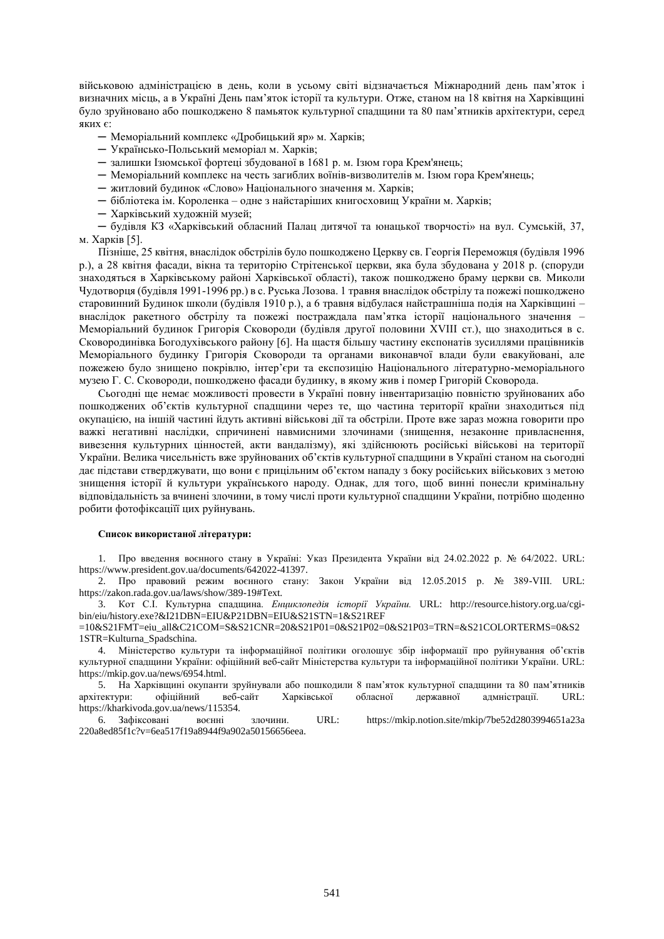військовою адміністрацією в день, коли в усьому світі відзначається Міжнародний день пам'яток і визначних місць, а в Україні День пам'яток історії та культури. Отже, станом на 18 квітня на Харківщині було зруйновано або пошкоджено 8 памьяток культурної спадщини та 80 пам'ятників архітектури, серед яких є:

- ─ Меморіальний комплекс «Дробицький яр» м. Харків;
- ─ Українсько-Польський меморіал м. Харків;
- ─ залишки Ізюмської фортеці збудованої в 1681 р. м. Ізюм гора Крем'янець;
- ─ Меморіальний комплекс на честь загиблих воїнів-визволителів м. Ізюм гора Крем'янець;
- ─ житловий будинок «Слово» Національного значення м. Харків;
- ─ бібліотека ім. Короленка одне з найстаріших книгосховищ України м. Харків;
- ─ Харківський художній музей;

─ будівля КЗ «Харківський обласний Палац дитячої та юнацької творчості» на вул. Сумській, 37, м. Харків [5].

Пізніше, 25 квітня, внаслідок обстрілів було пошкоджено Церкву св. Георгія Переможця (будівля 1996 р.), а 28 квітня фасади, вікна та територію Стрітенської церкви, яка була збудована у 2018 р. (споруди знаходяться в Харківському районі Харківської області), також пошкоджено браму церкви св. Миколи Чудотворця (будівля 1991-1996 рр.) в с. Руська Лозова. 1 травня внаслідок обстрілу та пожежі пошкоджено старовинний Будинок школи (будівля 1910 р.), а 6 травня відбулася найстрашніша подія на Харківщині – внаслідок ракетного обстрілу та пожежі постраждала пам'ятка історії національного значення – Меморіальний будинок Григорія Сковороди (будівля другої половини ХVІІІ ст.), що знаходиться в с. Сковородинівка Богодухівського району [6]. На щастя більшу частину експонатів зусиллями працівників Меморіального будинку Григорія Сковороди та органами виконавчої влади були евакуйовані, але пожежею було знищено покрівлю, інтер'єри та експозицію Національного літературно-меморіального музею Г. С. Сковороди, пошкоджено фасади будинку, в якому жив і помер Григорій Сковорода.

Сьогодні ще немає можливості провести в Україні повну інвентаризацію повністю зруйнованих або пошкоджених об'єктів культурної спадщини через те, що частина території країни знаходиться під окупацією, на іншій частині йдуть активні військові дії та обстріли. Проте вже зараз можна говорити про важкі негативні наслідки, спричинені навмисними злочинами (знищення, незаконне привласнення, вивезення культурних цінностей, акти вандалізму), які здійснюють російські військові на території України. Велика чисельність вже зруйнованих об'єктів культурної спадщини в Україні станом на сьогодні дає підстави стверджувати, що вони є прицільним об'єктом нападу з боку російських військових з метою знищення історії й культури українського народу. Однак, для того, щоб винні понесли кримінальну відповідальність за вчинені злочини, в тому числі проти культурної спадщини України, потрібно щоденно робити фотофіксаціїї цих руйнувань.

#### **Список використаної літератури:**

1. Про введення воєнного стану в Україні: Указ Президента України від 24.02.2022 р. № 64/2022. URL: https://www.president.gov.ua/documents/642022-41397.

2. Про правовий режим воєнного стану: Закон України від 12.05.2015 р. № 389-VІІІ. URL: https://zakon.rada.gov.ua/laws/show/389-19#Text.

3. Кот С.І. Культурна спадщина. *Енциклопедія історії України.* URL: http://resource.history.org.ua/cgibin/eiu/history.exe?&I21DBN=EIU&P21DBN=EIU&S21STN=1&S21REF

=10&S21FMT=eiu\_all&C21COM=S&S21CNR=20&S21P01=0&S21P02=0&S21P03=TRN=&S21COLORTERMS=0&S2 1STR=Kulturna\_Spadschina.

4. Міністерство культури та інформаційної політики оголошує збір інформації про руйнування об'єктів культурної спадщини України: офіційний веб-сайт Міністерства культури та інформаційної політики України. URL: https://mkip.gov.ua/news/6954.html.

5. На Харківщині окупанти зруйнували або пошкодили 8 пам'яток культурної спадщини та 80 пам'ятників архітектури: офіційний веб-сайт Харківської обласної державної адмністрації. URL: https://kharkivoda.gov.ua/news/115354.

6. Зафіксовані воєнні злочини. URL: https://mkip.notion.site/mkip/7be52d2803994651a23a 220a8ed85f1c?v=6ea517f19a8944f9a902a50156656eea.